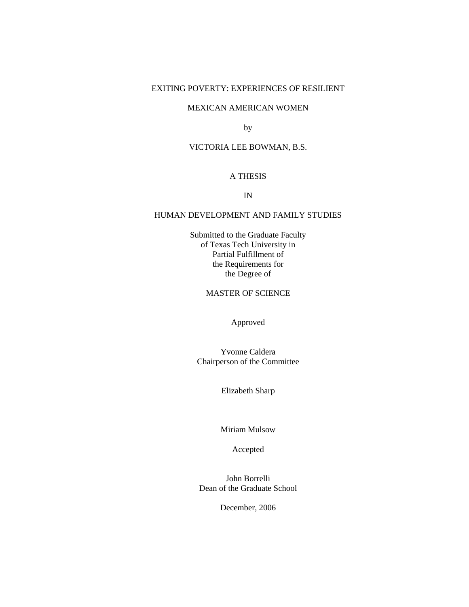# EXITING POVERTY: EXPERIENCES OF RESILIENT

#### MEXICAN AMERICAN WOMEN

by

## VICTORIA LEE BOWMAN, B.S.

## A THESIS

#### IN

# HUMAN DEVELOPMENT AND FAMILY STUDIES

Submitted to the Graduate Faculty of Texas Tech University in Partial Fulfillment of the Requirements for the Degree of

# MASTER OF SCIENCE

Approved

Yvonne Caldera Chairperson of the Committee

Elizabeth Sharp

Miriam Mulsow

Accepted

John Borrelli Dean of the Graduate School

December, 2006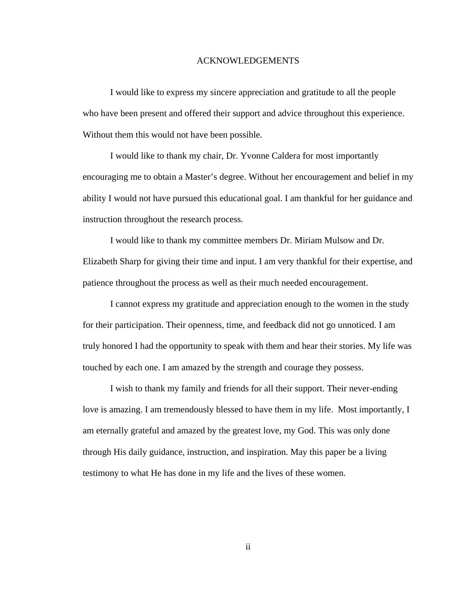### ACKNOWLEDGEMENTS

<span id="page-1-0"></span> I would like to express my sincere appreciation and gratitude to all the people who have been present and offered their support and advice throughout this experience. Without them this would not have been possible.

I would like to thank my chair, Dr. Yvonne Caldera for most importantly encouraging me to obtain a Master's degree. Without her encouragement and belief in my ability I would not have pursued this educational goal. I am thankful for her guidance and instruction throughout the research process.

I would like to thank my committee members Dr. Miriam Mulsow and Dr. Elizabeth Sharp for giving their time and input. I am very thankful for their expertise, and patience throughout the process as well as their much needed encouragement.

I cannot express my gratitude and appreciation enough to the women in the study for their participation. Their openness, time, and feedback did not go unnoticed. I am truly honored I had the opportunity to speak with them and hear their stories. My life was touched by each one. I am amazed by the strength and courage they possess.

I wish to thank my family and friends for all their support. Their never-ending love is amazing. I am tremendously blessed to have them in my life. Most importantly, I am eternally grateful and amazed by the greatest love, my God. This was only done through His daily guidance, instruction, and inspiration. May this paper be a living testimony to what He has done in my life and the lives of these women.

ii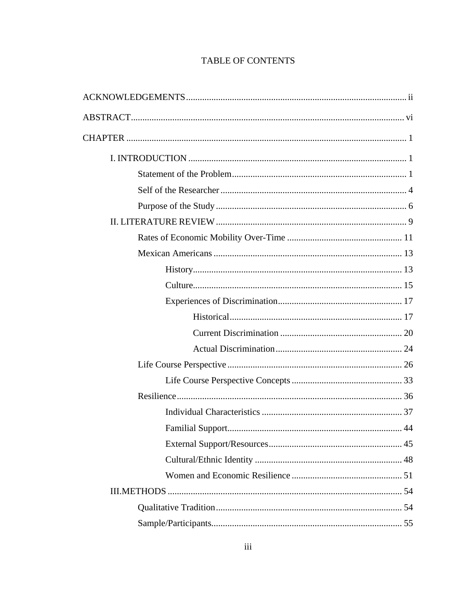# TABLE OF CONTENTS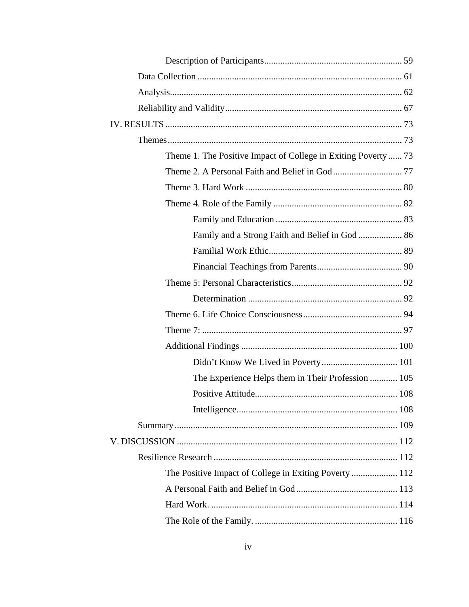| Theme 1. The Positive Impact of College in Exiting Poverty  73 |  |
|----------------------------------------------------------------|--|
|                                                                |  |
|                                                                |  |
|                                                                |  |
|                                                                |  |
| Family and a Strong Faith and Belief in God  86                |  |
|                                                                |  |
|                                                                |  |
|                                                                |  |
|                                                                |  |
|                                                                |  |
|                                                                |  |
|                                                                |  |
|                                                                |  |
| The Experience Helps them in Their Profession  105             |  |
|                                                                |  |
|                                                                |  |
|                                                                |  |
|                                                                |  |
|                                                                |  |
| The Positive Impact of College in Exiting Poverty  112         |  |
|                                                                |  |
|                                                                |  |
|                                                                |  |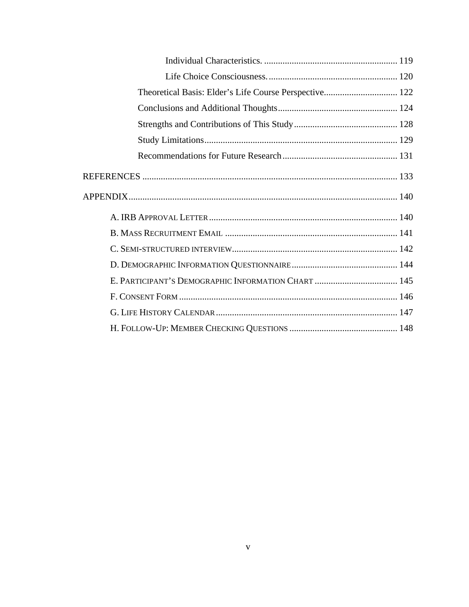| Theoretical Basis: Elder's Life Course Perspective 122 |  |
|--------------------------------------------------------|--|
|                                                        |  |
|                                                        |  |
|                                                        |  |
|                                                        |  |
|                                                        |  |
|                                                        |  |
|                                                        |  |
|                                                        |  |
|                                                        |  |
|                                                        |  |
| E. PARTICIPANT'S DEMOGRAPHIC INFORMATION CHART  145    |  |
|                                                        |  |
|                                                        |  |
|                                                        |  |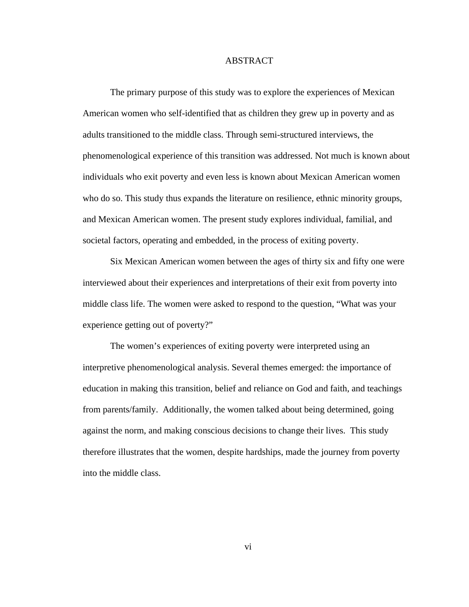## ABSTRACT

<span id="page-5-0"></span> The primary purpose of this study was to explore the experiences of Mexican American women who self-identified that as children they grew up in poverty and as adults transitioned to the middle class. Through semi-structured interviews, the phenomenological experience of this transition was addressed. Not much is known about individuals who exit poverty and even less is known about Mexican American women who do so. This study thus expands the literature on resilience, ethnic minority groups, and Mexican American women. The present study explores individual, familial, and societal factors, operating and embedded, in the process of exiting poverty.

 Six Mexican American women between the ages of thirty six and fifty one were interviewed about their experiences and interpretations of their exit from poverty into middle class life. The women were asked to respond to the question, "What was your experience getting out of poverty?"

 The women's experiences of exiting poverty were interpreted using an interpretive phenomenological analysis. Several themes emerged: the importance of education in making this transition, belief and reliance on God and faith, and teachings from parents/family. Additionally, the women talked about being determined, going against the norm, and making conscious decisions to change their lives. This study therefore illustrates that the women, despite hardships, made the journey from poverty into the middle class.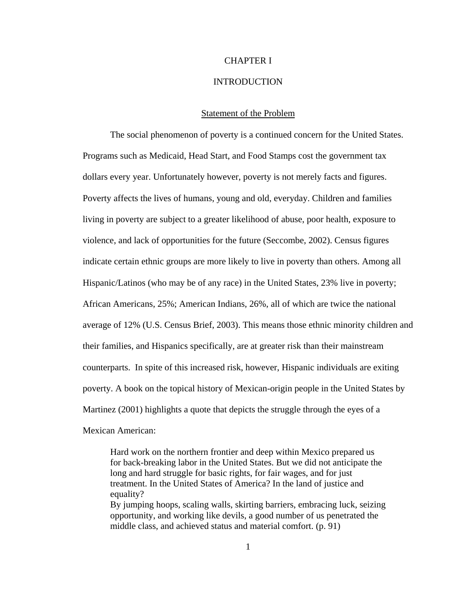## CHAPTER I

## INTRODUCTION

## Statement of the Problem

<span id="page-6-0"></span>The social phenomenon of poverty is a continued concern for the United States. Programs such as Medicaid, Head Start, and Food Stamps cost the government tax dollars every year. Unfortunately however, poverty is not merely facts and figures. Poverty affects the lives of humans, young and old, everyday. Children and families living in poverty are subject to a greater likelihood of abuse, poor health, exposure to violence, and lack of opportunities for the future (Seccombe, 2002). Census figures indicate certain ethnic groups are more likely to live in poverty than others. Among all Hispanic/Latinos (who may be of any race) in the United States, 23% live in poverty; African Americans, 25%; American Indians, 26%, all of which are twice the national average of 12% (U.S. Census Brief, 2003). This means those ethnic minority children and their families, and Hispanics specifically, are at greater risk than their mainstream counterparts. In spite of this increased risk, however, Hispanic individuals are exiting poverty. A book on the topical history of Mexican-origin people in the United States by Martinez (2001) highlights a quote that depicts the struggle through the eyes of a Mexican American:

Hard work on the northern frontier and deep within Mexico prepared us for back-breaking labor in the United States. But we did not anticipate the long and hard struggle for basic rights, for fair wages, and for just treatment. In the United States of America? In the land of justice and equality? By jumping hoops, scaling walls, skirting barriers, embracing luck, seizing

opportunity, and working like devils, a good number of us penetrated the middle class, and achieved status and material comfort. (p. 91)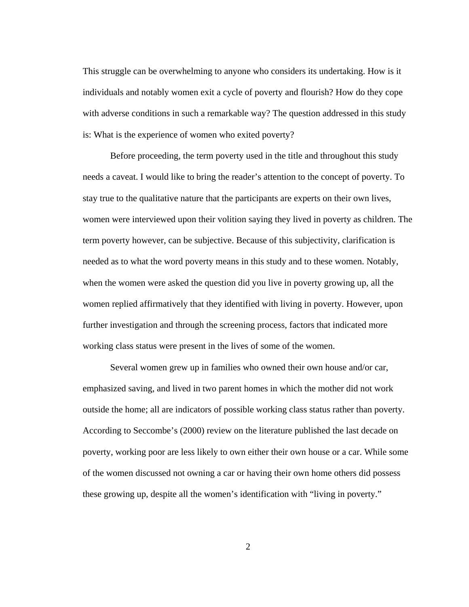This struggle can be overwhelming to anyone who considers its undertaking. How is it individuals and notably women exit a cycle of poverty and flourish? How do they cope with adverse conditions in such a remarkable way? The question addressed in this study is: What is the experience of women who exited poverty?

Before proceeding, the term poverty used in the title and throughout this study needs a caveat. I would like to bring the reader's attention to the concept of poverty. To stay true to the qualitative nature that the participants are experts on their own lives, women were interviewed upon their volition saying they lived in poverty as children. The term poverty however, can be subjective. Because of this subjectivity, clarification is needed as to what the word poverty means in this study and to these women. Notably, when the women were asked the question did you live in poverty growing up, all the women replied affirmatively that they identified with living in poverty. However, upon further investigation and through the screening process, factors that indicated more working class status were present in the lives of some of the women.

Several women grew up in families who owned their own house and/or car, emphasized saving, and lived in two parent homes in which the mother did not work outside the home; all are indicators of possible working class status rather than poverty. According to Seccombe's (2000) review on the literature published the last decade on poverty, working poor are less likely to own either their own house or a car. While some of the women discussed not owning a car or having their own home others did possess these growing up, despite all the women's identification with "living in poverty."

2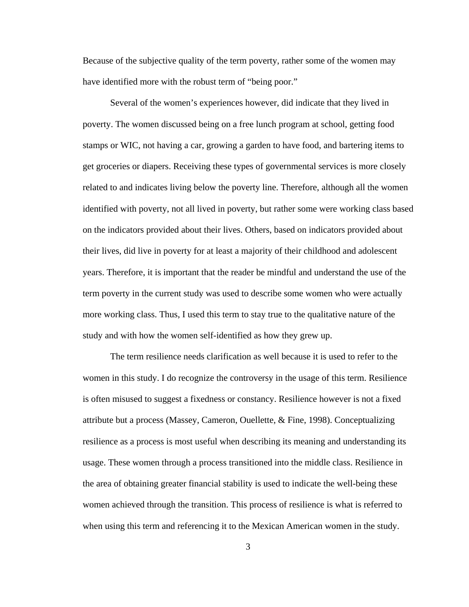Because of the subjective quality of the term poverty, rather some of the women may have identified more with the robust term of "being poor."

Several of the women's experiences however, did indicate that they lived in poverty. The women discussed being on a free lunch program at school, getting food stamps or WIC, not having a car, growing a garden to have food, and bartering items to get groceries or diapers. Receiving these types of governmental services is more closely related to and indicates living below the poverty line. Therefore, although all the women identified with poverty, not all lived in poverty, but rather some were working class based on the indicators provided about their lives. Others, based on indicators provided about their lives, did live in poverty for at least a majority of their childhood and adolescent years. Therefore, it is important that the reader be mindful and understand the use of the term poverty in the current study was used to describe some women who were actually more working class. Thus, I used this term to stay true to the qualitative nature of the study and with how the women self-identified as how they grew up.

The term resilience needs clarification as well because it is used to refer to the women in this study. I do recognize the controversy in the usage of this term. Resilience is often misused to suggest a fixedness or constancy. Resilience however is not a fixed attribute but a process (Massey, Cameron, Ouellette, & Fine, 1998). Conceptualizing resilience as a process is most useful when describing its meaning and understanding its usage. These women through a process transitioned into the middle class. Resilience in the area of obtaining greater financial stability is used to indicate the well-being these women achieved through the transition. This process of resilience is what is referred to when using this term and referencing it to the Mexican American women in the study.

3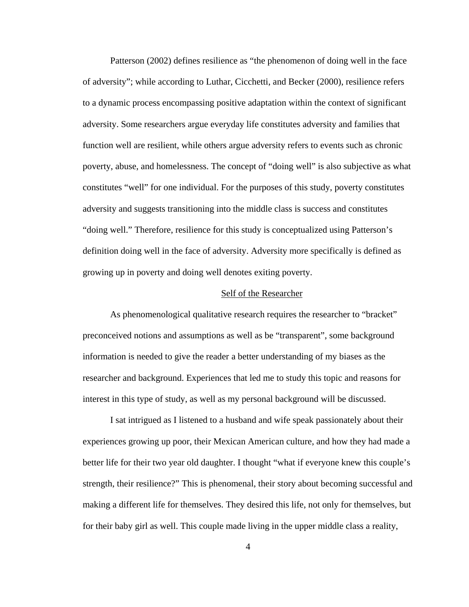<span id="page-9-0"></span>Patterson (2002) defines resilience as "the phenomenon of doing well in the face of adversity"; while according to Luthar, Cicchetti, and Becker (2000), resilience refers to a dynamic process encompassing positive adaptation within the context of significant adversity. Some researchers argue everyday life constitutes adversity and families that function well are resilient, while others argue adversity refers to events such as chronic poverty, abuse, and homelessness. The concept of "doing well" is also subjective as what constitutes "well" for one individual. For the purposes of this study, poverty constitutes adversity and suggests transitioning into the middle class is success and constitutes "doing well." Therefore, resilience for this study is conceptualized using Patterson's definition doing well in the face of adversity. Adversity more specifically is defined as growing up in poverty and doing well denotes exiting poverty.

#### Self of the Researcher

As phenomenological qualitative research requires the researcher to "bracket" preconceived notions and assumptions as well as be "transparent", some background information is needed to give the reader a better understanding of my biases as the researcher and background. Experiences that led me to study this topic and reasons for interest in this type of study, as well as my personal background will be discussed.

I sat intrigued as I listened to a husband and wife speak passionately about their experiences growing up poor, their Mexican American culture, and how they had made a better life for their two year old daughter. I thought "what if everyone knew this couple's strength, their resilience?" This is phenomenal, their story about becoming successful and making a different life for themselves. They desired this life, not only for themselves, but for their baby girl as well. This couple made living in the upper middle class a reality,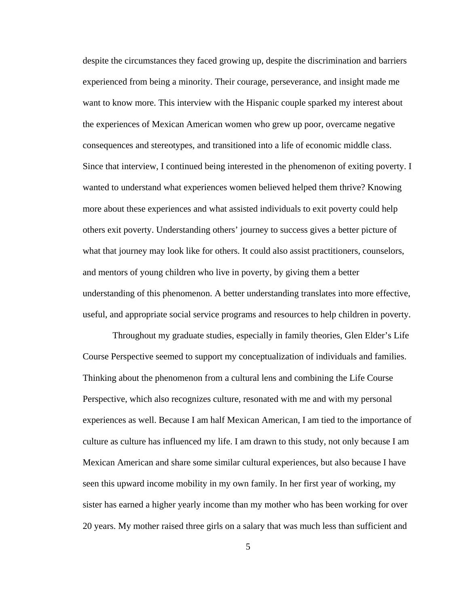despite the circumstances they faced growing up, despite the discrimination and barriers experienced from being a minority. Their courage, perseverance, and insight made me want to know more. This interview with the Hispanic couple sparked my interest about the experiences of Mexican American women who grew up poor, overcame negative consequences and stereotypes, and transitioned into a life of economic middle class. Since that interview, I continued being interested in the phenomenon of exiting poverty. I wanted to understand what experiences women believed helped them thrive? Knowing more about these experiences and what assisted individuals to exit poverty could help others exit poverty. Understanding others' journey to success gives a better picture of what that journey may look like for others. It could also assist practitioners, counselors, and mentors of young children who live in poverty, by giving them a better understanding of this phenomenon. A better understanding translates into more effective, useful, and appropriate social service programs and resources to help children in poverty.

 Throughout my graduate studies, especially in family theories, Glen Elder's Life Course Perspective seemed to support my conceptualization of individuals and families. Thinking about the phenomenon from a cultural lens and combining the Life Course Perspective, which also recognizes culture, resonated with me and with my personal experiences as well. Because I am half Mexican American, I am tied to the importance of culture as culture has influenced my life. I am drawn to this study, not only because I am Mexican American and share some similar cultural experiences, but also because I have seen this upward income mobility in my own family. In her first year of working, my sister has earned a higher yearly income than my mother who has been working for over 20 years. My mother raised three girls on a salary that was much less than sufficient and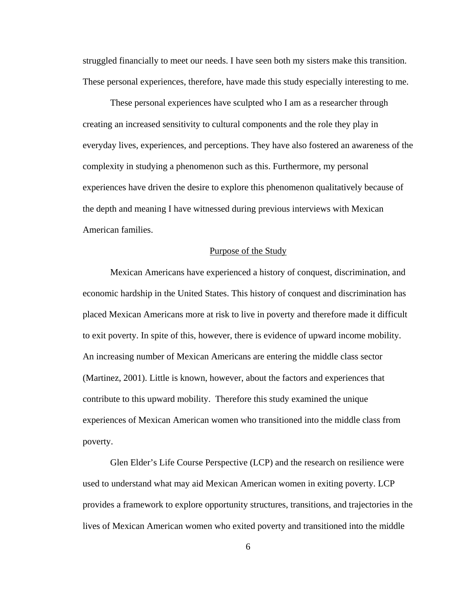<span id="page-11-0"></span>struggled financially to meet our needs. I have seen both my sisters make this transition. These personal experiences, therefore, have made this study especially interesting to me.

These personal experiences have sculpted who I am as a researcher through creating an increased sensitivity to cultural components and the role they play in everyday lives, experiences, and perceptions. They have also fostered an awareness of the complexity in studying a phenomenon such as this. Furthermore, my personal experiences have driven the desire to explore this phenomenon qualitatively because of the depth and meaning I have witnessed during previous interviews with Mexican American families.

#### Purpose of the Study

 Mexican Americans have experienced a history of conquest, discrimination, and economic hardship in the United States. This history of conquest and discrimination has placed Mexican Americans more at risk to live in poverty and therefore made it difficult to exit poverty. In spite of this, however, there is evidence of upward income mobility. An increasing number of Mexican Americans are entering the middle class sector (Martinez, 2001). Little is known, however, about the factors and experiences that contribute to this upward mobility. Therefore this study examined the unique experiences of Mexican American women who transitioned into the middle class from poverty.

Glen Elder's Life Course Perspective (LCP) and the research on resilience were used to understand what may aid Mexican American women in exiting poverty. LCP provides a framework to explore opportunity structures, transitions, and trajectories in the lives of Mexican American women who exited poverty and transitioned into the middle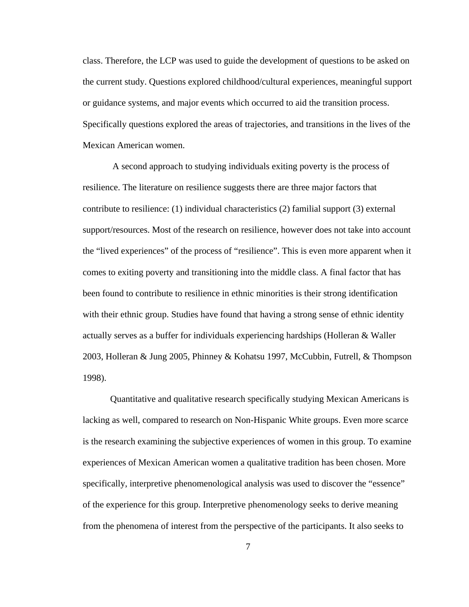class. Therefore, the LCP was used to guide the development of questions to be asked on the current study. Questions explored childhood/cultural experiences, meaningful support or guidance systems, and major events which occurred to aid the transition process. Specifically questions explored the areas of trajectories, and transitions in the lives of the Mexican American women.

 A second approach to studying individuals exiting poverty is the process of resilience. The literature on resilience suggests there are three major factors that contribute to resilience: (1) individual characteristics (2) familial support (3) external support/resources. Most of the research on resilience, however does not take into account the "lived experiences" of the process of "resilience". This is even more apparent when it comes to exiting poverty and transitioning into the middle class. A final factor that has been found to contribute to resilience in ethnic minorities is their strong identification with their ethnic group. Studies have found that having a strong sense of ethnic identity actually serves as a buffer for individuals experiencing hardships (Holleran & Waller 2003, Holleran & Jung 2005, Phinney & Kohatsu 1997, McCubbin, Futrell, & Thompson 1998).

Quantitative and qualitative research specifically studying Mexican Americans is lacking as well, compared to research on Non-Hispanic White groups. Even more scarce is the research examining the subjective experiences of women in this group. To examine experiences of Mexican American women a qualitative tradition has been chosen. More specifically, interpretive phenomenological analysis was used to discover the "essence" of the experience for this group. Interpretive phenomenology seeks to derive meaning from the phenomena of interest from the perspective of the participants. It also seeks to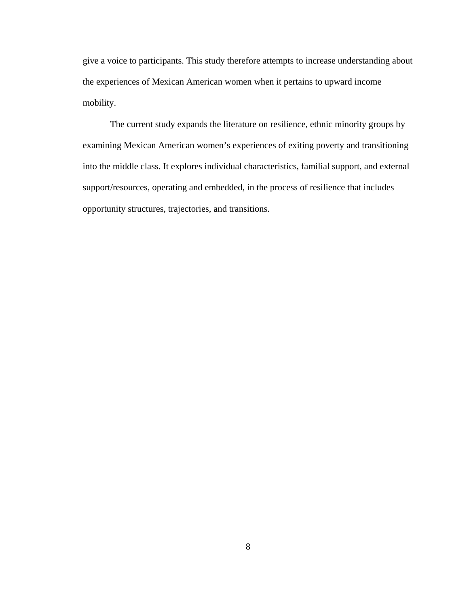give a voice to participants. This study therefore attempts to increase understanding about the experiences of Mexican American women when it pertains to upward income mobility.

The current study expands the literature on resilience, ethnic minority groups by examining Mexican American women's experiences of exiting poverty and transitioning into the middle class. It explores individual characteristics, familial support, and external support/resources, operating and embedded, in the process of resilience that includes opportunity structures, trajectories, and transitions.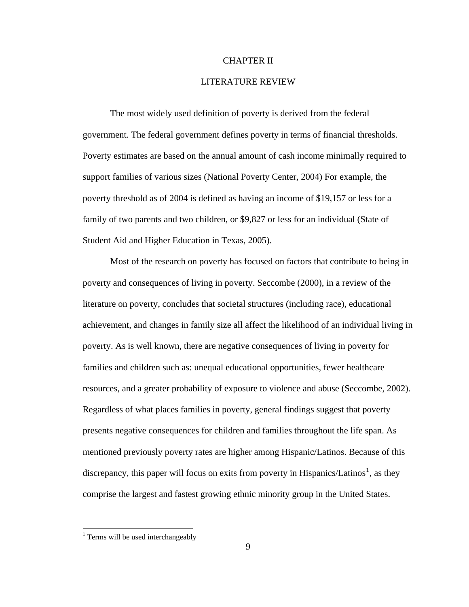### CHAPTER II

# LITERATURE REVIEW

<span id="page-14-0"></span>The most widely used definition of poverty is derived from the federal government. The federal government defines poverty in terms of financial thresholds. Poverty estimates are based on the annual amount of cash income minimally required to support families of various sizes (National Poverty Center, 2004) For example, the poverty threshold as of 2004 is defined as having an income of \$19,157 or less for a family of two parents and two children, or \$9,827 or less for an individual (State of Student Aid and Higher Education in Texas, 2005).

Most of the research on poverty has focused on factors that contribute to being in poverty and consequences of living in poverty. Seccombe (2000), in a review of the literature on poverty, concludes that societal structures (including race), educational achievement, and changes in family size all affect the likelihood of an individual living in poverty. As is well known, there are negative consequences of living in poverty for families and children such as: unequal educational opportunities, fewer healthcare resources, and a greater probability of exposure to violence and abuse (Seccombe, 2002). Regardless of what places families in poverty, general findings suggest that poverty presents negative consequences for children and families throughout the life span. As mentioned previously poverty rates are higher among Hispanic/Latinos. Because of this discrepancy, this paper will focus on exits from poverty in Hispanics/Latinos<sup>[1](#page-14-1)</sup>, as they comprise the largest and fastest growing ethnic minority group in the United States.

<span id="page-14-1"></span><sup>&</sup>lt;sup>1</sup> Terms will be used interchangeably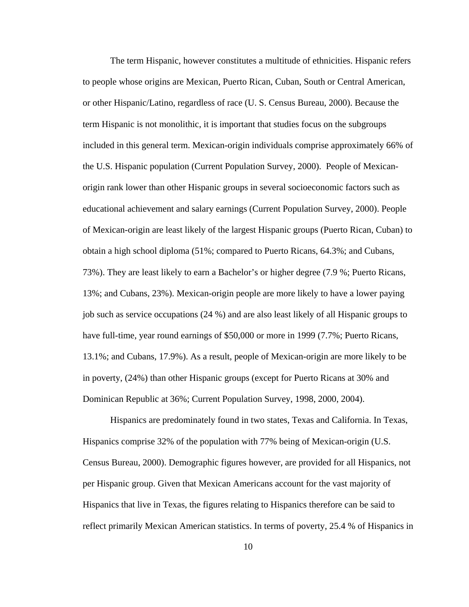The term Hispanic, however constitutes a multitude of ethnicities. Hispanic refers to people whose origins are Mexican, Puerto Rican, Cuban, South or Central American, or other Hispanic/Latino, regardless of race (U. S. Census Bureau, 2000). Because the term Hispanic is not monolithic, it is important that studies focus on the subgroups included in this general term. Mexican-origin individuals comprise approximately 66% of the U.S. Hispanic population (Current Population Survey, 2000). People of Mexicanorigin rank lower than other Hispanic groups in several socioeconomic factors such as educational achievement and salary earnings (Current Population Survey, 2000). People of Mexican-origin are least likely of the largest Hispanic groups (Puerto Rican, Cuban) to obtain a high school diploma (51%; compared to Puerto Ricans, 64.3%; and Cubans, 73%). They are least likely to earn a Bachelor's or higher degree (7.9 %; Puerto Ricans, 13%; and Cubans, 23%). Mexican-origin people are more likely to have a lower paying job such as service occupations (24 %) and are also least likely of all Hispanic groups to have full-time, year round earnings of \$50,000 or more in 1999 (7.7%; Puerto Ricans, 13.1%; and Cubans, 17.9%). As a result, people of Mexican-origin are more likely to be in poverty, (24%) than other Hispanic groups (except for Puerto Ricans at 30% and Dominican Republic at 36%; Current Population Survey, 1998, 2000, 2004).

Hispanics are predominately found in two states, Texas and California. In Texas, Hispanics comprise 32% of the population with 77% being of Mexican-origin (U.S. Census Bureau, 2000). Demographic figures however, are provided for all Hispanics, not per Hispanic group. Given that Mexican Americans account for the vast majority of Hispanics that live in Texas, the figures relating to Hispanics therefore can be said to reflect primarily Mexican American statistics. In terms of poverty, 25.4 % of Hispanics in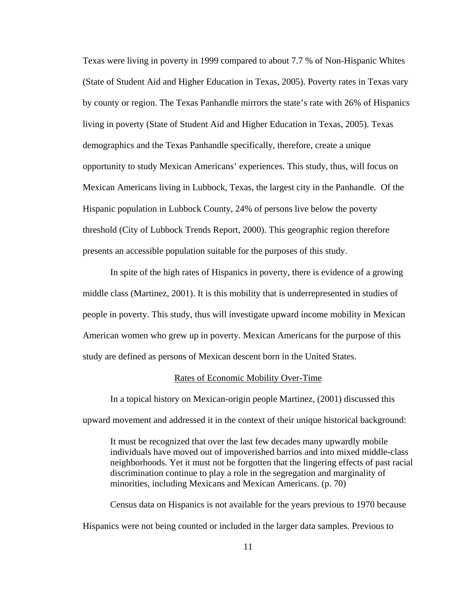<span id="page-16-0"></span>Texas were living in poverty in 1999 compared to about 7.7 % of Non-Hispanic Whites (State of Student Aid and Higher Education in Texas, 2005). Poverty rates in Texas vary by county or region. The Texas Panhandle mirrors the state's rate with 26% of Hispanics living in poverty (State of Student Aid and Higher Education in Texas, 2005). Texas demographics and the Texas Panhandle specifically, therefore, create a unique opportunity to study Mexican Americans' experiences. This study, thus, will focus on Mexican Americans living in Lubbock, Texas, the largest city in the Panhandle. Of the Hispanic population in Lubbock County, 24% of persons live below the poverty threshold (City of Lubbock Trends Report, 2000). This geographic region therefore presents an accessible population suitable for the purposes of this study.

In spite of the high rates of Hispanics in poverty, there is evidence of a growing middle class (Martinez, 2001). It is this mobility that is underrepresented in studies of people in poverty. This study, thus will investigate upward income mobility in Mexican American women who grew up in poverty. Mexican Americans for the purpose of this study are defined as persons of Mexican descent born in the United States.

#### Rates of Economic Mobility Over-Time

In a topical history on Mexican-origin people Martinez, (2001) discussed this upward movement and addressed it in the context of their unique historical background:

It must be recognized that over the last few decades many upwardly mobile individuals have moved out of impoverished barrios and into mixed middle-class neighborhoods. Yet it must not be forgotten that the lingering effects of past racial discrimination continue to play a role in the segregation and marginality of minorities, including Mexicans and Mexican Americans. (p. 70)

Census data on Hispanics is not available for the years previous to 1970 because Hispanics were not being counted or included in the larger data samples. Previous to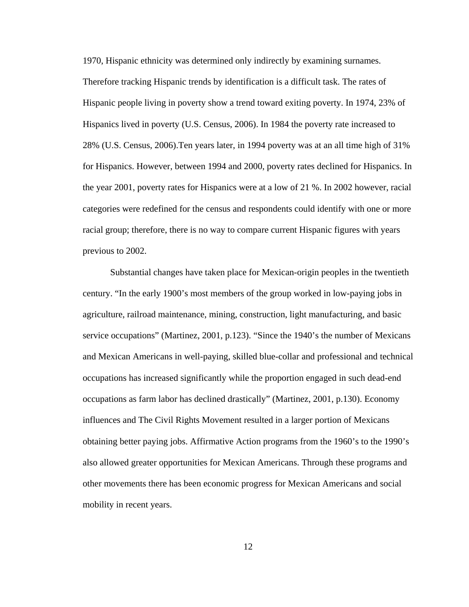1970, Hispanic ethnicity was determined only indirectly by examining surnames. Therefore tracking Hispanic trends by identification is a difficult task. The rates of Hispanic people living in poverty show a trend toward exiting poverty. In 1974, 23% of Hispanics lived in poverty (U.S. Census, 2006). In 1984 the poverty rate increased to 28% (U.S. Census, 2006).Ten years later, in 1994 poverty was at an all time high of 31% for Hispanics. However, between 1994 and 2000, poverty rates declined for Hispanics. In the year 2001, poverty rates for Hispanics were at a low of 21 %. In 2002 however, racial categories were redefined for the census and respondents could identify with one or more racial group; therefore, there is no way to compare current Hispanic figures with years previous to 2002.

Substantial changes have taken place for Mexican-origin peoples in the twentieth century. "In the early 1900's most members of the group worked in low-paying jobs in agriculture, railroad maintenance, mining, construction, light manufacturing, and basic service occupations" (Martinez, 2001, p.123). "Since the 1940's the number of Mexicans and Mexican Americans in well-paying, skilled blue-collar and professional and technical occupations has increased significantly while the proportion engaged in such dead-end occupations as farm labor has declined drastically" (Martinez, 2001, p.130). Economy influences and The Civil Rights Movement resulted in a larger portion of Mexicans obtaining better paying jobs. Affirmative Action programs from the 1960's to the 1990's also allowed greater opportunities for Mexican Americans. Through these programs and other movements there has been economic progress for Mexican Americans and social mobility in recent years.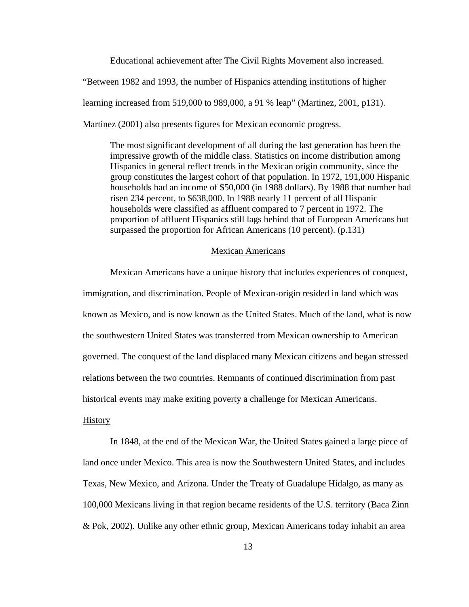Educational achievement after The Civil Rights Movement also increased.

<span id="page-18-0"></span>"Between 1982 and 1993, the number of Hispanics attending institutions of higher

learning increased from 519,000 to 989,000, a 91 % leap" (Martinez, 2001, p131).

Martinez (2001) also presents figures for Mexican economic progress.

The most significant development of all during the last generation has been the impressive growth of the middle class. Statistics on income distribution among Hispanics in general reflect trends in the Mexican origin community, since the group constitutes the largest cohort of that population. In 1972, 191,000 Hispanic households had an income of \$50,000 (in 1988 dollars). By 1988 that number had risen 234 percent, to \$638,000. In 1988 nearly 11 percent of all Hispanic households were classified as affluent compared to 7 percent in 1972. The proportion of affluent Hispanics still lags behind that of European Americans but surpassed the proportion for African Americans (10 percent). (p.131)

#### Mexican Americans

Mexican Americans have a unique history that includes experiences of conquest, immigration, and discrimination. People of Mexican-origin resided in land which was known as Mexico, and is now known as the United States. Much of the land, what is now the southwestern United States was transferred from Mexican ownership to American governed. The conquest of the land displaced many Mexican citizens and began stressed relations between the two countries. Remnants of continued discrimination from past historical events may make exiting poverty a challenge for Mexican Americans.

#### History

In 1848, at the end of the Mexican War, the United States gained a large piece of land once under Mexico. This area is now the Southwestern United States, and includes Texas, New Mexico, and Arizona. Under the Treaty of Guadalupe Hidalgo, as many as 100,000 Mexicans living in that region became residents of the U.S. territory (Baca Zinn & Pok, 2002). Unlike any other ethnic group, Mexican Americans today inhabit an area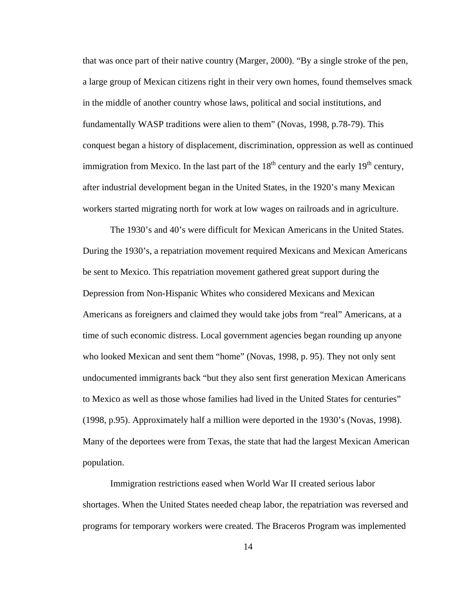that was once part of their native country (Marger, 2000). "By a single stroke of the pen, a large group of Mexican citizens right in their very own homes, found themselves smack in the middle of another country whose laws, political and social institutions, and fundamentally WASP traditions were alien to them" (Novas, 1998, p.78-79). This conquest began a history of displacement, discrimination, oppression as well as continued immigration from Mexico. In the last part of the  $18<sup>th</sup>$  century and the early  $19<sup>th</sup>$  century, after industrial development began in the United States, in the 1920's many Mexican workers started migrating north for work at low wages on railroads and in agriculture.

The 1930's and 40's were difficult for Mexican Americans in the United States. During the 1930's, a repatriation movement required Mexicans and Mexican Americans be sent to Mexico. This repatriation movement gathered great support during the Depression from Non-Hispanic Whites who considered Mexicans and Mexican Americans as foreigners and claimed they would take jobs from "real" Americans, at a time of such economic distress. Local government agencies began rounding up anyone who looked Mexican and sent them "home" (Novas, 1998, p. 95). They not only sent undocumented immigrants back "but they also sent first generation Mexican Americans to Mexico as well as those whose families had lived in the United States for centuries" (1998, p.95). Approximately half a million were deported in the 1930's (Novas, 1998). Many of the deportees were from Texas, the state that had the largest Mexican American population.

Immigration restrictions eased when World War II created serious labor shortages. When the United States needed cheap labor, the repatriation was reversed and programs for temporary workers were created. The Braceros Program was implemented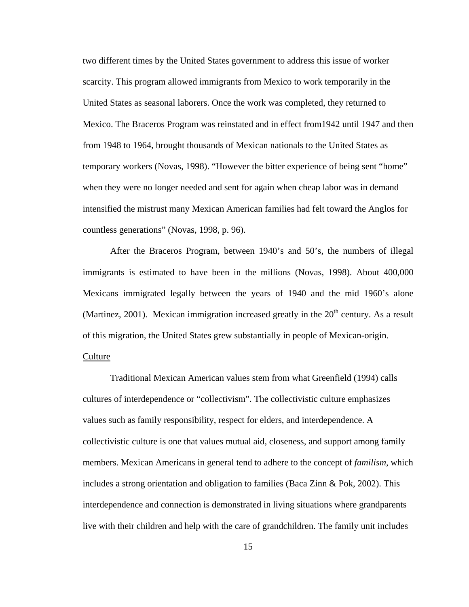<span id="page-20-0"></span>two different times by the United States government to address this issue of worker scarcity. This program allowed immigrants from Mexico to work temporarily in the United States as seasonal laborers. Once the work was completed, they returned to Mexico. The Braceros Program was reinstated and in effect from1942 until 1947 and then from 1948 to 1964, brought thousands of Mexican nationals to the United States as temporary workers (Novas, 1998). "However the bitter experience of being sent "home" when they were no longer needed and sent for again when cheap labor was in demand intensified the mistrust many Mexican American families had felt toward the Anglos for countless generations" (Novas, 1998, p. 96).

After the Braceros Program, between 1940's and 50's, the numbers of illegal immigrants is estimated to have been in the millions (Novas, 1998). About 400,000 Mexicans immigrated legally between the years of 1940 and the mid 1960's alone (Martinez, 2001). Mexican immigration increased greatly in the  $20<sup>th</sup>$  century. As a result of this migration, the United States grew substantially in people of Mexican-origin.

# Culture

Traditional Mexican American values stem from what Greenfield (1994) calls cultures of interdependence or "collectivism". The collectivistic culture emphasizes values such as family responsibility, respect for elders, and interdependence. A collectivistic culture is one that values mutual aid, closeness, and support among family members. Mexican Americans in general tend to adhere to the concept of *familism*, which includes a strong orientation and obligation to families (Baca Zinn & Pok, 2002). This interdependence and connection is demonstrated in living situations where grandparents live with their children and help with the care of grandchildren. The family unit includes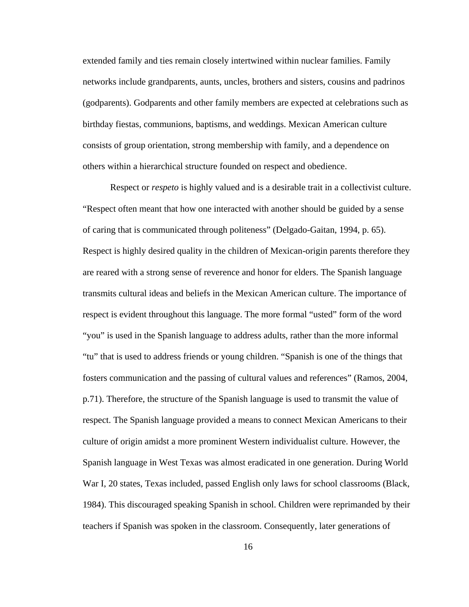extended family and ties remain closely intertwined within nuclear families. Family networks include grandparents, aunts, uncles, brothers and sisters, cousins and padrinos (godparents). Godparents and other family members are expected at celebrations such as birthday fiestas, communions, baptisms, and weddings. Mexican American culture consists of group orientation, strong membership with family, and a dependence on others within a hierarchical structure founded on respect and obedience.

Respect or *respeto* is highly valued and is a desirable trait in a collectivist culture. "Respect often meant that how one interacted with another should be guided by a sense of caring that is communicated through politeness" (Delgado-Gaitan, 1994, p. 65). Respect is highly desired quality in the children of Mexican-origin parents therefore they are reared with a strong sense of reverence and honor for elders. The Spanish language transmits cultural ideas and beliefs in the Mexican American culture. The importance of respect is evident throughout this language. The more formal "usted" form of the word "you" is used in the Spanish language to address adults, rather than the more informal "tu" that is used to address friends or young children. "Spanish is one of the things that fosters communication and the passing of cultural values and references" (Ramos, 2004, p.71). Therefore, the structure of the Spanish language is used to transmit the value of respect. The Spanish language provided a means to connect Mexican Americans to their culture of origin amidst a more prominent Western individualist culture. However, the Spanish language in West Texas was almost eradicated in one generation. During World War I, 20 states, Texas included, passed English only laws for school classrooms (Black, 1984). This discouraged speaking Spanish in school. Children were reprimanded by their teachers if Spanish was spoken in the classroom. Consequently, later generations of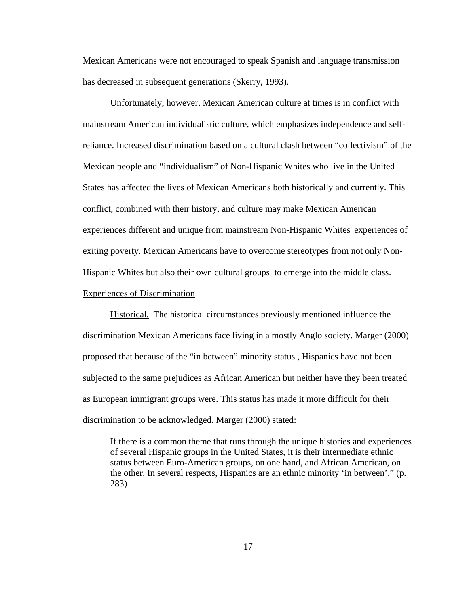<span id="page-22-0"></span>Mexican Americans were not encouraged to speak Spanish and language transmission has decreased in subsequent generations (Skerry, 1993).

Unfortunately, however, Mexican American culture at times is in conflict with mainstream American individualistic culture, which emphasizes independence and selfreliance. Increased discrimination based on a cultural clash between "collectivism" of the Mexican people and "individualism" of Non-Hispanic Whites who live in the United States has affected the lives of Mexican Americans both historically and currently. This conflict, combined with their history, and culture may make Mexican American experiences different and unique from mainstream Non-Hispanic Whites' experiences of exiting poverty. Mexican Americans have to overcome stereotypes from not only Non-Hispanic Whites but also their own cultural groups to emerge into the middle class.

#### Experiences of Discrimination

Historical. The historical circumstances previously mentioned influence the discrimination Mexican Americans face living in a mostly Anglo society. Marger (2000) proposed that because of the "in between" minority status , Hispanics have not been subjected to the same prejudices as African American but neither have they been treated as European immigrant groups were. This status has made it more difficult for their discrimination to be acknowledged. Marger (2000) stated:

If there is a common theme that runs through the unique histories and experiences of several Hispanic groups in the United States, it is their intermediate ethnic status between Euro-American groups, on one hand, and African American, on the other. In several respects, Hispanics are an ethnic minority 'in between'." (p. 283)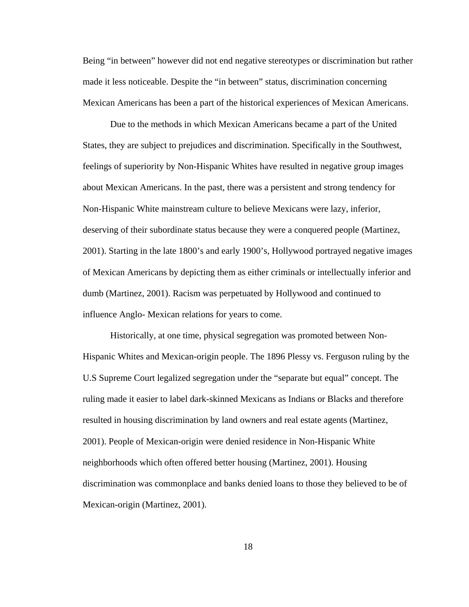Being "in between" however did not end negative stereotypes or discrimination but rather made it less noticeable. Despite the "in between" status, discrimination concerning Mexican Americans has been a part of the historical experiences of Mexican Americans.

Due to the methods in which Mexican Americans became a part of the United States, they are subject to prejudices and discrimination. Specifically in the Southwest, feelings of superiority by Non-Hispanic Whites have resulted in negative group images about Mexican Americans. In the past, there was a persistent and strong tendency for Non-Hispanic White mainstream culture to believe Mexicans were lazy, inferior, deserving of their subordinate status because they were a conquered people (Martinez, 2001). Starting in the late 1800's and early 1900's, Hollywood portrayed negative images of Mexican Americans by depicting them as either criminals or intellectually inferior and dumb (Martinez, 2001). Racism was perpetuated by Hollywood and continued to influence Anglo- Mexican relations for years to come.

Historically, at one time, physical segregation was promoted between Non-Hispanic Whites and Mexican-origin people. The 1896 Plessy vs. Ferguson ruling by the U.S Supreme Court legalized segregation under the "separate but equal" concept. The ruling made it easier to label dark-skinned Mexicans as Indians or Blacks and therefore resulted in housing discrimination by land owners and real estate agents (Martinez, 2001). People of Mexican-origin were denied residence in Non-Hispanic White neighborhoods which often offered better housing (Martinez, 2001). Housing discrimination was commonplace and banks denied loans to those they believed to be of Mexican-origin (Martinez, 2001).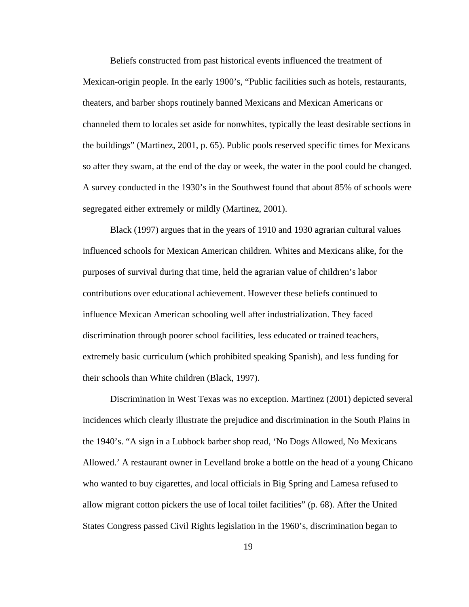Beliefs constructed from past historical events influenced the treatment of Mexican-origin people. In the early 1900's, "Public facilities such as hotels, restaurants, theaters, and barber shops routinely banned Mexicans and Mexican Americans or channeled them to locales set aside for nonwhites, typically the least desirable sections in the buildings" (Martinez, 2001, p. 65). Public pools reserved specific times for Mexicans so after they swam, at the end of the day or week, the water in the pool could be changed. A survey conducted in the 1930's in the Southwest found that about 85% of schools were segregated either extremely or mildly (Martinez, 2001).

Black (1997) argues that in the years of 1910 and 1930 agrarian cultural values influenced schools for Mexican American children. Whites and Mexicans alike, for the purposes of survival during that time, held the agrarian value of children's labor contributions over educational achievement. However these beliefs continued to influence Mexican American schooling well after industrialization. They faced discrimination through poorer school facilities, less educated or trained teachers, extremely basic curriculum (which prohibited speaking Spanish), and less funding for their schools than White children (Black, 1997).

Discrimination in West Texas was no exception. Martinez (2001) depicted several incidences which clearly illustrate the prejudice and discrimination in the South Plains in the 1940's. "A sign in a Lubbock barber shop read, 'No Dogs Allowed, No Mexicans Allowed.' A restaurant owner in Levelland broke a bottle on the head of a young Chicano who wanted to buy cigarettes, and local officials in Big Spring and Lamesa refused to allow migrant cotton pickers the use of local toilet facilities" (p. 68). After the United States Congress passed Civil Rights legislation in the 1960's, discrimination began to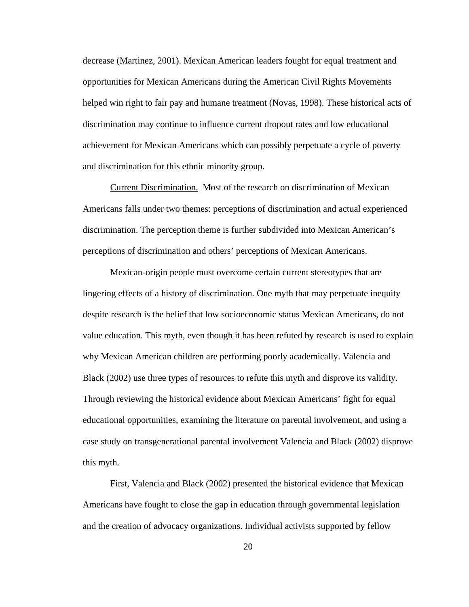<span id="page-25-0"></span>decrease (Martinez, 2001). Mexican American leaders fought for equal treatment and opportunities for Mexican Americans during the American Civil Rights Movements helped win right to fair pay and humane treatment (Novas, 1998). These historical acts of discrimination may continue to influence current dropout rates and low educational achievement for Mexican Americans which can possibly perpetuate a cycle of poverty and discrimination for this ethnic minority group.

Current Discrimination. Most of the research on discrimination of Mexican Americans falls under two themes: perceptions of discrimination and actual experienced discrimination. The perception theme is further subdivided into Mexican American's perceptions of discrimination and others' perceptions of Mexican Americans.

Mexican-origin people must overcome certain current stereotypes that are lingering effects of a history of discrimination. One myth that may perpetuate inequity despite research is the belief that low socioeconomic status Mexican Americans, do not value education. This myth, even though it has been refuted by research is used to explain why Mexican American children are performing poorly academically. Valencia and Black (2002) use three types of resources to refute this myth and disprove its validity. Through reviewing the historical evidence about Mexican Americans' fight for equal educational opportunities, examining the literature on parental involvement, and using a case study on transgenerational parental involvement Valencia and Black (2002) disprove this myth.

First, Valencia and Black (2002) presented the historical evidence that Mexican Americans have fought to close the gap in education through governmental legislation and the creation of advocacy organizations. Individual activists supported by fellow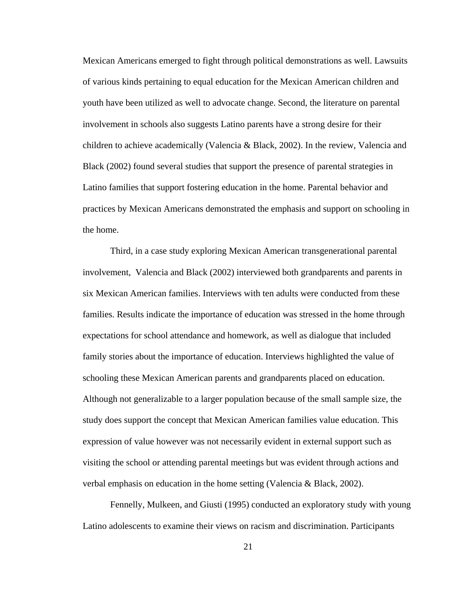Mexican Americans emerged to fight through political demonstrations as well. Lawsuits of various kinds pertaining to equal education for the Mexican American children and youth have been utilized as well to advocate change. Second, the literature on parental involvement in schools also suggests Latino parents have a strong desire for their children to achieve academically (Valencia & Black, 2002). In the review, Valencia and Black (2002) found several studies that support the presence of parental strategies in Latino families that support fostering education in the home. Parental behavior and practices by Mexican Americans demonstrated the emphasis and support on schooling in the home.

Third, in a case study exploring Mexican American transgenerational parental involvement, Valencia and Black (2002) interviewed both grandparents and parents in six Mexican American families. Interviews with ten adults were conducted from these families. Results indicate the importance of education was stressed in the home through expectations for school attendance and homework, as well as dialogue that included family stories about the importance of education. Interviews highlighted the value of schooling these Mexican American parents and grandparents placed on education. Although not generalizable to a larger population because of the small sample size, the study does support the concept that Mexican American families value education. This expression of value however was not necessarily evident in external support such as visiting the school or attending parental meetings but was evident through actions and verbal emphasis on education in the home setting (Valencia & Black, 2002).

Fennelly, Mulkeen, and Giusti (1995) conducted an exploratory study with young Latino adolescents to examine their views on racism and discrimination. Participants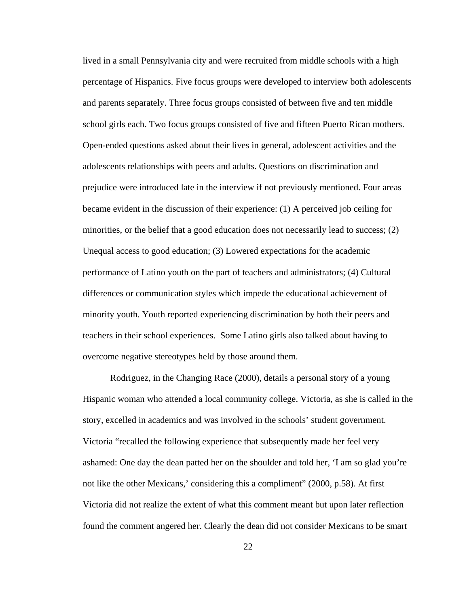lived in a small Pennsylvania city and were recruited from middle schools with a high percentage of Hispanics. Five focus groups were developed to interview both adolescents and parents separately. Three focus groups consisted of between five and ten middle school girls each. Two focus groups consisted of five and fifteen Puerto Rican mothers. Open-ended questions asked about their lives in general, adolescent activities and the adolescents relationships with peers and adults. Questions on discrimination and prejudice were introduced late in the interview if not previously mentioned. Four areas became evident in the discussion of their experience: (1) A perceived job ceiling for minorities, or the belief that a good education does not necessarily lead to success; (2) Unequal access to good education; (3) Lowered expectations for the academic performance of Latino youth on the part of teachers and administrators; (4) Cultural differences or communication styles which impede the educational achievement of minority youth. Youth reported experiencing discrimination by both their peers and teachers in their school experiences. Some Latino girls also talked about having to overcome negative stereotypes held by those around them.

Rodriguez, in the Changing Race (2000), details a personal story of a young Hispanic woman who attended a local community college. Victoria, as she is called in the story, excelled in academics and was involved in the schools' student government. Victoria "recalled the following experience that subsequently made her feel very ashamed: One day the dean patted her on the shoulder and told her, 'I am so glad you're not like the other Mexicans,' considering this a compliment" (2000, p.58). At first Victoria did not realize the extent of what this comment meant but upon later reflection found the comment angered her. Clearly the dean did not consider Mexicans to be smart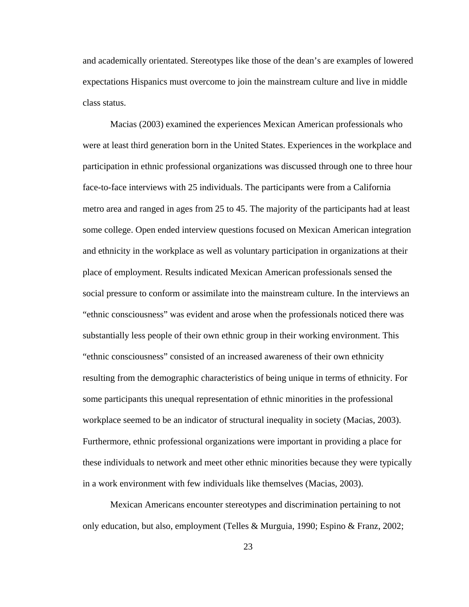and academically orientated. Stereotypes like those of the dean's are examples of lowered expectations Hispanics must overcome to join the mainstream culture and live in middle class status.

Macias (2003) examined the experiences Mexican American professionals who were at least third generation born in the United States. Experiences in the workplace and participation in ethnic professional organizations was discussed through one to three hour face-to-face interviews with 25 individuals. The participants were from a California metro area and ranged in ages from 25 to 45. The majority of the participants had at least some college. Open ended interview questions focused on Mexican American integration and ethnicity in the workplace as well as voluntary participation in organizations at their place of employment. Results indicated Mexican American professionals sensed the social pressure to conform or assimilate into the mainstream culture. In the interviews an "ethnic consciousness" was evident and arose when the professionals noticed there was substantially less people of their own ethnic group in their working environment. This "ethnic consciousness" consisted of an increased awareness of their own ethnicity resulting from the demographic characteristics of being unique in terms of ethnicity. For some participants this unequal representation of ethnic minorities in the professional workplace seemed to be an indicator of structural inequality in society (Macias, 2003). Furthermore, ethnic professional organizations were important in providing a place for these individuals to network and meet other ethnic minorities because they were typically in a work environment with few individuals like themselves (Macias, 2003).

Mexican Americans encounter stereotypes and discrimination pertaining to not only education, but also, employment (Telles & Murguia, 1990; Espino & Franz, 2002;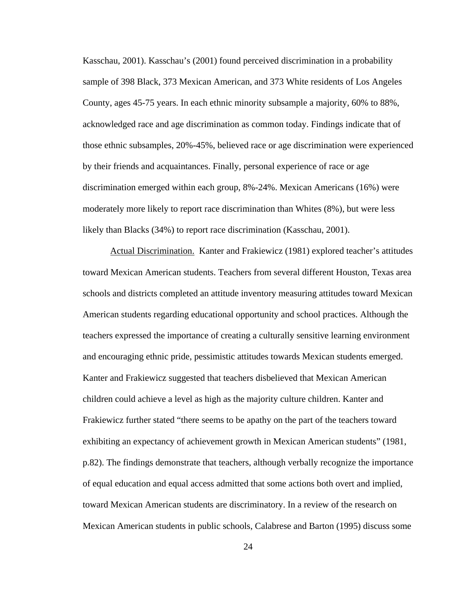<span id="page-29-0"></span>Kasschau, 2001). Kasschau's (2001) found perceived discrimination in a probability sample of 398 Black, 373 Mexican American, and 373 White residents of Los Angeles County, ages 45-75 years. In each ethnic minority subsample a majority, 60% to 88%, acknowledged race and age discrimination as common today. Findings indicate that of those ethnic subsamples, 20%-45%, believed race or age discrimination were experienced by their friends and acquaintances. Finally, personal experience of race or age discrimination emerged within each group, 8%-24%. Mexican Americans (16%) were moderately more likely to report race discrimination than Whites (8%), but were less likely than Blacks (34%) to report race discrimination (Kasschau, 2001).

Actual Discrimination. Kanter and Frakiewicz (1981) explored teacher's attitudes toward Mexican American students. Teachers from several different Houston, Texas area schools and districts completed an attitude inventory measuring attitudes toward Mexican American students regarding educational opportunity and school practices. Although the teachers expressed the importance of creating a culturally sensitive learning environment and encouraging ethnic pride, pessimistic attitudes towards Mexican students emerged. Kanter and Frakiewicz suggested that teachers disbelieved that Mexican American children could achieve a level as high as the majority culture children. Kanter and Frakiewicz further stated "there seems to be apathy on the part of the teachers toward exhibiting an expectancy of achievement growth in Mexican American students" (1981, p.82). The findings demonstrate that teachers, although verbally recognize the importance of equal education and equal access admitted that some actions both overt and implied, toward Mexican American students are discriminatory. In a review of the research on Mexican American students in public schools, Calabrese and Barton (1995) discuss some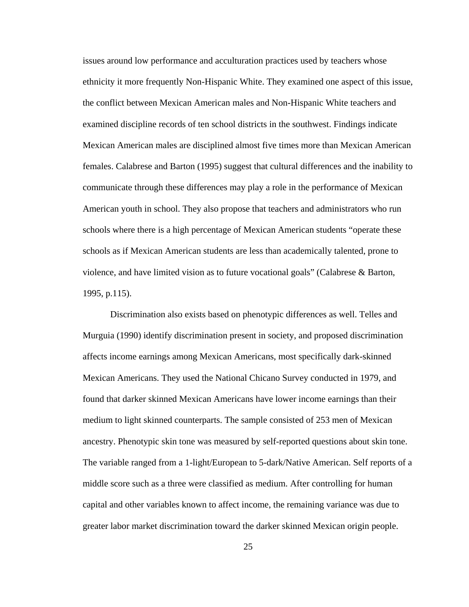issues around low performance and acculturation practices used by teachers whose ethnicity it more frequently Non-Hispanic White. They examined one aspect of this issue, the conflict between Mexican American males and Non-Hispanic White teachers and examined discipline records of ten school districts in the southwest. Findings indicate Mexican American males are disciplined almost five times more than Mexican American females. Calabrese and Barton (1995) suggest that cultural differences and the inability to communicate through these differences may play a role in the performance of Mexican American youth in school. They also propose that teachers and administrators who run schools where there is a high percentage of Mexican American students "operate these schools as if Mexican American students are less than academically talented, prone to violence, and have limited vision as to future vocational goals" (Calabrese & Barton, 1995, p.115).

Discrimination also exists based on phenotypic differences as well. Telles and Murguia (1990) identify discrimination present in society, and proposed discrimination affects income earnings among Mexican Americans, most specifically dark-skinned Mexican Americans. They used the National Chicano Survey conducted in 1979, and found that darker skinned Mexican Americans have lower income earnings than their medium to light skinned counterparts. The sample consisted of 253 men of Mexican ancestry. Phenotypic skin tone was measured by self-reported questions about skin tone. The variable ranged from a 1-light/European to 5-dark/Native American. Self reports of a middle score such as a three were classified as medium. After controlling for human capital and other variables known to affect income, the remaining variance was due to greater labor market discrimination toward the darker skinned Mexican origin people.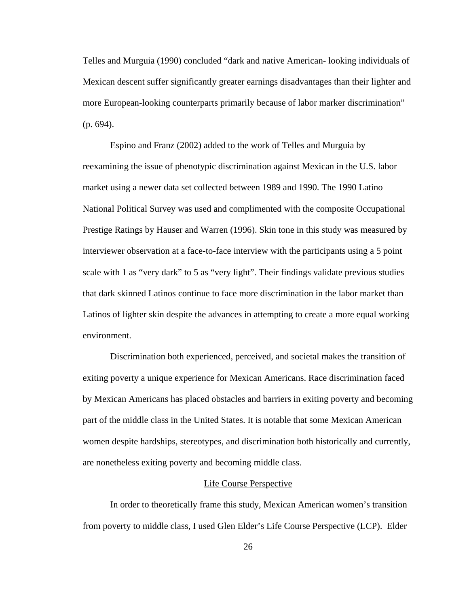<span id="page-31-0"></span>Telles and Murguia (1990) concluded "dark and native American- looking individuals of Mexican descent suffer significantly greater earnings disadvantages than their lighter and more European-looking counterparts primarily because of labor marker discrimination" (p. 694).

Espino and Franz (2002) added to the work of Telles and Murguia by reexamining the issue of phenotypic discrimination against Mexican in the U.S. labor market using a newer data set collected between 1989 and 1990. The 1990 Latino National Political Survey was used and complimented with the composite Occupational Prestige Ratings by Hauser and Warren (1996). Skin tone in this study was measured by interviewer observation at a face-to-face interview with the participants using a 5 point scale with 1 as "very dark" to 5 as "very light". Their findings validate previous studies that dark skinned Latinos continue to face more discrimination in the labor market than Latinos of lighter skin despite the advances in attempting to create a more equal working environment.

 Discrimination both experienced, perceived, and societal makes the transition of exiting poverty a unique experience for Mexican Americans. Race discrimination faced by Mexican Americans has placed obstacles and barriers in exiting poverty and becoming part of the middle class in the United States. It is notable that some Mexican American women despite hardships, stereotypes, and discrimination both historically and currently, are nonetheless exiting poverty and becoming middle class.

#### Life Course Perspective

In order to theoretically frame this study, Mexican American women's transition from poverty to middle class, I used Glen Elder's Life Course Perspective (LCP). Elder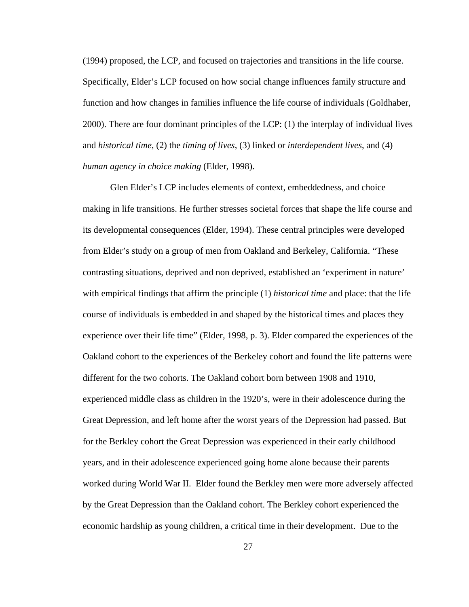(1994) proposed, the LCP, and focused on trajectories and transitions in the life course. Specifically, Elder's LCP focused on how social change influences family structure and function and how changes in families influence the life course of individuals (Goldhaber, 2000). There are four dominant principles of the LCP: (1) the interplay of individual lives and *historical time*, (2) the *timing of lives*, (3) linked or *interdependent lives*, and (4) *human agency in choice making* (Elder, 1998).

Glen Elder's LCP includes elements of context, embeddedness, and choice making in life transitions. He further stresses societal forces that shape the life course and its developmental consequences (Elder, 1994). These central principles were developed from Elder's study on a group of men from Oakland and Berkeley, California. "These contrasting situations, deprived and non deprived, established an 'experiment in nature' with empirical findings that affirm the principle (1) *historical time* and place: that the life course of individuals is embedded in and shaped by the historical times and places they experience over their life time" (Elder, 1998, p. 3). Elder compared the experiences of the Oakland cohort to the experiences of the Berkeley cohort and found the life patterns were different for the two cohorts. The Oakland cohort born between 1908 and 1910, experienced middle class as children in the 1920's, were in their adolescence during the Great Depression, and left home after the worst years of the Depression had passed. But for the Berkley cohort the Great Depression was experienced in their early childhood years, and in their adolescence experienced going home alone because their parents worked during World War II. Elder found the Berkley men were more adversely affected by the Great Depression than the Oakland cohort. The Berkley cohort experienced the economic hardship as young children, a critical time in their development. Due to the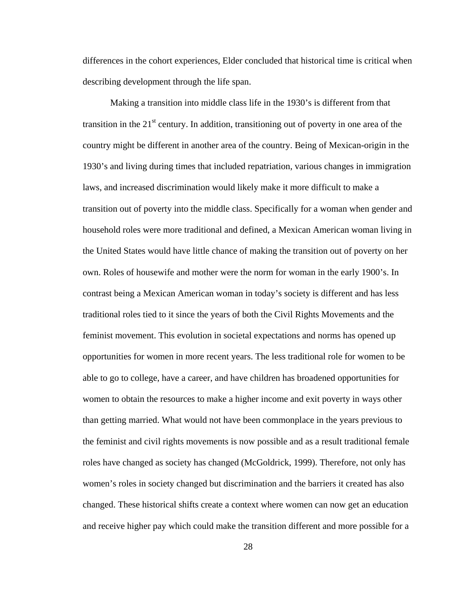differences in the cohort experiences, Elder concluded that historical time is critical when describing development through the life span.

Making a transition into middle class life in the 1930's is different from that transition in the  $21^{st}$  century. In addition, transitioning out of poverty in one area of the country might be different in another area of the country. Being of Mexican-origin in the 1930's and living during times that included repatriation, various changes in immigration laws, and increased discrimination would likely make it more difficult to make a transition out of poverty into the middle class. Specifically for a woman when gender and household roles were more traditional and defined, a Mexican American woman living in the United States would have little chance of making the transition out of poverty on her own. Roles of housewife and mother were the norm for woman in the early 1900's. In contrast being a Mexican American woman in today's society is different and has less traditional roles tied to it since the years of both the Civil Rights Movements and the feminist movement. This evolution in societal expectations and norms has opened up opportunities for women in more recent years. The less traditional role for women to be able to go to college, have a career, and have children has broadened opportunities for women to obtain the resources to make a higher income and exit poverty in ways other than getting married. What would not have been commonplace in the years previous to the feminist and civil rights movements is now possible and as a result traditional female roles have changed as society has changed (McGoldrick, 1999). Therefore, not only has women's roles in society changed but discrimination and the barriers it created has also changed. These historical shifts create a context where women can now get an education and receive higher pay which could make the transition different and more possible for a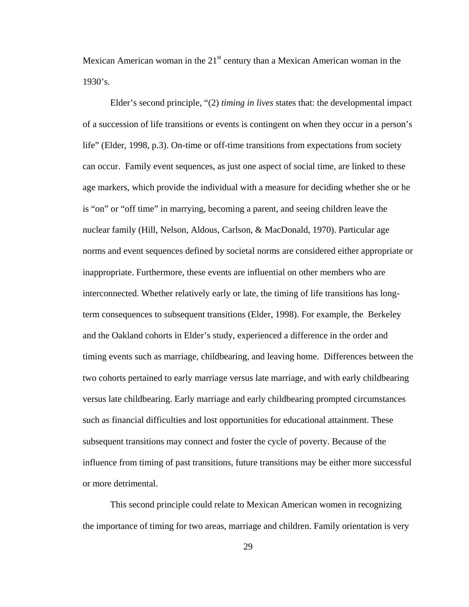Mexican American woman in the  $21<sup>st</sup>$  century than a Mexican American woman in the  $1930's.$ 

Elder's second principle, "(2) *timing in lives* states that: the developmental impact of a succession of life transitions or events is contingent on when they occur in a person's life" (Elder, 1998, p.3). On-time or off-time transitions from expectations from society can occur. Family event sequences, as just one aspect of social time, are linked to these age markers, which provide the individual with a measure for deciding whether she or he is "on" or "off time" in marrying, becoming a parent, and seeing children leave the nuclear family (Hill, Nelson, Aldous, Carlson, & MacDonald, 1970). Particular age norms and event sequences defined by societal norms are considered either appropriate or inappropriate. Furthermore, these events are influential on other members who are interconnected. Whether relatively early or late, the timing of life transitions has longterm consequences to subsequent transitions (Elder, 1998). For example, the Berkeley and the Oakland cohorts in Elder's study, experienced a difference in the order and timing events such as marriage, childbearing, and leaving home. Differences between the two cohorts pertained to early marriage versus late marriage, and with early childbearing versus late childbearing. Early marriage and early childbearing prompted circumstances such as financial difficulties and lost opportunities for educational attainment. These subsequent transitions may connect and foster the cycle of poverty. Because of the influence from timing of past transitions, future transitions may be either more successful or more detrimental.

This second principle could relate to Mexican American women in recognizing the importance of timing for two areas, marriage and children. Family orientation is very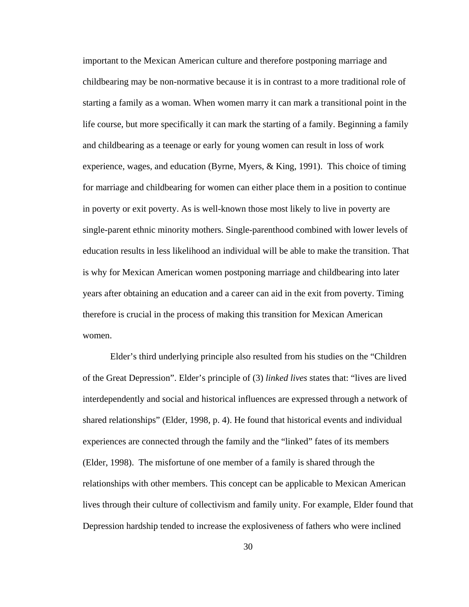important to the Mexican American culture and therefore postponing marriage and childbearing may be non-normative because it is in contrast to a more traditional role of starting a family as a woman. When women marry it can mark a transitional point in the life course, but more specifically it can mark the starting of a family. Beginning a family and childbearing as a teenage or early for young women can result in loss of work experience, wages, and education (Byrne, Myers, & King, 1991). This choice of timing for marriage and childbearing for women can either place them in a position to continue in poverty or exit poverty. As is well-known those most likely to live in poverty are single-parent ethnic minority mothers. Single-parenthood combined with lower levels of education results in less likelihood an individual will be able to make the transition. That is why for Mexican American women postponing marriage and childbearing into later years after obtaining an education and a career can aid in the exit from poverty. Timing therefore is crucial in the process of making this transition for Mexican American women.

Elder's third underlying principle also resulted from his studies on the "Children of the Great Depression". Elder's principle of (3) *linked lives* states that: "lives are lived interdependently and social and historical influences are expressed through a network of shared relationships" (Elder, 1998, p. 4). He found that historical events and individual experiences are connected through the family and the "linked" fates of its members (Elder, 1998). The misfortune of one member of a family is shared through the relationships with other members. This concept can be applicable to Mexican American lives through their culture of collectivism and family unity. For example, Elder found that Depression hardship tended to increase the explosiveness of fathers who were inclined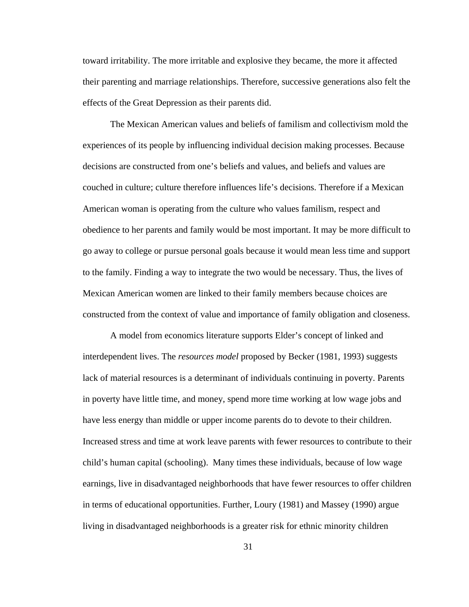toward irritability. The more irritable and explosive they became, the more it affected their parenting and marriage relationships. Therefore, successive generations also felt the effects of the Great Depression as their parents did.

The Mexican American values and beliefs of familism and collectivism mold the experiences of its people by influencing individual decision making processes. Because decisions are constructed from one's beliefs and values, and beliefs and values are couched in culture; culture therefore influences life's decisions. Therefore if a Mexican American woman is operating from the culture who values familism, respect and obedience to her parents and family would be most important. It may be more difficult to go away to college or pursue personal goals because it would mean less time and support to the family. Finding a way to integrate the two would be necessary. Thus, the lives of Mexican American women are linked to their family members because choices are constructed from the context of value and importance of family obligation and closeness.

A model from economics literature supports Elder's concept of linked and interdependent lives. The *resources model* proposed by Becker (1981, 1993) suggests lack of material resources is a determinant of individuals continuing in poverty. Parents in poverty have little time, and money, spend more time working at low wage jobs and have less energy than middle or upper income parents do to devote to their children. Increased stress and time at work leave parents with fewer resources to contribute to their child's human capital (schooling). Many times these individuals, because of low wage earnings, live in disadvantaged neighborhoods that have fewer resources to offer children in terms of educational opportunities. Further, Loury (1981) and Massey (1990) argue living in disadvantaged neighborhoods is a greater risk for ethnic minority children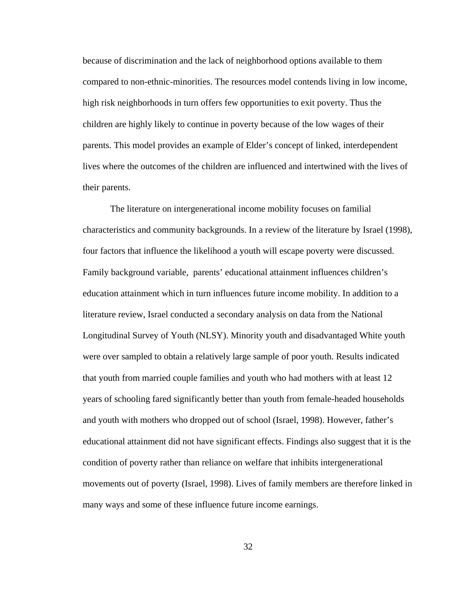because of discrimination and the lack of neighborhood options available to them compared to non-ethnic-minorities. The resources model contends living in low income, high risk neighborhoods in turn offers few opportunities to exit poverty. Thus the children are highly likely to continue in poverty because of the low wages of their parents. This model provides an example of Elder's concept of linked, interdependent lives where the outcomes of the children are influenced and intertwined with the lives of their parents.

 The literature on intergenerational income mobility focuses on familial characteristics and community backgrounds. In a review of the literature by Israel (1998), four factors that influence the likelihood a youth will escape poverty were discussed. Family background variable, parents' educational attainment influences children's education attainment which in turn influences future income mobility. In addition to a literature review, Israel conducted a secondary analysis on data from the National Longitudinal Survey of Youth (NLSY). Minority youth and disadvantaged White youth were over sampled to obtain a relatively large sample of poor youth. Results indicated that youth from married couple families and youth who had mothers with at least 12 years of schooling fared significantly better than youth from female-headed households and youth with mothers who dropped out of school (Israel, 1998). However, father's educational attainment did not have significant effects. Findings also suggest that it is the condition of poverty rather than reliance on welfare that inhibits intergenerational movements out of poverty (Israel, 1998). Lives of family members are therefore linked in many ways and some of these influence future income earnings.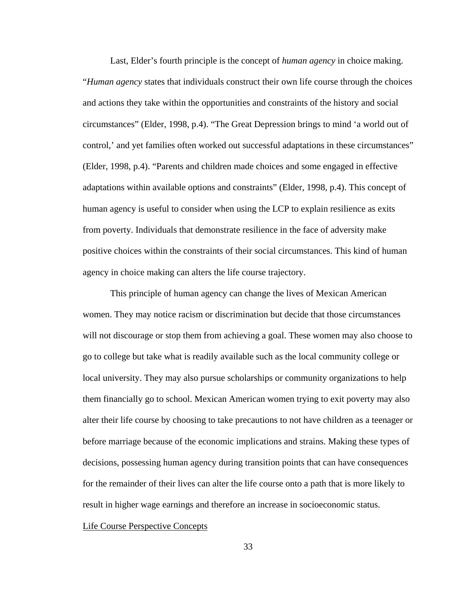Last, Elder's fourth principle is the concept of *human agency* in choice making. "*Human agency* states that individuals construct their own life course through the choices and actions they take within the opportunities and constraints of the history and social circumstances" (Elder, 1998, p.4). "The Great Depression brings to mind 'a world out of control,' and yet families often worked out successful adaptations in these circumstances" (Elder, 1998, p.4). "Parents and children made choices and some engaged in effective adaptations within available options and constraints" (Elder, 1998, p.4). This concept of human agency is useful to consider when using the LCP to explain resilience as exits from poverty. Individuals that demonstrate resilience in the face of adversity make positive choices within the constraints of their social circumstances. This kind of human agency in choice making can alters the life course trajectory.

This principle of human agency can change the lives of Mexican American women. They may notice racism or discrimination but decide that those circumstances will not discourage or stop them from achieving a goal. These women may also choose to go to college but take what is readily available such as the local community college or local university. They may also pursue scholarships or community organizations to help them financially go to school. Mexican American women trying to exit poverty may also alter their life course by choosing to take precautions to not have children as a teenager or before marriage because of the economic implications and strains. Making these types of decisions, possessing human agency during transition points that can have consequences for the remainder of their lives can alter the life course onto a path that is more likely to result in higher wage earnings and therefore an increase in socioeconomic status.

Life Course Perspective Concepts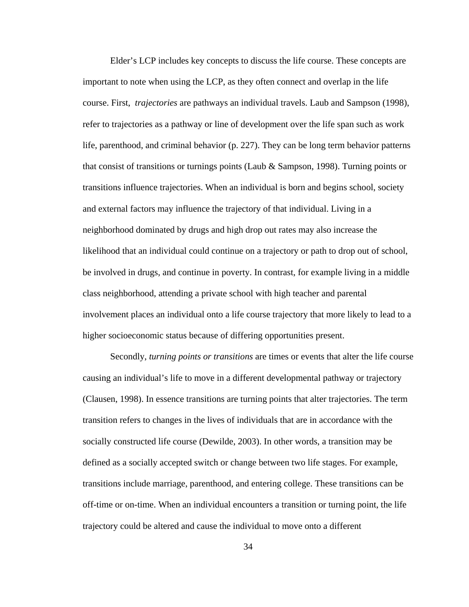Elder's LCP includes key concepts to discuss the life course. These concepts are important to note when using the LCP, as they often connect and overlap in the life course. First, *trajectories* are pathways an individual travels. Laub and Sampson (1998), refer to trajectories as a pathway or line of development over the life span such as work life, parenthood, and criminal behavior (p. 227). They can be long term behavior patterns that consist of transitions or turnings points (Laub & Sampson, 1998). Turning points or transitions influence trajectories. When an individual is born and begins school, society and external factors may influence the trajectory of that individual. Living in a neighborhood dominated by drugs and high drop out rates may also increase the likelihood that an individual could continue on a trajectory or path to drop out of school, be involved in drugs, and continue in poverty. In contrast, for example living in a middle class neighborhood, attending a private school with high teacher and parental involvement places an individual onto a life course trajectory that more likely to lead to a higher socioeconomic status because of differing opportunities present.

Secondly, *turning points or transitions* are times or events that alter the life course causing an individual's life to move in a different developmental pathway or trajectory (Clausen, 1998). In essence transitions are turning points that alter trajectories. The term transition refers to changes in the lives of individuals that are in accordance with the socially constructed life course (Dewilde, 2003). In other words, a transition may be defined as a socially accepted switch or change between two life stages. For example, transitions include marriage, parenthood, and entering college. These transitions can be off-time or on-time. When an individual encounters a transition or turning point, the life trajectory could be altered and cause the individual to move onto a different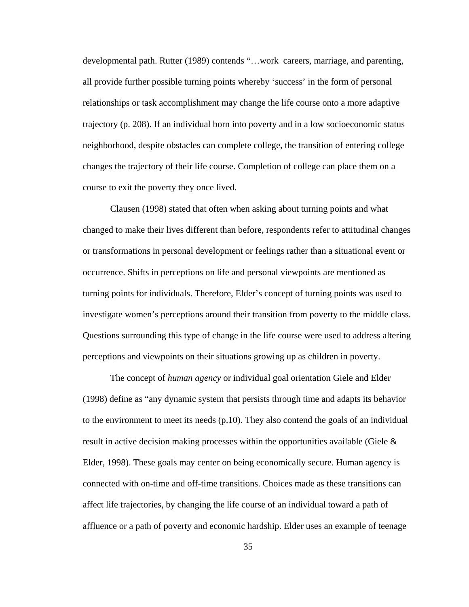developmental path. Rutter (1989) contends "…work careers, marriage, and parenting, all provide further possible turning points whereby 'success' in the form of personal relationships or task accomplishment may change the life course onto a more adaptive trajectory (p. 208). If an individual born into poverty and in a low socioeconomic status neighborhood, despite obstacles can complete college, the transition of entering college changes the trajectory of their life course. Completion of college can place them on a course to exit the poverty they once lived.

Clausen (1998) stated that often when asking about turning points and what changed to make their lives different than before, respondents refer to attitudinal changes or transformations in personal development or feelings rather than a situational event or occurrence. Shifts in perceptions on life and personal viewpoints are mentioned as turning points for individuals. Therefore, Elder's concept of turning points was used to investigate women's perceptions around their transition from poverty to the middle class. Questions surrounding this type of change in the life course were used to address altering perceptions and viewpoints on their situations growing up as children in poverty.

The concept of *human agency* or individual goal orientation Giele and Elder (1998) define as "any dynamic system that persists through time and adapts its behavior to the environment to meet its needs (p.10). They also contend the goals of an individual result in active decision making processes within the opportunities available (Giele  $\&$ Elder, 1998). These goals may center on being economically secure. Human agency is connected with on-time and off-time transitions. Choices made as these transitions can affect life trajectories, by changing the life course of an individual toward a path of affluence or a path of poverty and economic hardship. Elder uses an example of teenage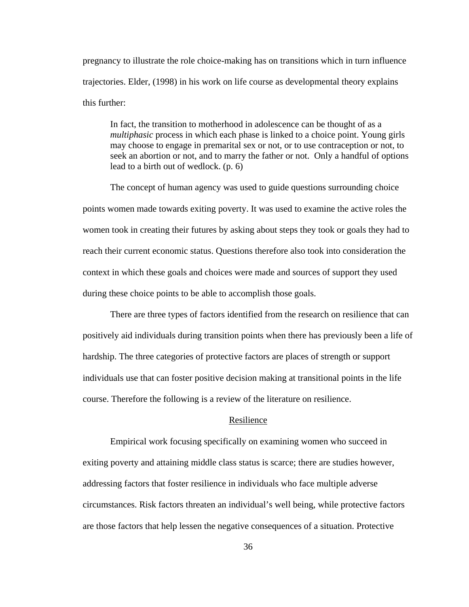pregnancy to illustrate the role choice-making has on transitions which in turn influence trajectories. Elder, (1998) in his work on life course as developmental theory explains this further:

In fact, the transition to motherhood in adolescence can be thought of as a *multiphasic* process in which each phase is linked to a choice point. Young girls may choose to engage in premarital sex or not, or to use contraception or not, to seek an abortion or not, and to marry the father or not. Only a handful of options lead to a birth out of wedlock. (p. 6)

The concept of human agency was used to guide questions surrounding choice points women made towards exiting poverty. It was used to examine the active roles the women took in creating their futures by asking about steps they took or goals they had to reach their current economic status. Questions therefore also took into consideration the context in which these goals and choices were made and sources of support they used during these choice points to be able to accomplish those goals.

 There are three types of factors identified from the research on resilience that can positively aid individuals during transition points when there has previously been a life of hardship. The three categories of protective factors are places of strength or support individuals use that can foster positive decision making at transitional points in the life course. Therefore the following is a review of the literature on resilience.

## Resilience

Empirical work focusing specifically on examining women who succeed in exiting poverty and attaining middle class status is scarce; there are studies however, addressing factors that foster resilience in individuals who face multiple adverse circumstances. Risk factors threaten an individual's well being, while protective factors are those factors that help lessen the negative consequences of a situation. Protective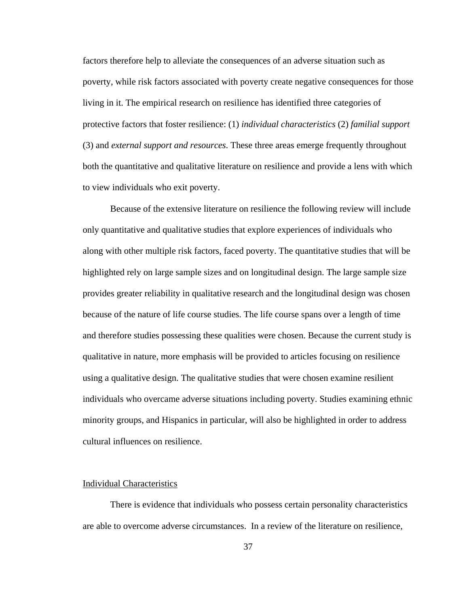factors therefore help to alleviate the consequences of an adverse situation such as poverty, while risk factors associated with poverty create negative consequences for those living in it. The empirical research on resilience has identified three categories of protective factors that foster resilience: (1) *individual characteristics* (2) *familial support* (3) and *external support and resources*. These three areas emerge frequently throughout both the quantitative and qualitative literature on resilience and provide a lens with which to view individuals who exit poverty.

Because of the extensive literature on resilience the following review will include only quantitative and qualitative studies that explore experiences of individuals who along with other multiple risk factors, faced poverty. The quantitative studies that will be highlighted rely on large sample sizes and on longitudinal design. The large sample size provides greater reliability in qualitative research and the longitudinal design was chosen because of the nature of life course studies. The life course spans over a length of time and therefore studies possessing these qualities were chosen. Because the current study is qualitative in nature, more emphasis will be provided to articles focusing on resilience using a qualitative design. The qualitative studies that were chosen examine resilient individuals who overcame adverse situations including poverty. Studies examining ethnic minority groups, and Hispanics in particular, will also be highlighted in order to address cultural influences on resilience.

## Individual Characteristics

There is evidence that individuals who possess certain personality characteristics are able to overcome adverse circumstances. In a review of the literature on resilience,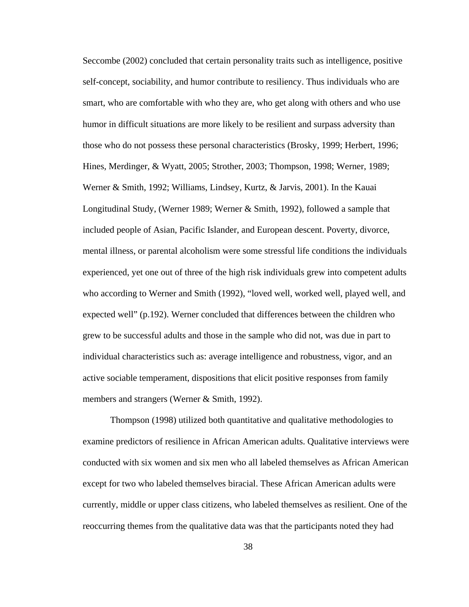Seccombe (2002) concluded that certain personality traits such as intelligence, positive self-concept, sociability, and humor contribute to resiliency. Thus individuals who are smart, who are comfortable with who they are, who get along with others and who use humor in difficult situations are more likely to be resilient and surpass adversity than those who do not possess these personal characteristics (Brosky, 1999; Herbert, 1996; Hines, Merdinger, & Wyatt, 2005; Strother, 2003; Thompson, 1998; Werner, 1989; Werner & Smith, 1992; Williams, Lindsey, Kurtz, & Jarvis, 2001). In the Kauai Longitudinal Study, (Werner 1989; Werner & Smith, 1992), followed a sample that included people of Asian, Pacific Islander, and European descent. Poverty, divorce, mental illness, or parental alcoholism were some stressful life conditions the individuals experienced, yet one out of three of the high risk individuals grew into competent adults who according to Werner and Smith (1992), "loved well, worked well, played well, and expected well" (p.192). Werner concluded that differences between the children who grew to be successful adults and those in the sample who did not, was due in part to individual characteristics such as: average intelligence and robustness, vigor, and an active sociable temperament, dispositions that elicit positive responses from family members and strangers (Werner & Smith, 1992).

Thompson (1998) utilized both quantitative and qualitative methodologies to examine predictors of resilience in African American adults. Qualitative interviews were conducted with six women and six men who all labeled themselves as African American except for two who labeled themselves biracial. These African American adults were currently, middle or upper class citizens, who labeled themselves as resilient. One of the reoccurring themes from the qualitative data was that the participants noted they had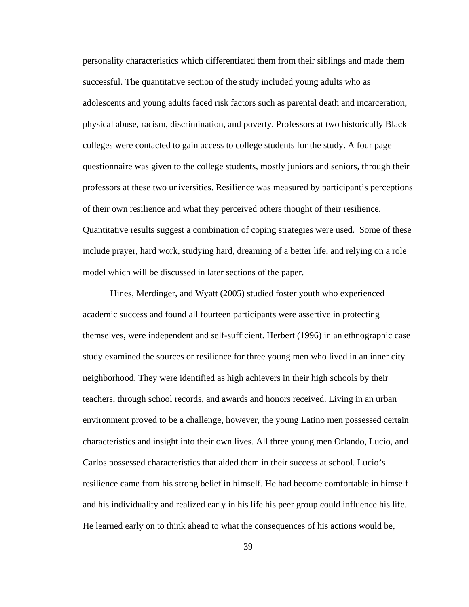personality characteristics which differentiated them from their siblings and made them successful. The quantitative section of the study included young adults who as adolescents and young adults faced risk factors such as parental death and incarceration, physical abuse, racism, discrimination, and poverty. Professors at two historically Black colleges were contacted to gain access to college students for the study. A four page questionnaire was given to the college students, mostly juniors and seniors, through their professors at these two universities. Resilience was measured by participant's perceptions of their own resilience and what they perceived others thought of their resilience. Quantitative results suggest a combination of coping strategies were used. Some of these include prayer, hard work, studying hard, dreaming of a better life, and relying on a role model which will be discussed in later sections of the paper.

Hines, Merdinger, and Wyatt (2005) studied foster youth who experienced academic success and found all fourteen participants were assertive in protecting themselves, were independent and self-sufficient. Herbert (1996) in an ethnographic case study examined the sources or resilience for three young men who lived in an inner city neighborhood. They were identified as high achievers in their high schools by their teachers, through school records, and awards and honors received. Living in an urban environment proved to be a challenge, however, the young Latino men possessed certain characteristics and insight into their own lives. All three young men Orlando, Lucio, and Carlos possessed characteristics that aided them in their success at school. Lucio's resilience came from his strong belief in himself. He had become comfortable in himself and his individuality and realized early in his life his peer group could influence his life. He learned early on to think ahead to what the consequences of his actions would be,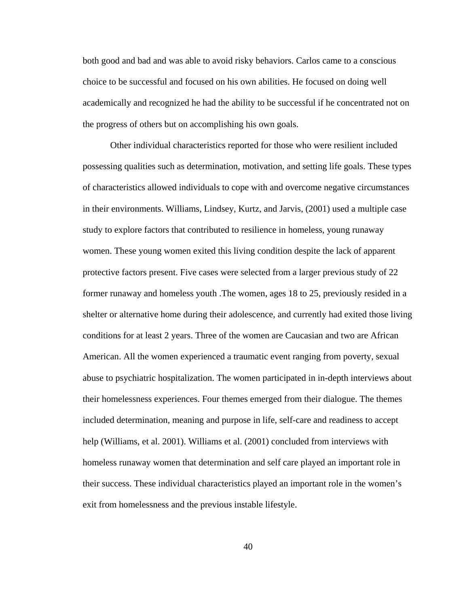both good and bad and was able to avoid risky behaviors. Carlos came to a conscious choice to be successful and focused on his own abilities. He focused on doing well academically and recognized he had the ability to be successful if he concentrated not on the progress of others but on accomplishing his own goals.

Other individual characteristics reported for those who were resilient included possessing qualities such as determination, motivation, and setting life goals. These types of characteristics allowed individuals to cope with and overcome negative circumstances in their environments. Williams, Lindsey, Kurtz, and Jarvis, (2001) used a multiple case study to explore factors that contributed to resilience in homeless, young runaway women. These young women exited this living condition despite the lack of apparent protective factors present. Five cases were selected from a larger previous study of 22 former runaway and homeless youth .The women, ages 18 to 25, previously resided in a shelter or alternative home during their adolescence, and currently had exited those living conditions for at least 2 years. Three of the women are Caucasian and two are African American. All the women experienced a traumatic event ranging from poverty, sexual abuse to psychiatric hospitalization. The women participated in in-depth interviews about their homelessness experiences. Four themes emerged from their dialogue. The themes included determination, meaning and purpose in life, self-care and readiness to accept help (Williams, et al. 2001). Williams et al. (2001) concluded from interviews with homeless runaway women that determination and self care played an important role in their success. These individual characteristics played an important role in the women's exit from homelessness and the previous instable lifestyle.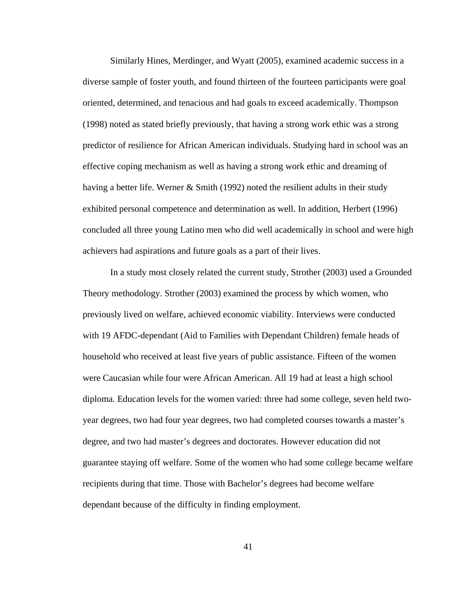Similarly Hines, Merdinger, and Wyatt (2005), examined academic success in a diverse sample of foster youth, and found thirteen of the fourteen participants were goal oriented, determined, and tenacious and had goals to exceed academically. Thompson (1998) noted as stated briefly previously, that having a strong work ethic was a strong predictor of resilience for African American individuals. Studying hard in school was an effective coping mechanism as well as having a strong work ethic and dreaming of having a better life. Werner & Smith (1992) noted the resilient adults in their study exhibited personal competence and determination as well. In addition, Herbert (1996) concluded all three young Latino men who did well academically in school and were high achievers had aspirations and future goals as a part of their lives.

In a study most closely related the current study, Strother (2003) used a Grounded Theory methodology. Strother (2003) examined the process by which women, who previously lived on welfare, achieved economic viability. Interviews were conducted with 19 AFDC-dependant (Aid to Families with Dependant Children) female heads of household who received at least five years of public assistance. Fifteen of the women were Caucasian while four were African American. All 19 had at least a high school diploma. Education levels for the women varied: three had some college, seven held twoyear degrees, two had four year degrees, two had completed courses towards a master's degree, and two had master's degrees and doctorates. However education did not guarantee staying off welfare. Some of the women who had some college became welfare recipients during that time. Those with Bachelor's degrees had become welfare dependant because of the difficulty in finding employment.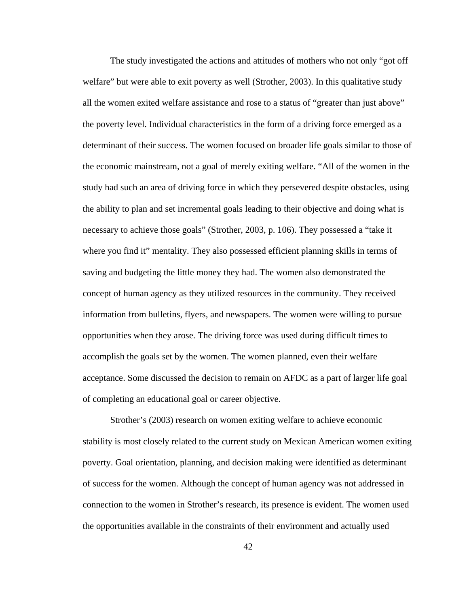The study investigated the actions and attitudes of mothers who not only "got off welfare" but were able to exit poverty as well (Strother, 2003). In this qualitative study all the women exited welfare assistance and rose to a status of "greater than just above" the poverty level. Individual characteristics in the form of a driving force emerged as a determinant of their success. The women focused on broader life goals similar to those of the economic mainstream, not a goal of merely exiting welfare. "All of the women in the study had such an area of driving force in which they persevered despite obstacles, using the ability to plan and set incremental goals leading to their objective and doing what is necessary to achieve those goals" (Strother, 2003, p. 106). They possessed a "take it where you find it" mentality. They also possessed efficient planning skills in terms of saving and budgeting the little money they had. The women also demonstrated the concept of human agency as they utilized resources in the community. They received information from bulletins, flyers, and newspapers. The women were willing to pursue opportunities when they arose. The driving force was used during difficult times to accomplish the goals set by the women. The women planned, even their welfare acceptance. Some discussed the decision to remain on AFDC as a part of larger life goal of completing an educational goal or career objective.

Strother's (2003) research on women exiting welfare to achieve economic stability is most closely related to the current study on Mexican American women exiting poverty. Goal orientation, planning, and decision making were identified as determinant of success for the women. Although the concept of human agency was not addressed in connection to the women in Strother's research, its presence is evident. The women used the opportunities available in the constraints of their environment and actually used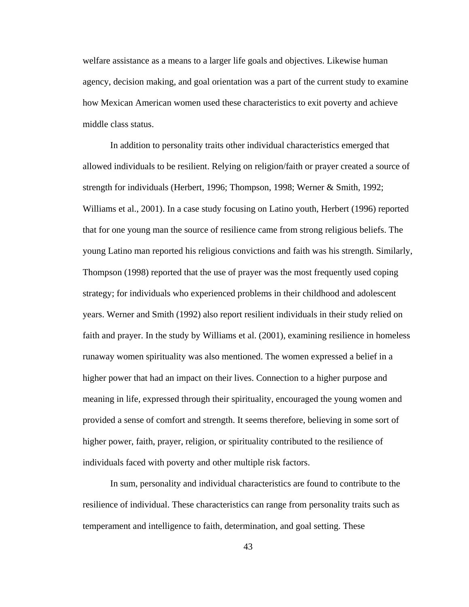welfare assistance as a means to a larger life goals and objectives. Likewise human agency, decision making, and goal orientation was a part of the current study to examine how Mexican American women used these characteristics to exit poverty and achieve middle class status.

In addition to personality traits other individual characteristics emerged that allowed individuals to be resilient. Relying on religion/faith or prayer created a source of strength for individuals (Herbert, 1996; Thompson, 1998; Werner & Smith, 1992; Williams et al., 2001). In a case study focusing on Latino youth, Herbert (1996) reported that for one young man the source of resilience came from strong religious beliefs. The young Latino man reported his religious convictions and faith was his strength. Similarly, Thompson (1998) reported that the use of prayer was the most frequently used coping strategy; for individuals who experienced problems in their childhood and adolescent years. Werner and Smith (1992) also report resilient individuals in their study relied on faith and prayer. In the study by Williams et al. (2001), examining resilience in homeless runaway women spirituality was also mentioned. The women expressed a belief in a higher power that had an impact on their lives. Connection to a higher purpose and meaning in life, expressed through their spirituality, encouraged the young women and provided a sense of comfort and strength. It seems therefore, believing in some sort of higher power, faith, prayer, religion, or spirituality contributed to the resilience of individuals faced with poverty and other multiple risk factors.

In sum, personality and individual characteristics are found to contribute to the resilience of individual. These characteristics can range from personality traits such as temperament and intelligence to faith, determination, and goal setting. These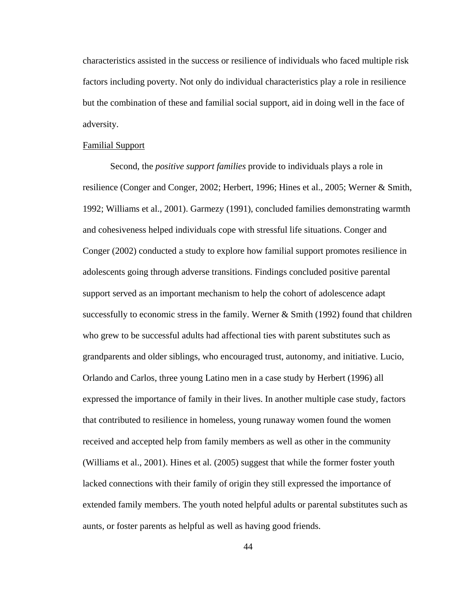characteristics assisted in the success or resilience of individuals who faced multiple risk factors including poverty. Not only do individual characteristics play a role in resilience but the combination of these and familial social support, aid in doing well in the face of adversity.

## Familial Support

Second, the *positive support families* provide to individuals plays a role in resilience (Conger and Conger, 2002; Herbert, 1996; Hines et al., 2005; Werner & Smith, 1992; Williams et al., 2001). Garmezy (1991), concluded families demonstrating warmth and cohesiveness helped individuals cope with stressful life situations. Conger and Conger (2002) conducted a study to explore how familial support promotes resilience in adolescents going through adverse transitions. Findings concluded positive parental support served as an important mechanism to help the cohort of adolescence adapt successfully to economic stress in the family. Werner & Smith (1992) found that children who grew to be successful adults had affectional ties with parent substitutes such as grandparents and older siblings, who encouraged trust, autonomy, and initiative. Lucio, Orlando and Carlos, three young Latino men in a case study by Herbert (1996) all expressed the importance of family in their lives. In another multiple case study, factors that contributed to resilience in homeless, young runaway women found the women received and accepted help from family members as well as other in the community (Williams et al., 2001). Hines et al. (2005) suggest that while the former foster youth lacked connections with their family of origin they still expressed the importance of extended family members. The youth noted helpful adults or parental substitutes such as aunts, or foster parents as helpful as well as having good friends.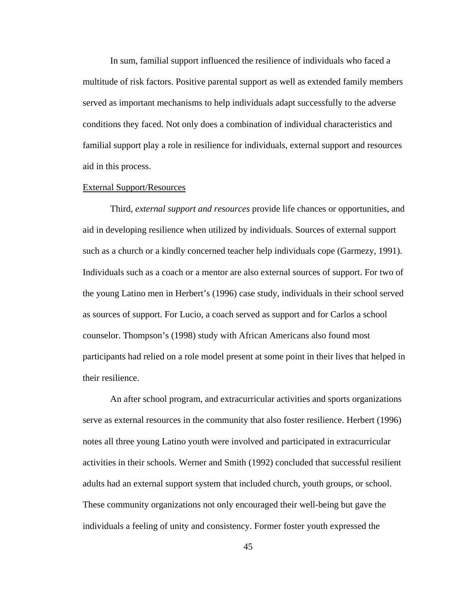In sum, familial support influenced the resilience of individuals who faced a multitude of risk factors. Positive parental support as well as extended family members served as important mechanisms to help individuals adapt successfully to the adverse conditions they faced. Not only does a combination of individual characteristics and familial support play a role in resilience for individuals, external support and resources aid in this process.

## External Support/Resources

Third, *external support and resources* provide life chances or opportunities, and aid in developing resilience when utilized by individuals. Sources of external support such as a church or a kindly concerned teacher help individuals cope (Garmezy, 1991). Individuals such as a coach or a mentor are also external sources of support. For two of the young Latino men in Herbert's (1996) case study, individuals in their school served as sources of support. For Lucio, a coach served as support and for Carlos a school counselor. Thompson's (1998) study with African Americans also found most participants had relied on a role model present at some point in their lives that helped in their resilience.

An after school program, and extracurricular activities and sports organizations serve as external resources in the community that also foster resilience. Herbert (1996) notes all three young Latino youth were involved and participated in extracurricular activities in their schools. Werner and Smith (1992) concluded that successful resilient adults had an external support system that included church, youth groups, or school. These community organizations not only encouraged their well-being but gave the individuals a feeling of unity and consistency. Former foster youth expressed the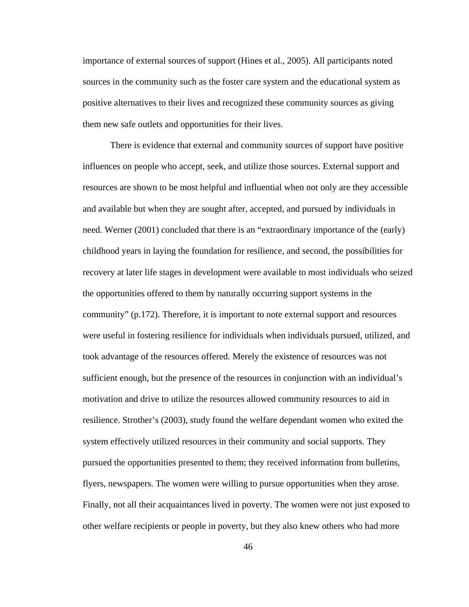importance of external sources of support (Hines et al., 2005). All participants noted sources in the community such as the foster care system and the educational system as positive alternatives to their lives and recognized these community sources as giving them new safe outlets and opportunities for their lives.

There is evidence that external and community sources of support have positive influences on people who accept, seek, and utilize those sources. External support and resources are shown to be most helpful and influential when not only are they accessible and available but when they are sought after, accepted, and pursued by individuals in need. Werner (2001) concluded that there is an "extraordinary importance of the (early) childhood years in laying the foundation for resilience, and second, the possibilities for recovery at later life stages in development were available to most individuals who seized the opportunities offered to them by naturally occurring support systems in the community" (p.172). Therefore, it is important to note external support and resources were useful in fostering resilience for individuals when individuals pursued, utilized, and took advantage of the resources offered. Merely the existence of resources was not sufficient enough, but the presence of the resources in conjunction with an individual's motivation and drive to utilize the resources allowed community resources to aid in resilience. Strother's (2003), study found the welfare dependant women who exited the system effectively utilized resources in their community and social supports. They pursued the opportunities presented to them; they received information from bulletins, flyers, newspapers. The women were willing to pursue opportunities when they arose. Finally, not all their acquaintances lived in poverty. The women were not just exposed to other welfare recipients or people in poverty, but they also knew others who had more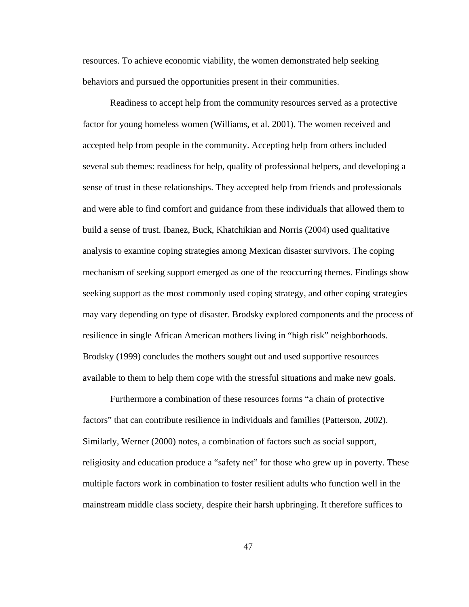resources. To achieve economic viability, the women demonstrated help seeking behaviors and pursued the opportunities present in their communities.

Readiness to accept help from the community resources served as a protective factor for young homeless women (Williams, et al. 2001). The women received and accepted help from people in the community. Accepting help from others included several sub themes: readiness for help, quality of professional helpers, and developing a sense of trust in these relationships. They accepted help from friends and professionals and were able to find comfort and guidance from these individuals that allowed them to build a sense of trust. Ibanez, Buck, Khatchikian and Norris (2004) used qualitative analysis to examine coping strategies among Mexican disaster survivors. The coping mechanism of seeking support emerged as one of the reoccurring themes. Findings show seeking support as the most commonly used coping strategy, and other coping strategies may vary depending on type of disaster. Brodsky explored components and the process of resilience in single African American mothers living in "high risk" neighborhoods. Brodsky (1999) concludes the mothers sought out and used supportive resources available to them to help them cope with the stressful situations and make new goals.

Furthermore a combination of these resources forms "a chain of protective factors" that can contribute resilience in individuals and families (Patterson, 2002). Similarly, Werner (2000) notes, a combination of factors such as social support, religiosity and education produce a "safety net" for those who grew up in poverty. These multiple factors work in combination to foster resilient adults who function well in the mainstream middle class society, despite their harsh upbringing. It therefore suffices to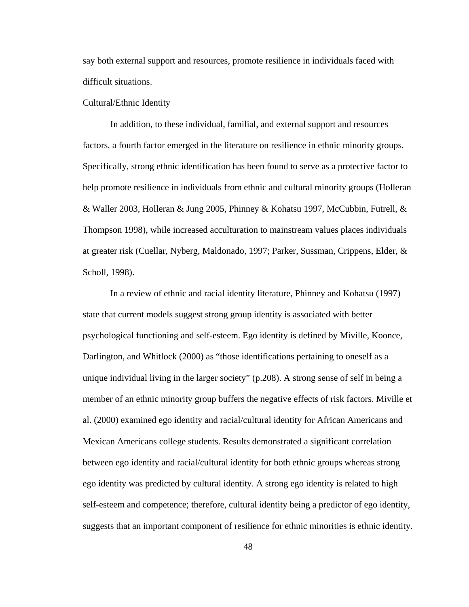say both external support and resources, promote resilience in individuals faced with difficult situations.

## Cultural/Ethnic Identity

In addition, to these individual, familial, and external support and resources factors, a fourth factor emerged in the literature on resilience in ethnic minority groups. Specifically, strong ethnic identification has been found to serve as a protective factor to help promote resilience in individuals from ethnic and cultural minority groups (Holleran & Waller 2003, Holleran & Jung 2005, Phinney & Kohatsu 1997, McCubbin, Futrell, & Thompson 1998), while increased acculturation to mainstream values places individuals at greater risk (Cuellar, Nyberg, Maldonado, 1997; Parker, Sussman, Crippens, Elder, & Scholl, 1998).

In a review of ethnic and racial identity literature, Phinney and Kohatsu (1997) state that current models suggest strong group identity is associated with better psychological functioning and self-esteem. Ego identity is defined by Miville, Koonce, Darlington, and Whitlock (2000) as "those identifications pertaining to oneself as a unique individual living in the larger society" (p.208). A strong sense of self in being a member of an ethnic minority group buffers the negative effects of risk factors. Miville et al. (2000) examined ego identity and racial/cultural identity for African Americans and Mexican Americans college students. Results demonstrated a significant correlation between ego identity and racial/cultural identity for both ethnic groups whereas strong ego identity was predicted by cultural identity. A strong ego identity is related to high self-esteem and competence; therefore, cultural identity being a predictor of ego identity, suggests that an important component of resilience for ethnic minorities is ethnic identity.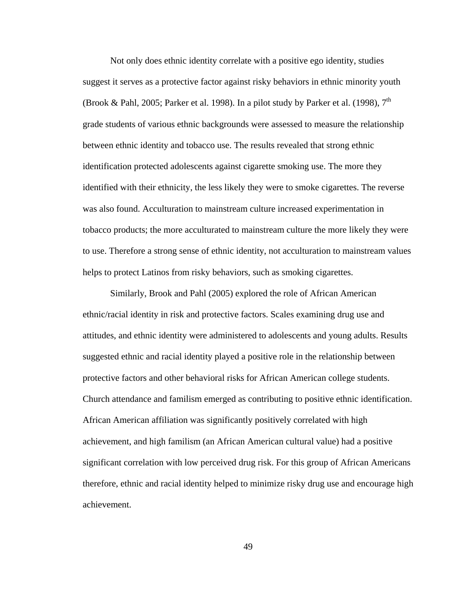Not only does ethnic identity correlate with a positive ego identity, studies suggest it serves as a protective factor against risky behaviors in ethnic minority youth (Brook & Pahl, 2005; Parker et al. 1998). In a pilot study by Parker et al. (1998).  $7<sup>th</sup>$ grade students of various ethnic backgrounds were assessed to measure the relationship between ethnic identity and tobacco use. The results revealed that strong ethnic identification protected adolescents against cigarette smoking use. The more they identified with their ethnicity, the less likely they were to smoke cigarettes. The reverse was also found. Acculturation to mainstream culture increased experimentation in tobacco products; the more acculturated to mainstream culture the more likely they were to use. Therefore a strong sense of ethnic identity, not acculturation to mainstream values helps to protect Latinos from risky behaviors, such as smoking cigarettes.

Similarly, Brook and Pahl (2005) explored the role of African American ethnic/racial identity in risk and protective factors. Scales examining drug use and attitudes, and ethnic identity were administered to adolescents and young adults. Results suggested ethnic and racial identity played a positive role in the relationship between protective factors and other behavioral risks for African American college students. Church attendance and familism emerged as contributing to positive ethnic identification. African American affiliation was significantly positively correlated with high achievement, and high familism (an African American cultural value) had a positive significant correlation with low perceived drug risk. For this group of African Americans therefore, ethnic and racial identity helped to minimize risky drug use and encourage high achievement.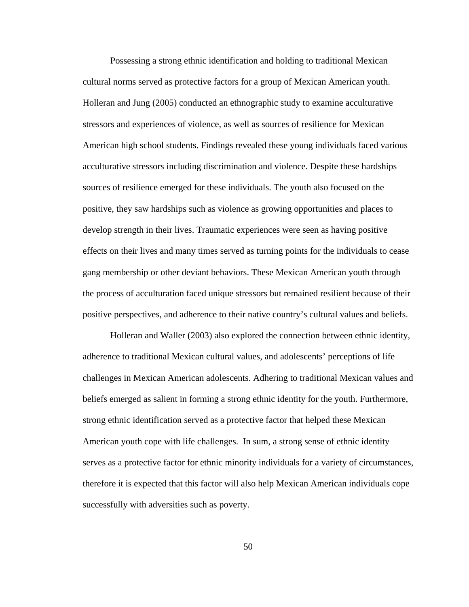Possessing a strong ethnic identification and holding to traditional Mexican cultural norms served as protective factors for a group of Mexican American youth. Holleran and Jung (2005) conducted an ethnographic study to examine acculturative stressors and experiences of violence, as well as sources of resilience for Mexican American high school students. Findings revealed these young individuals faced various acculturative stressors including discrimination and violence. Despite these hardships sources of resilience emerged for these individuals. The youth also focused on the positive, they saw hardships such as violence as growing opportunities and places to develop strength in their lives. Traumatic experiences were seen as having positive effects on their lives and many times served as turning points for the individuals to cease gang membership or other deviant behaviors. These Mexican American youth through the process of acculturation faced unique stressors but remained resilient because of their positive perspectives, and adherence to their native country's cultural values and beliefs.

Holleran and Waller (2003) also explored the connection between ethnic identity, adherence to traditional Mexican cultural values, and adolescents' perceptions of life challenges in Mexican American adolescents. Adhering to traditional Mexican values and beliefs emerged as salient in forming a strong ethnic identity for the youth. Furthermore, strong ethnic identification served as a protective factor that helped these Mexican American youth cope with life challenges. In sum, a strong sense of ethnic identity serves as a protective factor for ethnic minority individuals for a variety of circumstances, therefore it is expected that this factor will also help Mexican American individuals cope successfully with adversities such as poverty.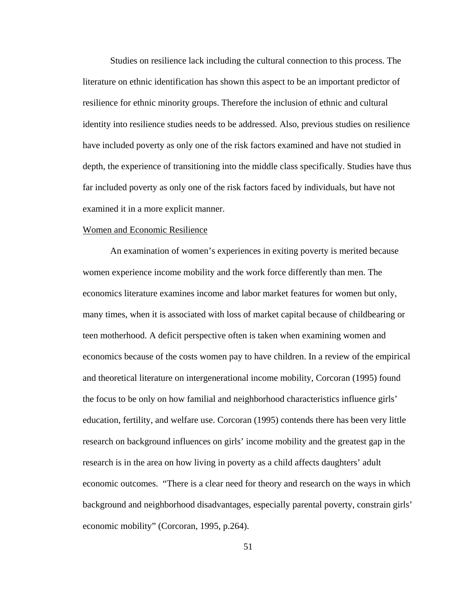Studies on resilience lack including the cultural connection to this process. The literature on ethnic identification has shown this aspect to be an important predictor of resilience for ethnic minority groups. Therefore the inclusion of ethnic and cultural identity into resilience studies needs to be addressed. Also, previous studies on resilience have included poverty as only one of the risk factors examined and have not studied in depth, the experience of transitioning into the middle class specifically. Studies have thus far included poverty as only one of the risk factors faced by individuals, but have not examined it in a more explicit manner.

## Women and Economic Resilience

 An examination of women's experiences in exiting poverty is merited because women experience income mobility and the work force differently than men. The economics literature examines income and labor market features for women but only, many times, when it is associated with loss of market capital because of childbearing or teen motherhood. A deficit perspective often is taken when examining women and economics because of the costs women pay to have children. In a review of the empirical and theoretical literature on intergenerational income mobility, Corcoran (1995) found the focus to be only on how familial and neighborhood characteristics influence girls' education, fertility, and welfare use. Corcoran (1995) contends there has been very little research on background influences on girls' income mobility and the greatest gap in the research is in the area on how living in poverty as a child affects daughters' adult economic outcomes. "There is a clear need for theory and research on the ways in which background and neighborhood disadvantages, especially parental poverty, constrain girls' economic mobility" (Corcoran, 1995, p.264).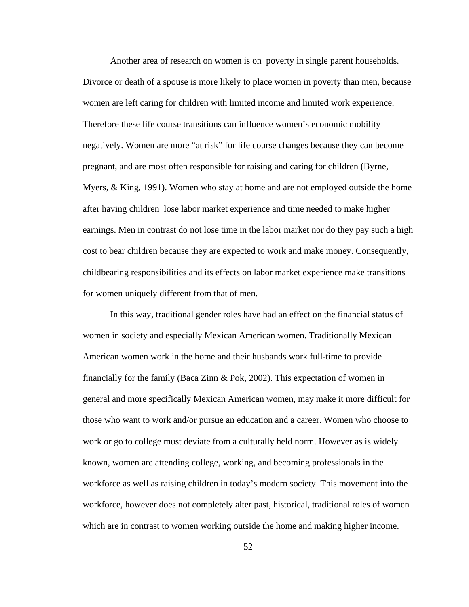Another area of research on women is on poverty in single parent households. Divorce or death of a spouse is more likely to place women in poverty than men, because women are left caring for children with limited income and limited work experience. Therefore these life course transitions can influence women's economic mobility negatively. Women are more "at risk" for life course changes because they can become pregnant, and are most often responsible for raising and caring for children (Byrne, Myers, & King, 1991). Women who stay at home and are not employed outside the home after having children lose labor market experience and time needed to make higher earnings. Men in contrast do not lose time in the labor market nor do they pay such a high cost to bear children because they are expected to work and make money. Consequently, childbearing responsibilities and its effects on labor market experience make transitions for women uniquely different from that of men.

In this way, traditional gender roles have had an effect on the financial status of women in society and especially Mexican American women. Traditionally Mexican American women work in the home and their husbands work full-time to provide financially for the family (Baca Zinn & Pok, 2002). This expectation of women in general and more specifically Mexican American women, may make it more difficult for those who want to work and/or pursue an education and a career. Women who choose to work or go to college must deviate from a culturally held norm. However as is widely known, women are attending college, working, and becoming professionals in the workforce as well as raising children in today's modern society. This movement into the workforce, however does not completely alter past, historical, traditional roles of women which are in contrast to women working outside the home and making higher income.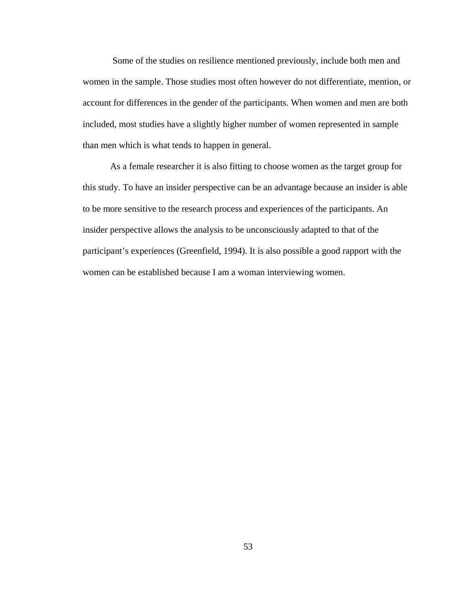Some of the studies on resilience mentioned previously, include both men and women in the sample. Those studies most often however do not differentiate, mention, or account for differences in the gender of the participants. When women and men are both included, most studies have a slightly higher number of women represented in sample than men which is what tends to happen in general.

 As a female researcher it is also fitting to choose women as the target group for this study. To have an insider perspective can be an advantage because an insider is able to be more sensitive to the research process and experiences of the participants. An insider perspective allows the analysis to be unconsciously adapted to that of the participant's experiences (Greenfield, 1994). It is also possible a good rapport with the women can be established because I am a woman interviewing women.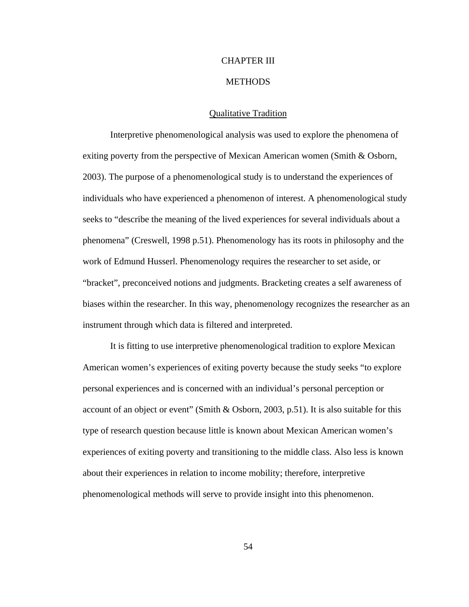# CHAPTER III

# **METHODS**

# Qualitative Tradition

Interpretive phenomenological analysis was used to explore the phenomena of exiting poverty from the perspective of Mexican American women (Smith & Osborn, 2003). The purpose of a phenomenological study is to understand the experiences of individuals who have experienced a phenomenon of interest. A phenomenological study seeks to "describe the meaning of the lived experiences for several individuals about a phenomena" (Creswell, 1998 p.51). Phenomenology has its roots in philosophy and the work of Edmund Husserl. Phenomenology requires the researcher to set aside, or "bracket", preconceived notions and judgments. Bracketing creates a self awareness of biases within the researcher. In this way, phenomenology recognizes the researcher as an instrument through which data is filtered and interpreted.

It is fitting to use interpretive phenomenological tradition to explore Mexican American women's experiences of exiting poverty because the study seeks "to explore personal experiences and is concerned with an individual's personal perception or account of an object or event" (Smith & Osborn, 2003, p.51). It is also suitable for this type of research question because little is known about Mexican American women's experiences of exiting poverty and transitioning to the middle class. Also less is known about their experiences in relation to income mobility; therefore, interpretive phenomenological methods will serve to provide insight into this phenomenon.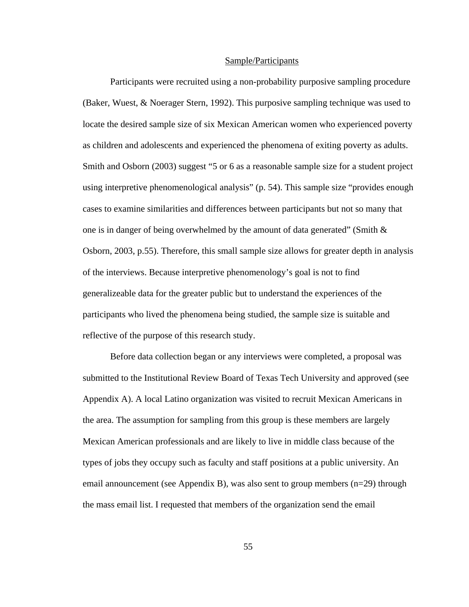## Sample/Participants

Participants were recruited using a non-probability purposive sampling procedure (Baker, Wuest, & Noerager Stern, 1992). This purposive sampling technique was used to locate the desired sample size of six Mexican American women who experienced poverty as children and adolescents and experienced the phenomena of exiting poverty as adults. Smith and Osborn (2003) suggest "5 or 6 as a reasonable sample size for a student project using interpretive phenomenological analysis" (p. 54). This sample size "provides enough cases to examine similarities and differences between participants but not so many that one is in danger of being overwhelmed by the amount of data generated" (Smith & Osborn, 2003, p.55). Therefore, this small sample size allows for greater depth in analysis of the interviews. Because interpretive phenomenology's goal is not to find generalizeable data for the greater public but to understand the experiences of the participants who lived the phenomena being studied, the sample size is suitable and reflective of the purpose of this research study.

Before data collection began or any interviews were completed, a proposal was submitted to the Institutional Review Board of Texas Tech University and approved (see Appendix A). A local Latino organization was visited to recruit Mexican Americans in the area. The assumption for sampling from this group is these members are largely Mexican American professionals and are likely to live in middle class because of the types of jobs they occupy such as faculty and staff positions at a public university. An email announcement (see Appendix B), was also sent to group members  $(n=29)$  through the mass email list. I requested that members of the organization send the email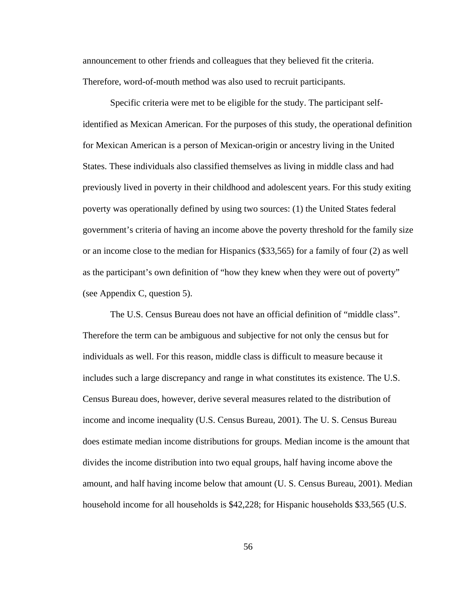announcement to other friends and colleagues that they believed fit the criteria. Therefore, word-of-mouth method was also used to recruit participants.

Specific criteria were met to be eligible for the study. The participant selfidentified as Mexican American. For the purposes of this study, the operational definition for Mexican American is a person of Mexican-origin or ancestry living in the United States. These individuals also classified themselves as living in middle class and had previously lived in poverty in their childhood and adolescent years. For this study exiting poverty was operationally defined by using two sources: (1) the United States federal government's criteria of having an income above the poverty threshold for the family size or an income close to the median for Hispanics (\$33,565) for a family of four (2) as well as the participant's own definition of "how they knew when they were out of poverty" (see Appendix C, question 5).

The U.S. Census Bureau does not have an official definition of "middle class". Therefore the term can be ambiguous and subjective for not only the census but for individuals as well. For this reason, middle class is difficult to measure because it includes such a large discrepancy and range in what constitutes its existence. The U.S. Census Bureau does, however, derive several measures related to the distribution of income and income inequality (U.S. Census Bureau, 2001). The U. S. Census Bureau does estimate median income distributions for groups. Median income is the amount that divides the income distribution into two equal groups, half having income above the amount, and half having income below that amount (U. S. Census Bureau, 2001). Median household income for all households is \$42,228; for Hispanic households \$33,565 (U.S.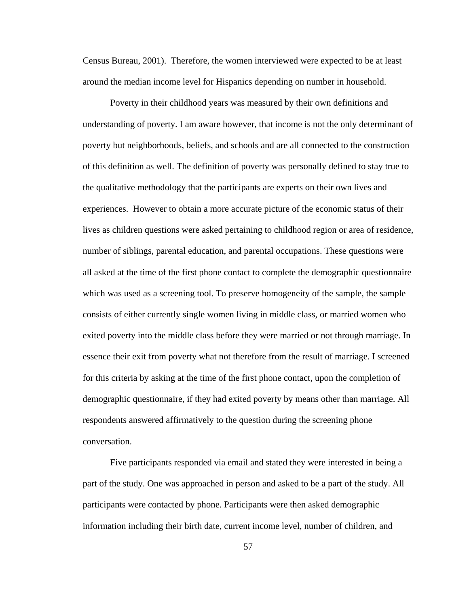Census Bureau, 2001). Therefore, the women interviewed were expected to be at least around the median income level for Hispanics depending on number in household.

Poverty in their childhood years was measured by their own definitions and understanding of poverty. I am aware however, that income is not the only determinant of poverty but neighborhoods, beliefs, and schools and are all connected to the construction of this definition as well. The definition of poverty was personally defined to stay true to the qualitative methodology that the participants are experts on their own lives and experiences. However to obtain a more accurate picture of the economic status of their lives as children questions were asked pertaining to childhood region or area of residence, number of siblings, parental education, and parental occupations. These questions were all asked at the time of the first phone contact to complete the demographic questionnaire which was used as a screening tool. To preserve homogeneity of the sample, the sample consists of either currently single women living in middle class, or married women who exited poverty into the middle class before they were married or not through marriage. In essence their exit from poverty what not therefore from the result of marriage. I screened for this criteria by asking at the time of the first phone contact, upon the completion of demographic questionnaire, if they had exited poverty by means other than marriage. All respondents answered affirmatively to the question during the screening phone conversation.

Five participants responded via email and stated they were interested in being a part of the study. One was approached in person and asked to be a part of the study. All participants were contacted by phone. Participants were then asked demographic information including their birth date, current income level, number of children, and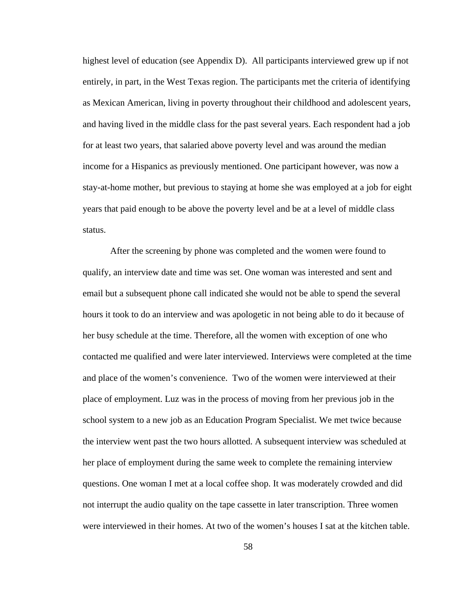highest level of education (see Appendix D). All participants interviewed grew up if not entirely, in part, in the West Texas region. The participants met the criteria of identifying as Mexican American, living in poverty throughout their childhood and adolescent years, and having lived in the middle class for the past several years. Each respondent had a job for at least two years, that salaried above poverty level and was around the median income for a Hispanics as previously mentioned. One participant however, was now a stay-at-home mother, but previous to staying at home she was employed at a job for eight years that paid enough to be above the poverty level and be at a level of middle class status.

After the screening by phone was completed and the women were found to qualify, an interview date and time was set. One woman was interested and sent and email but a subsequent phone call indicated she would not be able to spend the several hours it took to do an interview and was apologetic in not being able to do it because of her busy schedule at the time. Therefore, all the women with exception of one who contacted me qualified and were later interviewed. Interviews were completed at the time and place of the women's convenience. Two of the women were interviewed at their place of employment. Luz was in the process of moving from her previous job in the school system to a new job as an Education Program Specialist. We met twice because the interview went past the two hours allotted. A subsequent interview was scheduled at her place of employment during the same week to complete the remaining interview questions. One woman I met at a local coffee shop. It was moderately crowded and did not interrupt the audio quality on the tape cassette in later transcription. Three women were interviewed in their homes. At two of the women's houses I sat at the kitchen table.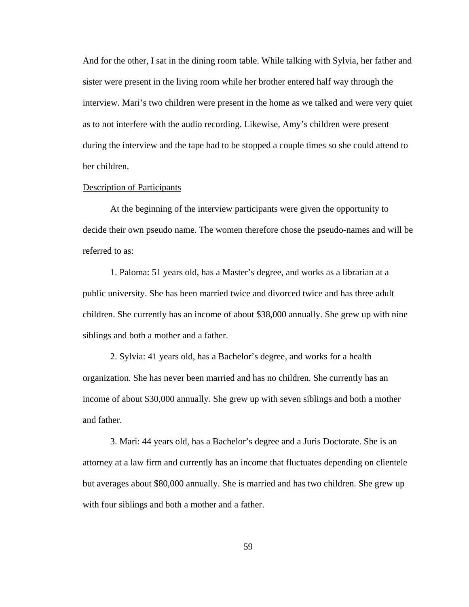And for the other, I sat in the dining room table. While talking with Sylvia, her father and sister were present in the living room while her brother entered half way through the interview. Mari's two children were present in the home as we talked and were very quiet as to not interfere with the audio recording. Likewise, Amy's children were present during the interview and the tape had to be stopped a couple times so she could attend to her children.

## Description of Participants

At the beginning of the interview participants were given the opportunity to decide their own pseudo name. The women therefore chose the pseudo-names and will be referred to as:

1. Paloma: 51 years old, has a Master's degree, and works as a librarian at a public university. She has been married twice and divorced twice and has three adult children. She currently has an income of about \$38,000 annually. She grew up with nine siblings and both a mother and a father.

2. Sylvia: 41 years old, has a Bachelor's degree, and works for a health organization. She has never been married and has no children. She currently has an income of about \$30,000 annually. She grew up with seven siblings and both a mother and father.

3. Mari: 44 years old, has a Bachelor's degree and a Juris Doctorate. She is an attorney at a law firm and currently has an income that fluctuates depending on clientele but averages about \$80,000 annually. She is married and has two children. She grew up with four siblings and both a mother and a father.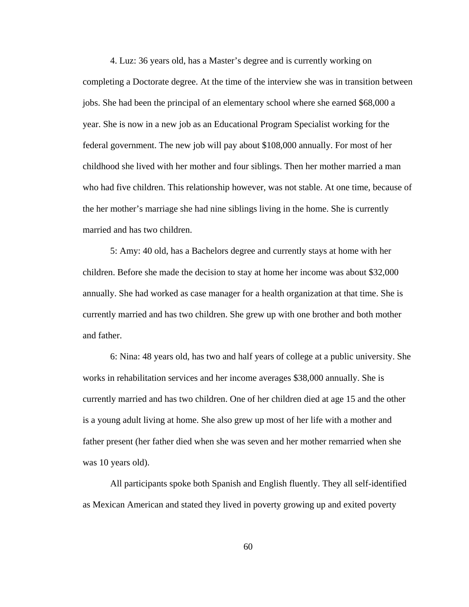4. Luz: 36 years old, has a Master's degree and is currently working on completing a Doctorate degree. At the time of the interview she was in transition between jobs. She had been the principal of an elementary school where she earned \$68,000 a year. She is now in a new job as an Educational Program Specialist working for the federal government. The new job will pay about \$108,000 annually. For most of her childhood she lived with her mother and four siblings. Then her mother married a man who had five children. This relationship however, was not stable. At one time, because of the her mother's marriage she had nine siblings living in the home. She is currently married and has two children.

5: Amy: 40 old, has a Bachelors degree and currently stays at home with her children. Before she made the decision to stay at home her income was about \$32,000 annually. She had worked as case manager for a health organization at that time. She is currently married and has two children. She grew up with one brother and both mother and father.

6: Nina: 48 years old, has two and half years of college at a public university. She works in rehabilitation services and her income averages \$38,000 annually. She is currently married and has two children. One of her children died at age 15 and the other is a young adult living at home. She also grew up most of her life with a mother and father present (her father died when she was seven and her mother remarried when she was 10 years old).

All participants spoke both Spanish and English fluently. They all self-identified as Mexican American and stated they lived in poverty growing up and exited poverty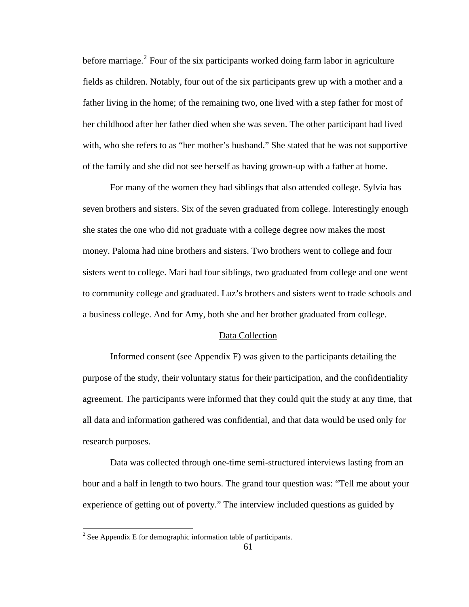<span id="page-66-0"></span>before marriage.<sup>[2](#page-66-0)</sup> Four of the six participants worked doing farm labor in agriculture fields as children. Notably, four out of the six participants grew up with a mother and a father living in the home; of the remaining two, one lived with a step father for most of her childhood after her father died when she was seven. The other participant had lived with, who she refers to as "her mother's husband." She stated that he was not supportive of the family and she did not see herself as having grown-up with a father at home.

For many of the women they had siblings that also attended college. Sylvia has seven brothers and sisters. Six of the seven graduated from college. Interestingly enough she states the one who did not graduate with a college degree now makes the most money. Paloma had nine brothers and sisters. Two brothers went to college and four sisters went to college. Mari had four siblings, two graduated from college and one went to community college and graduated. Luz's brothers and sisters went to trade schools and a business college. And for Amy, both she and her brother graduated from college.

## Data Collection

Informed consent (see Appendix F) was given to the participants detailing the purpose of the study, their voluntary status for their participation, and the confidentiality agreement. The participants were informed that they could quit the study at any time, that all data and information gathered was confidential, and that data would be used only for research purposes.

Data was collected through one-time semi-structured interviews lasting from an hour and a half in length to two hours. The grand tour question was: "Tell me about your experience of getting out of poverty." The interview included questions as guided by

<sup>&</sup>lt;sup>2</sup> See Appendix E for demographic information table of participants.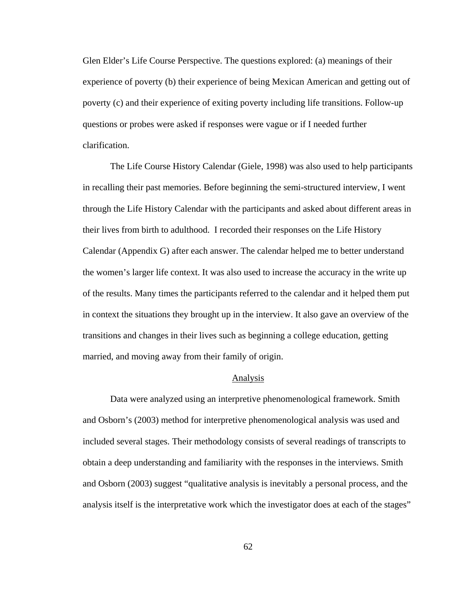Glen Elder's Life Course Perspective. The questions explored: (a) meanings of their experience of poverty (b) their experience of being Mexican American and getting out of poverty (c) and their experience of exiting poverty including life transitions. Follow-up questions or probes were asked if responses were vague or if I needed further clarification.

The Life Course History Calendar (Giele, 1998) was also used to help participants in recalling their past memories. Before beginning the semi-structured interview, I went through the Life History Calendar with the participants and asked about different areas in their lives from birth to adulthood. I recorded their responses on the Life History Calendar (Appendix G) after each answer. The calendar helped me to better understand the women's larger life context. It was also used to increase the accuracy in the write up of the results. Many times the participants referred to the calendar and it helped them put in context the situations they brought up in the interview. It also gave an overview of the transitions and changes in their lives such as beginning a college education, getting married, and moving away from their family of origin.

# Analysis

Data were analyzed using an interpretive phenomenological framework. Smith and Osborn's (2003) method for interpretive phenomenological analysis was used and included several stages. Their methodology consists of several readings of transcripts to obtain a deep understanding and familiarity with the responses in the interviews. Smith and Osborn (2003) suggest "qualitative analysis is inevitably a personal process, and the analysis itself is the interpretative work which the investigator does at each of the stages"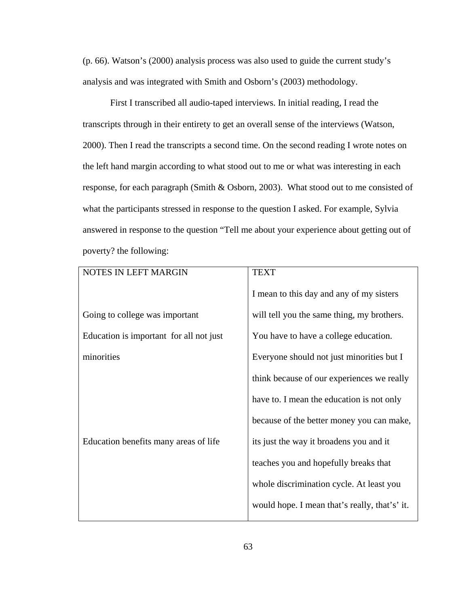(p. 66). Watson's (2000) analysis process was also used to guide the current study's analysis and was integrated with Smith and Osborn's (2003) methodology.

First I transcribed all audio-taped interviews. In initial reading, I read the transcripts through in their entirety to get an overall sense of the interviews (Watson, 2000). Then I read the transcripts a second time. On the second reading I wrote notes on the left hand margin according to what stood out to me or what was interesting in each response, for each paragraph (Smith & Osborn, 2003). What stood out to me consisted of what the participants stressed in response to the question I asked. For example, Sylvia answered in response to the question "Tell me about your experience about getting out of poverty? the following:

| NOTES IN LEFT MARGIN                    | <b>TEXT</b>                                   |
|-----------------------------------------|-----------------------------------------------|
|                                         | I mean to this day and any of my sisters      |
| Going to college was important          | will tell you the same thing, my brothers.    |
| Education is important for all not just | You have to have a college education.         |
| minorities                              | Everyone should not just minorities but I     |
| Education benefits many areas of life   | think because of our experiences we really    |
|                                         | have to. I mean the education is not only     |
|                                         | because of the better money you can make,     |
|                                         | its just the way it broadens you and it       |
|                                         | teaches you and hopefully breaks that         |
|                                         | whole discrimination cycle. At least you      |
|                                         | would hope. I mean that's really, that's' it. |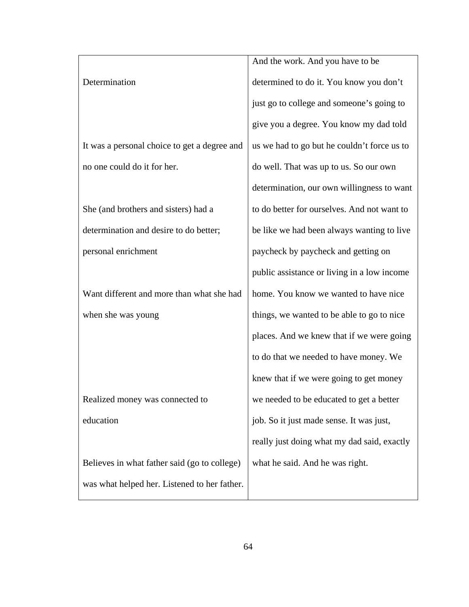|                                              | And the work. And you have to be            |
|----------------------------------------------|---------------------------------------------|
| Determination                                | determined to do it. You know you don't     |
|                                              | just go to college and someone's going to   |
|                                              | give you a degree. You know my dad told     |
| It was a personal choice to get a degree and | us we had to go but he couldn't force us to |
| no one could do it for her.                  | do well. That was up to us. So our own      |
|                                              | determination, our own willingness to want  |
| She (and brothers and sisters) had a         | to do better for ourselves. And not want to |
| determination and desire to do better;       | be like we had been always wanting to live  |
| personal enrichment                          | paycheck by paycheck and getting on         |
|                                              | public assistance or living in a low income |
| Want different and more than what she had    | home. You know we wanted to have nice       |
| when she was young                           | things, we wanted to be able to go to nice  |
|                                              | places. And we knew that if we were going   |
|                                              | to do that we needed to have money. We      |
|                                              | knew that if we were going to get money     |
| Realized money was connected to              | we needed to be educated to get a better    |
| education                                    | job. So it just made sense. It was just,    |
|                                              | really just doing what my dad said, exactly |
| Believes in what father said (go to college) | what he said. And he was right.             |
| was what helped her. Listened to her father. |                                             |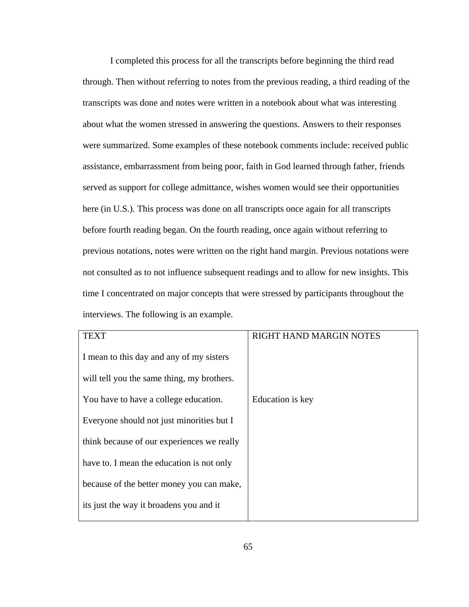I completed this process for all the transcripts before beginning the third read through. Then without referring to notes from the previous reading, a third reading of the transcripts was done and notes were written in a notebook about what was interesting about what the women stressed in answering the questions. Answers to their responses were summarized. Some examples of these notebook comments include: received public assistance, embarrassment from being poor, faith in God learned through father, friends served as support for college admittance, wishes women would see their opportunities here (in U.S.). This process was done on all transcripts once again for all transcripts before fourth reading began. On the fourth reading, once again without referring to previous notations, notes were written on the right hand margin. Previous notations were not consulted as to not influence subsequent readings and to allow for new insights. This time I concentrated on major concepts that were stressed by participants throughout the interviews. The following is an example.

| TEXT                                       | <b>RIGHT HAND MARGIN NOTES</b> |
|--------------------------------------------|--------------------------------|
| I mean to this day and any of my sisters   |                                |
| will tell you the same thing, my brothers. |                                |
| You have to have a college education.      | Education is key               |
| Everyone should not just minorities but I  |                                |
| think because of our experiences we really |                                |
| have to. I mean the education is not only  |                                |
| because of the better money you can make,  |                                |
| its just the way it broadens you and it    |                                |
|                                            |                                |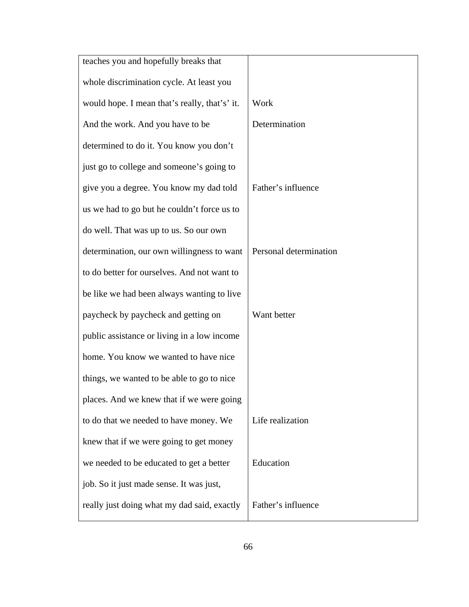| teaches you and hopefully breaks that         |                        |
|-----------------------------------------------|------------------------|
| whole discrimination cycle. At least you      |                        |
| would hope. I mean that's really, that's' it. | Work                   |
| And the work. And you have to be              | Determination          |
| determined to do it. You know you don't       |                        |
| just go to college and someone's going to     |                        |
| give you a degree. You know my dad told       | Father's influence     |
| us we had to go but he couldn't force us to   |                        |
| do well. That was up to us. So our own        |                        |
| determination, our own willingness to want    | Personal determination |
| to do better for ourselves. And not want to   |                        |
| be like we had been always wanting to live    |                        |
| paycheck by paycheck and getting on           | Want better            |
| public assistance or living in a low income   |                        |
| home. You know we wanted to have nice         |                        |
| things, we wanted to be able to go to nice    |                        |
| places. And we knew that if we were going     |                        |
| to do that we needed to have money. We        | Life realization       |
| knew that if we were going to get money       |                        |
| we needed to be educated to get a better      | Education              |
| job. So it just made sense. It was just,      |                        |
| really just doing what my dad said, exactly   | Father's influence     |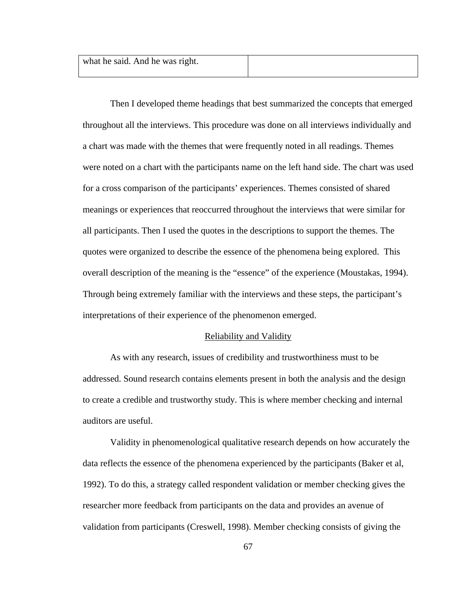| what he said. And he was right. |  |
|---------------------------------|--|
|                                 |  |

Then I developed theme headings that best summarized the concepts that emerged throughout all the interviews. This procedure was done on all interviews individually and a chart was made with the themes that were frequently noted in all readings. Themes were noted on a chart with the participants name on the left hand side. The chart was used for a cross comparison of the participants' experiences. Themes consisted of shared meanings or experiences that reoccurred throughout the interviews that were similar for all participants. Then I used the quotes in the descriptions to support the themes. The quotes were organized to describe the essence of the phenomena being explored. This overall description of the meaning is the "essence" of the experience (Moustakas, 1994). Through being extremely familiar with the interviews and these steps, the participant's interpretations of their experience of the phenomenon emerged.

#### Reliability and Validity

As with any research, issues of credibility and trustworthiness must to be addressed. Sound research contains elements present in both the analysis and the design to create a credible and trustworthy study. This is where member checking and internal auditors are useful.

Validity in phenomenological qualitative research depends on how accurately the data reflects the essence of the phenomena experienced by the participants (Baker et al, 1992). To do this, a strategy called respondent validation or member checking gives the researcher more feedback from participants on the data and provides an avenue of validation from participants (Creswell, 1998). Member checking consists of giving the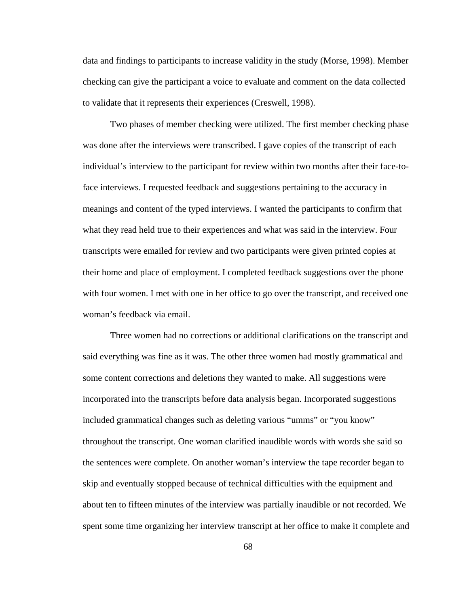data and findings to participants to increase validity in the study (Morse, 1998). Member checking can give the participant a voice to evaluate and comment on the data collected to validate that it represents their experiences (Creswell, 1998).

Two phases of member checking were utilized. The first member checking phase was done after the interviews were transcribed. I gave copies of the transcript of each individual's interview to the participant for review within two months after their face-toface interviews. I requested feedback and suggestions pertaining to the accuracy in meanings and content of the typed interviews. I wanted the participants to confirm that what they read held true to their experiences and what was said in the interview. Four transcripts were emailed for review and two participants were given printed copies at their home and place of employment. I completed feedback suggestions over the phone with four women. I met with one in her office to go over the transcript, and received one woman's feedback via email.

Three women had no corrections or additional clarifications on the transcript and said everything was fine as it was. The other three women had mostly grammatical and some content corrections and deletions they wanted to make. All suggestions were incorporated into the transcripts before data analysis began. Incorporated suggestions included grammatical changes such as deleting various "umms" or "you know" throughout the transcript. One woman clarified inaudible words with words she said so the sentences were complete. On another woman's interview the tape recorder began to skip and eventually stopped because of technical difficulties with the equipment and about ten to fifteen minutes of the interview was partially inaudible or not recorded. We spent some time organizing her interview transcript at her office to make it complete and

68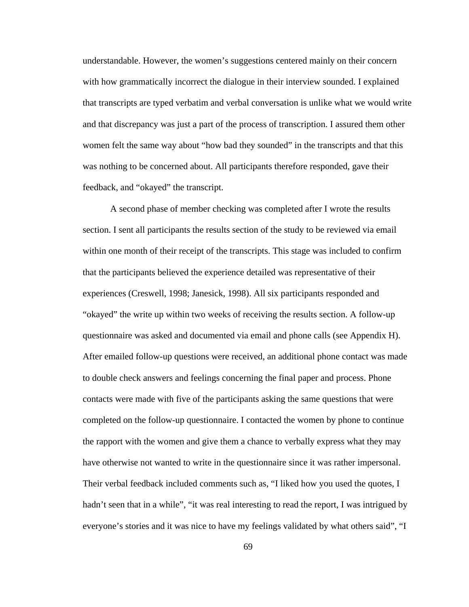understandable. However, the women's suggestions centered mainly on their concern with how grammatically incorrect the dialogue in their interview sounded. I explained that transcripts are typed verbatim and verbal conversation is unlike what we would write and that discrepancy was just a part of the process of transcription. I assured them other women felt the same way about "how bad they sounded" in the transcripts and that this was nothing to be concerned about. All participants therefore responded, gave their feedback, and "okayed" the transcript.

A second phase of member checking was completed after I wrote the results section. I sent all participants the results section of the study to be reviewed via email within one month of their receipt of the transcripts. This stage was included to confirm that the participants believed the experience detailed was representative of their experiences (Creswell, 1998; Janesick, 1998). All six participants responded and "okayed" the write up within two weeks of receiving the results section. A follow-up questionnaire was asked and documented via email and phone calls (see Appendix H). After emailed follow-up questions were received, an additional phone contact was made to double check answers and feelings concerning the final paper and process. Phone contacts were made with five of the participants asking the same questions that were completed on the follow-up questionnaire. I contacted the women by phone to continue the rapport with the women and give them a chance to verbally express what they may have otherwise not wanted to write in the questionnaire since it was rather impersonal. Their verbal feedback included comments such as, "I liked how you used the quotes, I hadn't seen that in a while", "it was real interesting to read the report, I was intrigued by everyone's stories and it was nice to have my feelings validated by what others said", "I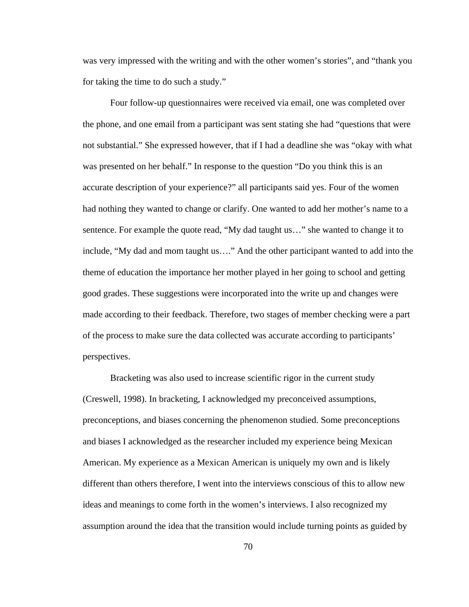was very impressed with the writing and with the other women's stories", and "thank you for taking the time to do such a study."

Four follow-up questionnaires were received via email, one was completed over the phone, and one email from a participant was sent stating she had "questions that were not substantial." She expressed however, that if I had a deadline she was "okay with what was presented on her behalf." In response to the question "Do you think this is an accurate description of your experience?" all participants said yes. Four of the women had nothing they wanted to change or clarify. One wanted to add her mother's name to a sentence. For example the quote read, "My dad taught us…" she wanted to change it to include, "My dad and mom taught us…." And the other participant wanted to add into the theme of education the importance her mother played in her going to school and getting good grades. These suggestions were incorporated into the write up and changes were made according to their feedback. Therefore, two stages of member checking were a part of the process to make sure the data collected was accurate according to participants' perspectives.

Bracketing was also used to increase scientific rigor in the current study (Creswell, 1998). In bracketing, I acknowledged my preconceived assumptions, preconceptions, and biases concerning the phenomenon studied. Some preconceptions and biases I acknowledged as the researcher included my experience being Mexican American. My experience as a Mexican American is uniquely my own and is likely different than others therefore, I went into the interviews conscious of this to allow new ideas and meanings to come forth in the women's interviews. I also recognized my assumption around the idea that the transition would include turning points as guided by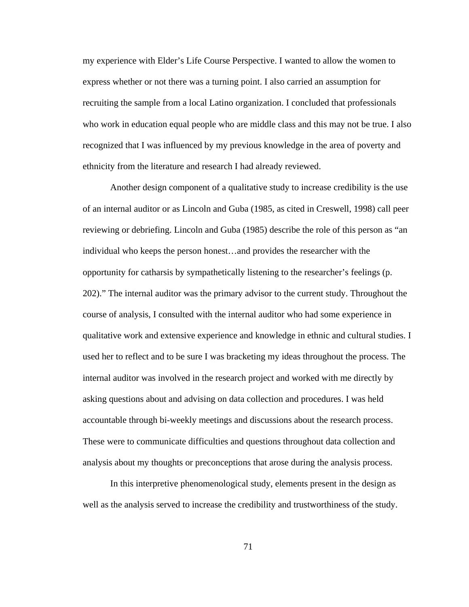my experience with Elder's Life Course Perspective. I wanted to allow the women to express whether or not there was a turning point. I also carried an assumption for recruiting the sample from a local Latino organization. I concluded that professionals who work in education equal people who are middle class and this may not be true. I also recognized that I was influenced by my previous knowledge in the area of poverty and ethnicity from the literature and research I had already reviewed.

Another design component of a qualitative study to increase credibility is the use of an internal auditor or as Lincoln and Guba (1985, as cited in Creswell, 1998) call peer reviewing or debriefing. Lincoln and Guba (1985) describe the role of this person as "an individual who keeps the person honest…and provides the researcher with the opportunity for catharsis by sympathetically listening to the researcher's feelings (p. 202)." The internal auditor was the primary advisor to the current study. Throughout the course of analysis, I consulted with the internal auditor who had some experience in qualitative work and extensive experience and knowledge in ethnic and cultural studies. I used her to reflect and to be sure I was bracketing my ideas throughout the process. The internal auditor was involved in the research project and worked with me directly by asking questions about and advising on data collection and procedures. I was held accountable through bi-weekly meetings and discussions about the research process. These were to communicate difficulties and questions throughout data collection and analysis about my thoughts or preconceptions that arose during the analysis process.

In this interpretive phenomenological study, elements present in the design as well as the analysis served to increase the credibility and trustworthiness of the study.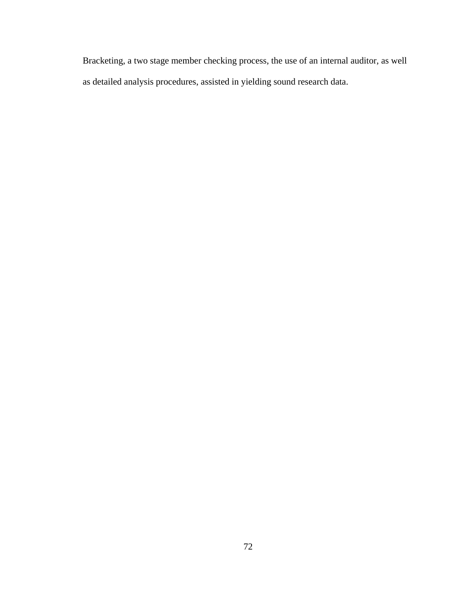Bracketing, a two stage member checking process, the use of an internal auditor, as well as detailed analysis procedures, assisted in yielding sound research data.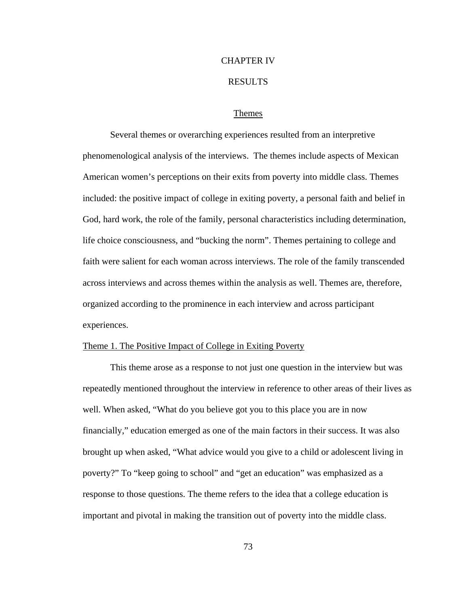# CHAPTER IV

### RESULTS

# Themes

 Several themes or overarching experiences resulted from an interpretive phenomenological analysis of the interviews. The themes include aspects of Mexican American women's perceptions on their exits from poverty into middle class. Themes included: the positive impact of college in exiting poverty, a personal faith and belief in God, hard work, the role of the family, personal characteristics including determination, life choice consciousness, and "bucking the norm". Themes pertaining to college and faith were salient for each woman across interviews. The role of the family transcended across interviews and across themes within the analysis as well. Themes are, therefore, organized according to the prominence in each interview and across participant experiences.

## Theme 1. The Positive Impact of College in Exiting Poverty

 This theme arose as a response to not just one question in the interview but was repeatedly mentioned throughout the interview in reference to other areas of their lives as well. When asked, "What do you believe got you to this place you are in now financially," education emerged as one of the main factors in their success. It was also brought up when asked, "What advice would you give to a child or adolescent living in poverty?" To "keep going to school" and "get an education" was emphasized as a response to those questions. The theme refers to the idea that a college education is important and pivotal in making the transition out of poverty into the middle class.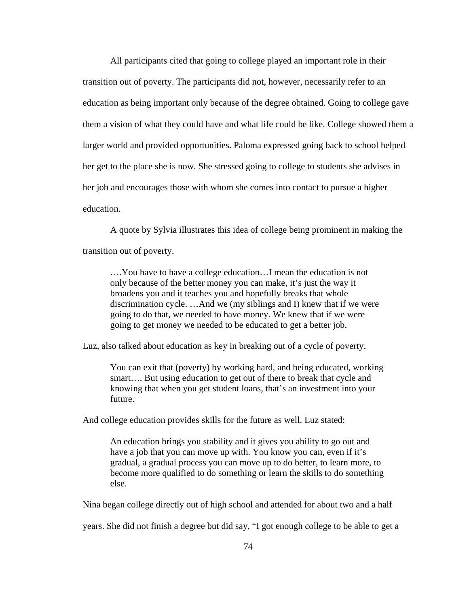All participants cited that going to college played an important role in their transition out of poverty. The participants did not, however, necessarily refer to an education as being important only because of the degree obtained. Going to college gave them a vision of what they could have and what life could be like. College showed them a larger world and provided opportunities. Paloma expressed going back to school helped her get to the place she is now. She stressed going to college to students she advises in her job and encourages those with whom she comes into contact to pursue a higher education.

A quote by Sylvia illustrates this idea of college being prominent in making the transition out of poverty.

….You have to have a college education…I mean the education is not only because of the better money you can make, it's just the way it broadens you and it teaches you and hopefully breaks that whole discrimination cycle. …And we (my siblings and I) knew that if we were going to do that, we needed to have money. We knew that if we were going to get money we needed to be educated to get a better job.

Luz, also talked about education as key in breaking out of a cycle of poverty.

You can exit that (poverty) by working hard, and being educated, working smart…. But using education to get out of there to break that cycle and knowing that when you get student loans, that's an investment into your future.

And college education provides skills for the future as well. Luz stated:

An education brings you stability and it gives you ability to go out and have a job that you can move up with. You know you can, even if it's gradual, a gradual process you can move up to do better, to learn more, to become more qualified to do something or learn the skills to do something else.

Nina began college directly out of high school and attended for about two and a half

years. She did not finish a degree but did say, "I got enough college to be able to get a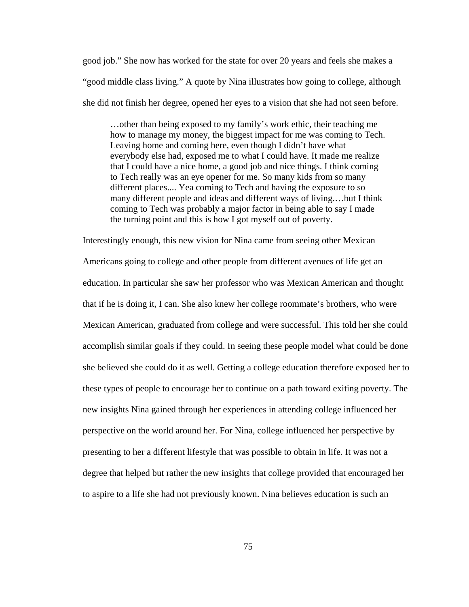good job." She now has worked for the state for over 20 years and feels she makes a "good middle class living." A quote by Nina illustrates how going to college, although she did not finish her degree, opened her eyes to a vision that she had not seen before.

…other than being exposed to my family's work ethic, their teaching me how to manage my money, the biggest impact for me was coming to Tech. Leaving home and coming here, even though I didn't have what everybody else had, exposed me to what I could have. It made me realize that I could have a nice home, a good job and nice things. I think coming to Tech really was an eye opener for me. So many kids from so many different places.... Yea coming to Tech and having the exposure to so many different people and ideas and different ways of living.…but I think coming to Tech was probably a major factor in being able to say I made the turning point and this is how I got myself out of poverty.

Interestingly enough, this new vision for Nina came from seeing other Mexican Americans going to college and other people from different avenues of life get an education. In particular she saw her professor who was Mexican American and thought that if he is doing it, I can. She also knew her college roommate's brothers, who were Mexican American, graduated from college and were successful. This told her she could accomplish similar goals if they could. In seeing these people model what could be done she believed she could do it as well. Getting a college education therefore exposed her to these types of people to encourage her to continue on a path toward exiting poverty. The new insights Nina gained through her experiences in attending college influenced her perspective on the world around her. For Nina, college influenced her perspective by presenting to her a different lifestyle that was possible to obtain in life. It was not a degree that helped but rather the new insights that college provided that encouraged her to aspire to a life she had not previously known. Nina believes education is such an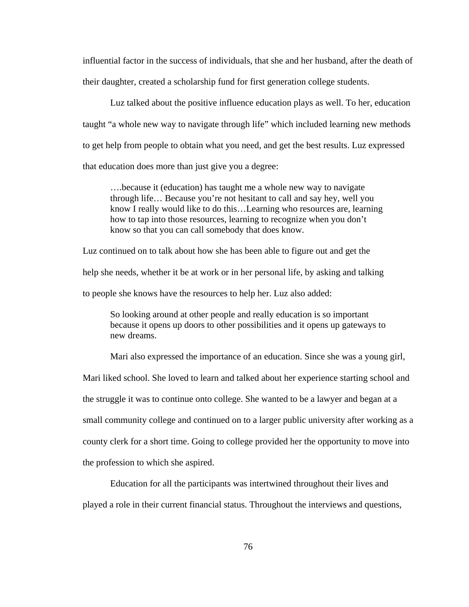influential factor in the success of individuals, that she and her husband, after the death of their daughter, created a scholarship fund for first generation college students.

Luz talked about the positive influence education plays as well. To her, education taught "a whole new way to navigate through life" which included learning new methods to get help from people to obtain what you need, and get the best results. Luz expressed that education does more than just give you a degree:

 ….because it (education) has taught me a whole new way to navigate through life… Because you're not hesitant to call and say hey, well you know I really would like to do this…Learning who resources are, learning how to tap into those resources, learning to recognize when you don't know so that you can call somebody that does know.

Luz continued on to talk about how she has been able to figure out and get the help she needs, whether it be at work or in her personal life, by asking and talking

to people she knows have the resources to help her. Luz also added:

So looking around at other people and really education is so important because it opens up doors to other possibilities and it opens up gateways to new dreams.

Mari also expressed the importance of an education. Since she was a young girl,

Mari liked school. She loved to learn and talked about her experience starting school and the struggle it was to continue onto college. She wanted to be a lawyer and began at a small community college and continued on to a larger public university after working as a county clerk for a short time. Going to college provided her the opportunity to move into the profession to which she aspired.

 Education for all the participants was intertwined throughout their lives and played a role in their current financial status. Throughout the interviews and questions,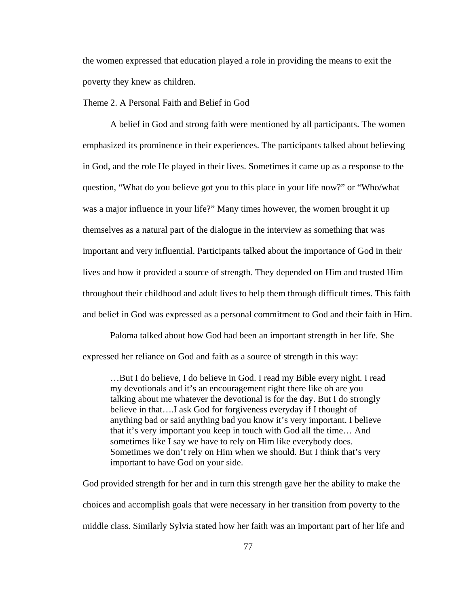the women expressed that education played a role in providing the means to exit the poverty they knew as children.

### Theme 2. A Personal Faith and Belief in God

A belief in God and strong faith were mentioned by all participants. The women emphasized its prominence in their experiences. The participants talked about believing in God, and the role He played in their lives. Sometimes it came up as a response to the question, "What do you believe got you to this place in your life now?" or "Who/what was a major influence in your life?" Many times however, the women brought it up themselves as a natural part of the dialogue in the interview as something that was important and very influential. Participants talked about the importance of God in their lives and how it provided a source of strength. They depended on Him and trusted Him throughout their childhood and adult lives to help them through difficult times. This faith and belief in God was expressed as a personal commitment to God and their faith in Him.

 Paloma talked about how God had been an important strength in her life. She expressed her reliance on God and faith as a source of strength in this way:

…But I do believe, I do believe in God. I read my Bible every night. I read my devotionals and it's an encouragement right there like oh are you talking about me whatever the devotional is for the day. But I do strongly believe in that….I ask God for forgiveness everyday if I thought of anything bad or said anything bad you know it's very important. I believe that it's very important you keep in touch with God all the time… And sometimes like I say we have to rely on Him like everybody does. Sometimes we don't rely on Him when we should. But I think that's very important to have God on your side.

God provided strength for her and in turn this strength gave her the ability to make the choices and accomplish goals that were necessary in her transition from poverty to the middle class. Similarly Sylvia stated how her faith was an important part of her life and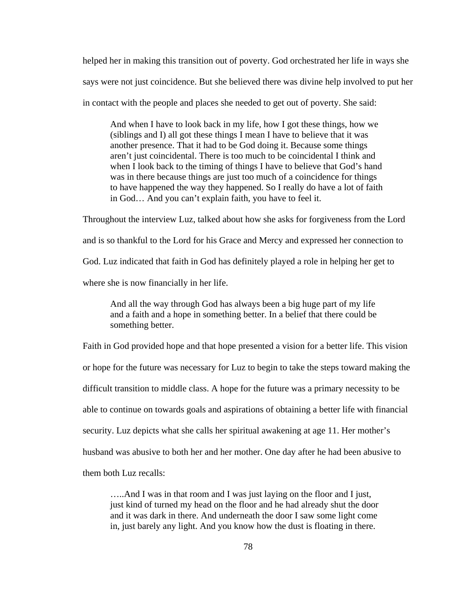helped her in making this transition out of poverty. God orchestrated her life in ways she says were not just coincidence. But she believed there was divine help involved to put her in contact with the people and places she needed to get out of poverty. She said:

 And when I have to look back in my life, how I got these things, how we (siblings and I) all got these things I mean I have to believe that it was another presence. That it had to be God doing it. Because some things aren't just coincidental. There is too much to be coincidental I think and when I look back to the timing of things I have to believe that God's hand was in there because things are just too much of a coincidence for things to have happened the way they happened. So I really do have a lot of faith in God… And you can't explain faith, you have to feel it.

Throughout the interview Luz, talked about how she asks for forgiveness from the Lord and is so thankful to the Lord for his Grace and Mercy and expressed her connection to God. Luz indicated that faith in God has definitely played a role in helping her get to where she is now financially in her life.

And all the way through God has always been a big huge part of my life and a faith and a hope in something better. In a belief that there could be something better.

Faith in God provided hope and that hope presented a vision for a better life. This vision or hope for the future was necessary for Luz to begin to take the steps toward making the difficult transition to middle class. A hope for the future was a primary necessity to be able to continue on towards goals and aspirations of obtaining a better life with financial security. Luz depicts what she calls her spiritual awakening at age 11. Her mother's husband was abusive to both her and her mother. One day after he had been abusive to them both Luz recalls:

…..And I was in that room and I was just laying on the floor and I just, just kind of turned my head on the floor and he had already shut the door and it was dark in there. And underneath the door I saw some light come in, just barely any light. And you know how the dust is floating in there.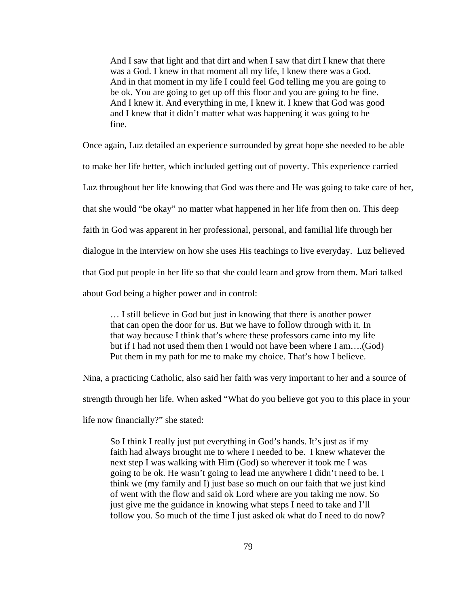And I saw that light and that dirt and when I saw that dirt I knew that there was a God. I knew in that moment all my life, I knew there was a God. And in that moment in my life I could feel God telling me you are going to be ok. You are going to get up off this floor and you are going to be fine. And I knew it. And everything in me, I knew it. I knew that God was good and I knew that it didn't matter what was happening it was going to be fine.

Once again, Luz detailed an experience surrounded by great hope she needed to be able

to make her life better, which included getting out of poverty. This experience carried

Luz throughout her life knowing that God was there and He was going to take care of her,

that she would "be okay" no matter what happened in her life from then on. This deep

faith in God was apparent in her professional, personal, and familial life through her

dialogue in the interview on how she uses His teachings to live everyday. Luz believed

that God put people in her life so that she could learn and grow from them. Mari talked

about God being a higher power and in control:

… I still believe in God but just in knowing that there is another power that can open the door for us. But we have to follow through with it. In that way because I think that's where these professors came into my life but if I had not used them then I would not have been where I am….(God) Put them in my path for me to make my choice. That's how I believe.

Nina, a practicing Catholic, also said her faith was very important to her and a source of strength through her life. When asked "What do you believe got you to this place in your

life now financially?" she stated:

So I think I really just put everything in God's hands. It's just as if my faith had always brought me to where I needed to be. I knew whatever the next step I was walking with Him (God) so wherever it took me I was going to be ok. He wasn't going to lead me anywhere I didn't need to be. I think we (my family and I) just base so much on our faith that we just kind of went with the flow and said ok Lord where are you taking me now. So just give me the guidance in knowing what steps I need to take and I'll follow you. So much of the time I just asked ok what do I need to do now?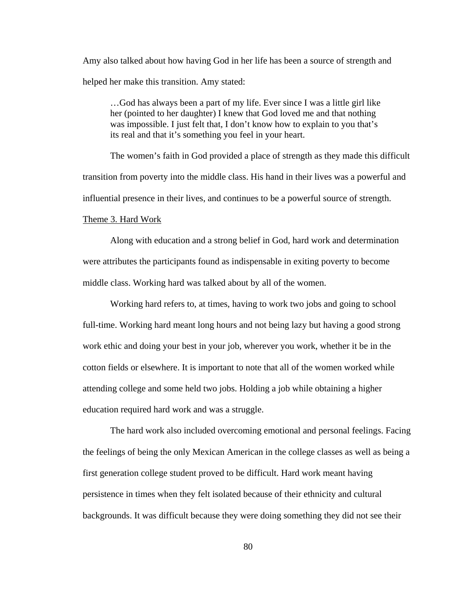Amy also talked about how having God in her life has been a source of strength and helped her make this transition. Amy stated:

…God has always been a part of my life. Ever since I was a little girl like her (pointed to her daughter) I knew that God loved me and that nothing was impossible. I just felt that, I don't know how to explain to you that's its real and that it's something you feel in your heart.

The women's faith in God provided a place of strength as they made this difficult transition from poverty into the middle class. His hand in their lives was a powerful and influential presence in their lives, and continues to be a powerful source of strength.

### Theme 3. Hard Work

 Along with education and a strong belief in God, hard work and determination were attributes the participants found as indispensable in exiting poverty to become middle class. Working hard was talked about by all of the women.

Working hard refers to, at times, having to work two jobs and going to school full-time. Working hard meant long hours and not being lazy but having a good strong work ethic and doing your best in your job, wherever you work, whether it be in the cotton fields or elsewhere. It is important to note that all of the women worked while attending college and some held two jobs. Holding a job while obtaining a higher education required hard work and was a struggle.

The hard work also included overcoming emotional and personal feelings. Facing the feelings of being the only Mexican American in the college classes as well as being a first generation college student proved to be difficult. Hard work meant having persistence in times when they felt isolated because of their ethnicity and cultural backgrounds. It was difficult because they were doing something they did not see their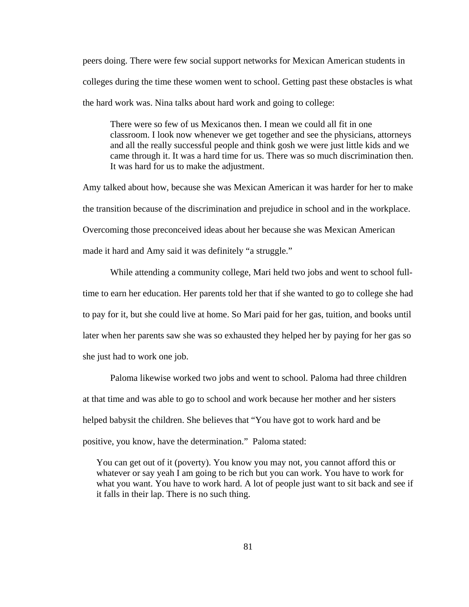peers doing. There were few social support networks for Mexican American students in colleges during the time these women went to school. Getting past these obstacles is what the hard work was. Nina talks about hard work and going to college:

There were so few of us Mexicanos then. I mean we could all fit in one classroom. I look now whenever we get together and see the physicians, attorneys and all the really successful people and think gosh we were just little kids and we came through it. It was a hard time for us. There was so much discrimination then. It was hard for us to make the adjustment.

Amy talked about how, because she was Mexican American it was harder for her to make the transition because of the discrimination and prejudice in school and in the workplace. Overcoming those preconceived ideas about her because she was Mexican American made it hard and Amy said it was definitely "a struggle."

While attending a community college, Mari held two jobs and went to school fulltime to earn her education. Her parents told her that if she wanted to go to college she had to pay for it, but she could live at home. So Mari paid for her gas, tuition, and books until later when her parents saw she was so exhausted they helped her by paying for her gas so she just had to work one job.

Paloma likewise worked two jobs and went to school. Paloma had three children at that time and was able to go to school and work because her mother and her sisters helped babysit the children. She believes that "You have got to work hard and be positive, you know, have the determination." Paloma stated:

You can get out of it (poverty). You know you may not, you cannot afford this or whatever or say yeah I am going to be rich but you can work. You have to work for what you want. You have to work hard. A lot of people just want to sit back and see if it falls in their lap. There is no such thing.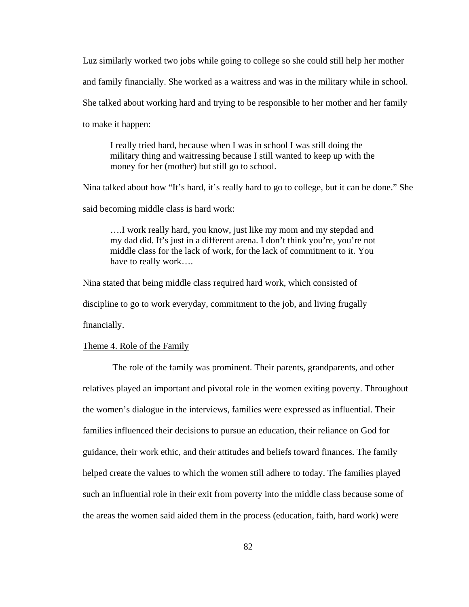Luz similarly worked two jobs while going to college so she could still help her mother and family financially. She worked as a waitress and was in the military while in school. She talked about working hard and trying to be responsible to her mother and her family to make it happen:

I really tried hard, because when I was in school I was still doing the military thing and waitressing because I still wanted to keep up with the money for her (mother) but still go to school.

Nina talked about how "It's hard, it's really hard to go to college, but it can be done." She said becoming middle class is hard work:

….I work really hard, you know, just like my mom and my stepdad and my dad did. It's just in a different arena. I don't think you're, you're not middle class for the lack of work, for the lack of commitment to it. You have to really work….

Nina stated that being middle class required hard work, which consisted of discipline to go to work everyday, commitment to the job, and living frugally financially.

## Theme 4. Role of the Family

 The role of the family was prominent. Their parents, grandparents, and other relatives played an important and pivotal role in the women exiting poverty. Throughout the women's dialogue in the interviews, families were expressed as influential. Their families influenced their decisions to pursue an education, their reliance on God for guidance, their work ethic, and their attitudes and beliefs toward finances. The family helped create the values to which the women still adhere to today. The families played such an influential role in their exit from poverty into the middle class because some of the areas the women said aided them in the process (education, faith, hard work) were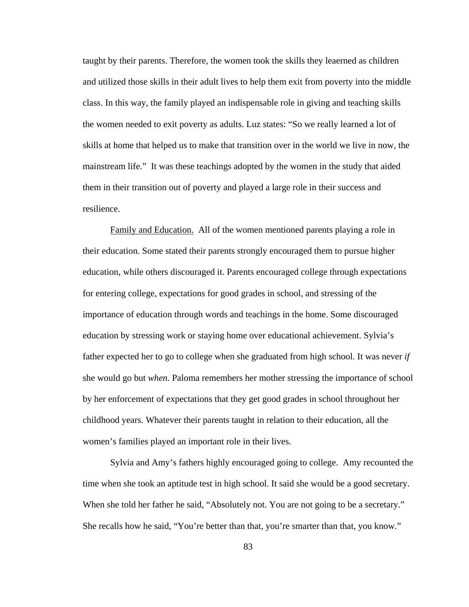taught by their parents. Therefore, the women took the skills they leaerned as children and utilized those skills in their adult lives to help them exit from poverty into the middle class. In this way, the family played an indispensable role in giving and teaching skills the women needed to exit poverty as adults. Luz states: "So we really learned a lot of skills at home that helped us to make that transition over in the world we live in now, the mainstream life." It was these teachings adopted by the women in the study that aided them in their transition out of poverty and played a large role in their success and resilience.

 Family and Education. All of the women mentioned parents playing a role in their education. Some stated their parents strongly encouraged them to pursue higher education, while others discouraged it. Parents encouraged college through expectations for entering college, expectations for good grades in school, and stressing of the importance of education through words and teachings in the home. Some discouraged education by stressing work or staying home over educational achievement. Sylvia's father expected her to go to college when she graduated from high school. It was never *if* she would go but *when*. Paloma remembers her mother stressing the importance of school by her enforcement of expectations that they get good grades in school throughout her childhood years. Whatever their parents taught in relation to their education, all the women's families played an important role in their lives.

Sylvia and Amy's fathers highly encouraged going to college. Amy recounted the time when she took an aptitude test in high school. It said she would be a good secretary. When she told her father he said, "Absolutely not. You are not going to be a secretary." She recalls how he said, "You're better than that, you're smarter than that, you know."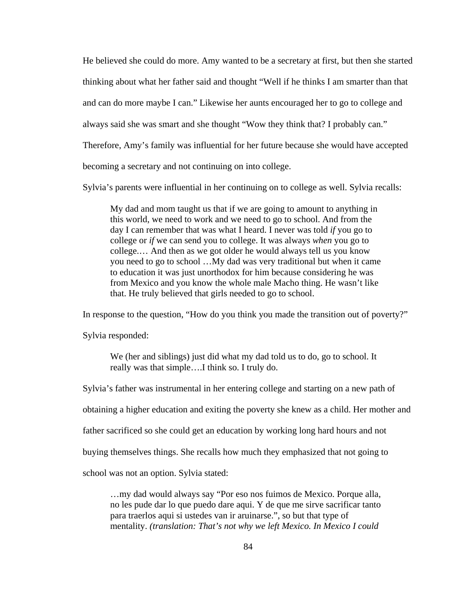He believed she could do more. Amy wanted to be a secretary at first, but then she started thinking about what her father said and thought "Well if he thinks I am smarter than that and can do more maybe I can." Likewise her aunts encouraged her to go to college and always said she was smart and she thought "Wow they think that? I probably can." Therefore, Amy's family was influential for her future because she would have accepted becoming a secretary and not continuing on into college.

Sylvia's parents were influential in her continuing on to college as well. Sylvia recalls:

My dad and mom taught us that if we are going to amount to anything in this world, we need to work and we need to go to school. And from the day I can remember that was what I heard. I never was told *if* you go to college or *if* we can send you to college. It was always *when* you go to college.… And then as we got older he would always tell us you know you need to go to school …My dad was very traditional but when it came to education it was just unorthodox for him because considering he was from Mexico and you know the whole male Macho thing. He wasn't like that. He truly believed that girls needed to go to school.

In response to the question, "How do you think you made the transition out of poverty?"

Sylvia responded:

We (her and siblings) just did what my dad told us to do, go to school. It really was that simple….I think so. I truly do.

Sylvia's father was instrumental in her entering college and starting on a new path of obtaining a higher education and exiting the poverty she knew as a child. Her mother and father sacrificed so she could get an education by working long hard hours and not buying themselves things. She recalls how much they emphasized that not going to

school was not an option. Sylvia stated:

…my dad would always say "Por eso nos fuimos de Mexico. Porque alla, no les pude dar lo que puedo dare aqui. Y de que me sirve sacrificar tanto para traerlos aqui si ustedes van ir aruinarse.", so but that type of mentality. *(translation: That's not why we left Mexico. In Mexico I could*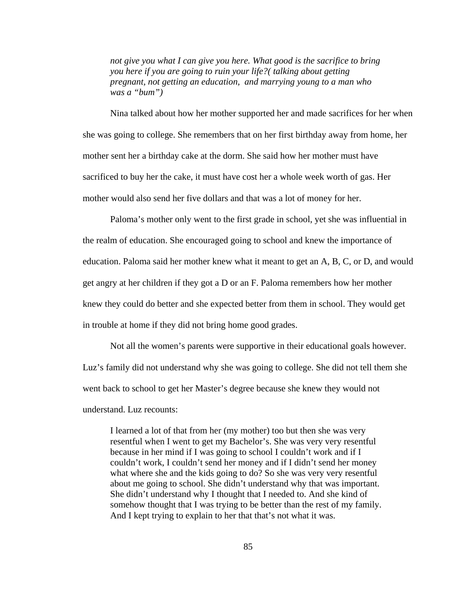*not give you what I can give you here. What good is the sacrifice to bring you here if you are going to ruin your life?( talking about getting pregnant, not getting an education, and marrying young to a man who was a "bum")* 

 Nina talked about how her mother supported her and made sacrifices for her when she was going to college. She remembers that on her first birthday away from home, her mother sent her a birthday cake at the dorm. She said how her mother must have sacrificed to buy her the cake, it must have cost her a whole week worth of gas. Her mother would also send her five dollars and that was a lot of money for her.

 Paloma's mother only went to the first grade in school, yet she was influential in the realm of education. She encouraged going to school and knew the importance of education. Paloma said her mother knew what it meant to get an A, B, C, or D, and would get angry at her children if they got a D or an F. Paloma remembers how her mother knew they could do better and she expected better from them in school. They would get in trouble at home if they did not bring home good grades.

Not all the women's parents were supportive in their educational goals however. Luz's family did not understand why she was going to college. She did not tell them she went back to school to get her Master's degree because she knew they would not understand. Luz recounts:

I learned a lot of that from her (my mother) too but then she was very resentful when I went to get my Bachelor's. She was very very resentful because in her mind if I was going to school I couldn't work and if I couldn't work, I couldn't send her money and if I didn't send her money what where she and the kids going to do? So she was very very resentful about me going to school. She didn't understand why that was important. She didn't understand why I thought that I needed to. And she kind of somehow thought that I was trying to be better than the rest of my family. And I kept trying to explain to her that that's not what it was.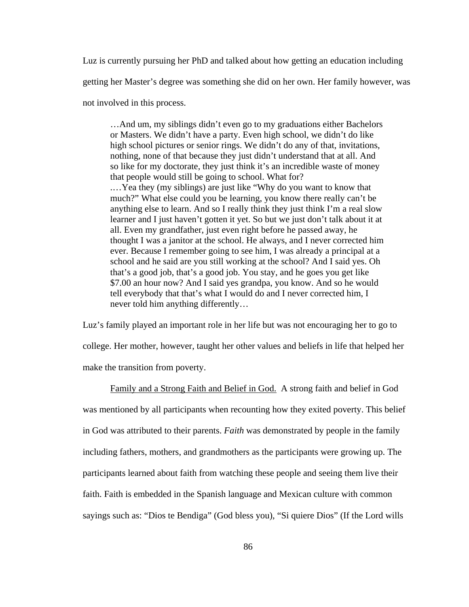Luz is currently pursuing her PhD and talked about how getting an education including

getting her Master's degree was something she did on her own. Her family however, was

not involved in this process.

…And um, my siblings didn't even go to my graduations either Bachelors or Masters. We didn't have a party. Even high school, we didn't do like high school pictures or senior rings. We didn't do any of that, invitations, nothing, none of that because they just didn't understand that at all. And so like for my doctorate, they just think it's an incredible waste of money that people would still be going to school. What for?

.…Yea they (my siblings) are just like "Why do you want to know that much?" What else could you be learning, you know there really can't be anything else to learn. And so I really think they just think I'm a real slow learner and I just haven't gotten it yet. So but we just don't talk about it at all. Even my grandfather, just even right before he passed away, he thought I was a janitor at the school. He always, and I never corrected him ever. Because I remember going to see him, I was already a principal at a school and he said are you still working at the school? And I said yes. Oh that's a good job, that's a good job. You stay, and he goes you get like \$7.00 an hour now? And I said yes grandpa, you know. And so he would tell everybody that that's what I would do and I never corrected him, I never told him anything differently…

Luz's family played an important role in her life but was not encouraging her to go to college. Her mother, however, taught her other values and beliefs in life that helped her make the transition from poverty.

 Family and a Strong Faith and Belief in God. A strong faith and belief in God was mentioned by all participants when recounting how they exited poverty. This belief in God was attributed to their parents. *Faith* was demonstrated by people in the family including fathers, mothers, and grandmothers as the participants were growing up. The participants learned about faith from watching these people and seeing them live their faith. Faith is embedded in the Spanish language and Mexican culture with common sayings such as: "Dios te Bendiga" (God bless you), "Si quiere Dios" (If the Lord wills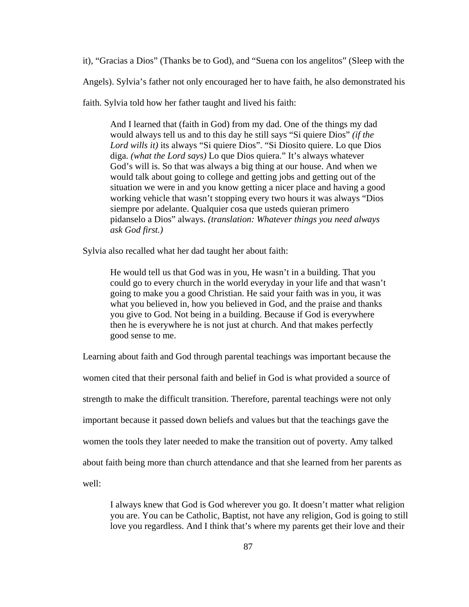it), "Gracias a Dios" (Thanks be to God), and "Suena con los angelitos" (Sleep with the

Angels). Sylvia's father not only encouraged her to have faith, he also demonstrated his

faith. Sylvia told how her father taught and lived his faith:

And I learned that (faith in God) from my dad. One of the things my dad would always tell us and to this day he still says "Si quiere Dios" *(if the Lord wills it)* its always "Si quiere Dios". "Si Diosito quiere. Lo que Dios diga. *(what the Lord says)* Lo que Dios quiera." It's always whatever God's will is. So that was always a big thing at our house. And when we would talk about going to college and getting jobs and getting out of the situation we were in and you know getting a nicer place and having a good working vehicle that wasn't stopping every two hours it was always "Dios siempre por adelante. Qualquier cosa que usteds quieran primero pidanselo a Dios" always. *(translation: Whatever things you need always ask God first.)* 

Sylvia also recalled what her dad taught her about faith:

He would tell us that God was in you, He wasn't in a building. That you could go to every church in the world everyday in your life and that wasn't going to make you a good Christian. He said your faith was in you, it was what you believed in, how you believed in God, and the praise and thanks you give to God. Not being in a building. Because if God is everywhere then he is everywhere he is not just at church. And that makes perfectly good sense to me.

Learning about faith and God through parental teachings was important because the

women cited that their personal faith and belief in God is what provided a source of strength to make the difficult transition. Therefore, parental teachings were not only important because it passed down beliefs and values but that the teachings gave the women the tools they later needed to make the transition out of poverty. Amy talked about faith being more than church attendance and that she learned from her parents as well:

I always knew that God is God wherever you go. It doesn't matter what religion you are. You can be Catholic, Baptist, not have any religion, God is going to still love you regardless. And I think that's where my parents get their love and their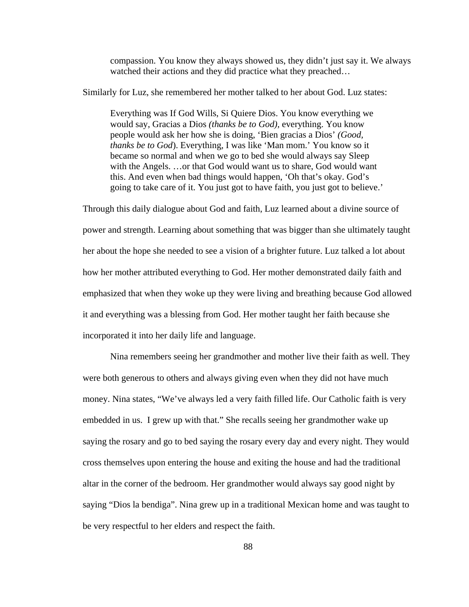compassion. You know they always showed us, they didn't just say it. We always watched their actions and they did practice what they preached...

Similarly for Luz, she remembered her mother talked to her about God. Luz states:

Everything was If God Wills, Si Quiere Dios. You know everything we would say, Gracias a Dios *(thanks be to God),* everything. You know people would ask her how she is doing, 'Bien gracias a Dios' *(Good, thanks be to God*). Everything, I was like 'Man mom.' You know so it became so normal and when we go to bed she would always say Sleep with the Angels. …or that God would want us to share, God would want this. And even when bad things would happen, 'Oh that's okay. God's going to take care of it. You just got to have faith, you just got to believe.'

Through this daily dialogue about God and faith, Luz learned about a divine source of power and strength. Learning about something that was bigger than she ultimately taught her about the hope she needed to see a vision of a brighter future. Luz talked a lot about how her mother attributed everything to God. Her mother demonstrated daily faith and emphasized that when they woke up they were living and breathing because God allowed it and everything was a blessing from God. Her mother taught her faith because she incorporated it into her daily life and language.

Nina remembers seeing her grandmother and mother live their faith as well. They were both generous to others and always giving even when they did not have much money. Nina states, "We've always led a very faith filled life. Our Catholic faith is very embedded in us. I grew up with that." She recalls seeing her grandmother wake up saying the rosary and go to bed saying the rosary every day and every night. They would cross themselves upon entering the house and exiting the house and had the traditional altar in the corner of the bedroom. Her grandmother would always say good night by saying "Dios la bendiga". Nina grew up in a traditional Mexican home and was taught to be very respectful to her elders and respect the faith.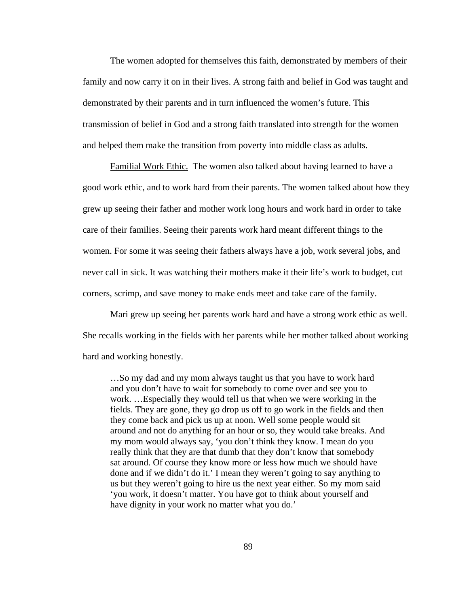The women adopted for themselves this faith, demonstrated by members of their family and now carry it on in their lives. A strong faith and belief in God was taught and demonstrated by their parents and in turn influenced the women's future. This transmission of belief in God and a strong faith translated into strength for the women and helped them make the transition from poverty into middle class as adults.

Familial Work Ethic. The women also talked about having learned to have a good work ethic, and to work hard from their parents. The women talked about how they grew up seeing their father and mother work long hours and work hard in order to take care of their families. Seeing their parents work hard meant different things to the women. For some it was seeing their fathers always have a job, work several jobs, and never call in sick. It was watching their mothers make it their life's work to budget, cut corners, scrimp, and save money to make ends meet and take care of the family.

Mari grew up seeing her parents work hard and have a strong work ethic as well. She recalls working in the fields with her parents while her mother talked about working hard and working honestly.

…So my dad and my mom always taught us that you have to work hard and you don't have to wait for somebody to come over and see you to work. …Especially they would tell us that when we were working in the fields. They are gone, they go drop us off to go work in the fields and then they come back and pick us up at noon. Well some people would sit around and not do anything for an hour or so, they would take breaks. And my mom would always say, 'you don't think they know. I mean do you really think that they are that dumb that they don't know that somebody sat around. Of course they know more or less how much we should have done and if we didn't do it.' I mean they weren't going to say anything to us but they weren't going to hire us the next year either. So my mom said 'you work, it doesn't matter. You have got to think about yourself and have dignity in your work no matter what you do.'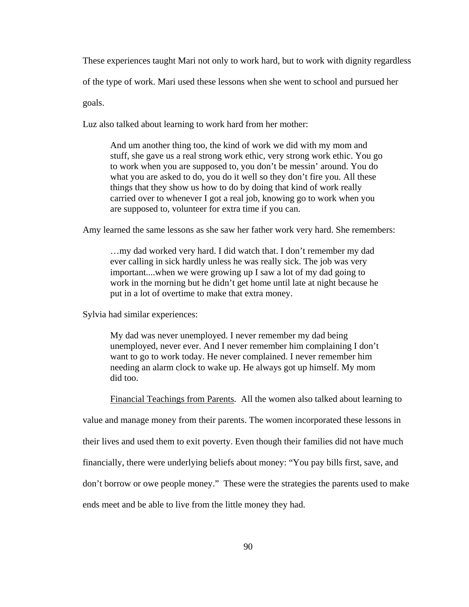These experiences taught Mari not only to work hard, but to work with dignity regardless

of the type of work. Mari used these lessons when she went to school and pursued her

goals.

Luz also talked about learning to work hard from her mother:

And um another thing too, the kind of work we did with my mom and stuff, she gave us a real strong work ethic, very strong work ethic. You go to work when you are supposed to, you don't be messin' around. You do what you are asked to do, you do it well so they don't fire you. All these things that they show us how to do by doing that kind of work really carried over to whenever I got a real job, knowing go to work when you are supposed to, volunteer for extra time if you can.

Amy learned the same lessons as she saw her father work very hard. She remembers:

…my dad worked very hard. I did watch that. I don't remember my dad ever calling in sick hardly unless he was really sick. The job was very important....when we were growing up I saw a lot of my dad going to work in the morning but he didn't get home until late at night because he put in a lot of overtime to make that extra money.

Sylvia had similar experiences:

My dad was never unemployed. I never remember my dad being unemployed, never ever. And I never remember him complaining I don't want to go to work today. He never complained. I never remember him needing an alarm clock to wake up. He always got up himself. My mom did too.

Financial Teachings from Parents. All the women also talked about learning to

value and manage money from their parents. The women incorporated these lessons in

their lives and used them to exit poverty. Even though their families did not have much

financially, there were underlying beliefs about money: "You pay bills first, save, and

don't borrow or owe people money." These were the strategies the parents used to make

ends meet and be able to live from the little money they had.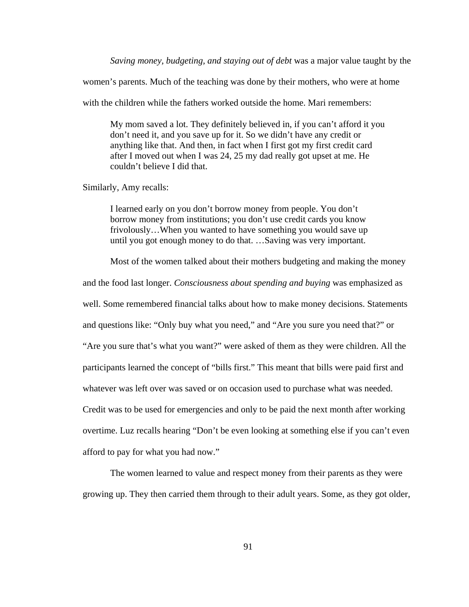*Saving money, budgeting, and staying out of debt* was a major value taught by the

women's parents. Much of the teaching was done by their mothers, who were at home

with the children while the fathers worked outside the home. Mari remembers:

My mom saved a lot. They definitely believed in, if you can't afford it you don't need it, and you save up for it. So we didn't have any credit or anything like that. And then, in fact when I first got my first credit card after I moved out when I was 24, 25 my dad really got upset at me. He couldn't believe I did that.

Similarly, Amy recalls:

I learned early on you don't borrow money from people. You don't borrow money from institutions; you don't use credit cards you know frivolously…When you wanted to have something you would save up until you got enough money to do that. …Saving was very important.

Most of the women talked about their mothers budgeting and making the money

and the food last longer. *Consciousness about spending and buying* was emphasized as

well. Some remembered financial talks about how to make money decisions. Statements

and questions like: "Only buy what you need," and "Are you sure you need that?" or

"Are you sure that's what you want?" were asked of them as they were children. All the

participants learned the concept of "bills first." This meant that bills were paid first and

whatever was left over was saved or on occasion used to purchase what was needed.

Credit was to be used for emergencies and only to be paid the next month after working

overtime. Luz recalls hearing "Don't be even looking at something else if you can't even

afford to pay for what you had now."

The women learned to value and respect money from their parents as they were growing up. They then carried them through to their adult years. Some, as they got older,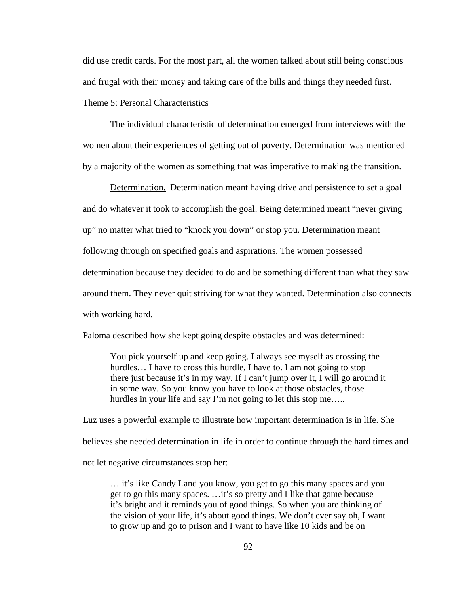did use credit cards. For the most part, all the women talked about still being conscious and frugal with their money and taking care of the bills and things they needed first.

# Theme 5: Personal Characteristics

The individual characteristic of determination emerged from interviews with the women about their experiences of getting out of poverty. Determination was mentioned by a majority of the women as something that was imperative to making the transition.

Determination. Determination meant having drive and persistence to set a goal and do whatever it took to accomplish the goal. Being determined meant "never giving up" no matter what tried to "knock you down" or stop you. Determination meant following through on specified goals and aspirations. The women possessed determination because they decided to do and be something different than what they saw around them. They never quit striving for what they wanted. Determination also connects with working hard.

Paloma described how she kept going despite obstacles and was determined:

You pick yourself up and keep going. I always see myself as crossing the hurdles... I have to cross this hurdle, I have to. I am not going to stop there just because it's in my way. If I can't jump over it, I will go around it in some way. So you know you have to look at those obstacles, those hurdles in your life and say I'm not going to let this stop me.....

Luz uses a powerful example to illustrate how important determination is in life. She believes she needed determination in life in order to continue through the hard times and not let negative circumstances stop her:

… it's like Candy Land you know, you get to go this many spaces and you get to go this many spaces. …it's so pretty and I like that game because it's bright and it reminds you of good things. So when you are thinking of the vision of your life, it's about good things. We don't ever say oh, I want to grow up and go to prison and I want to have like 10 kids and be on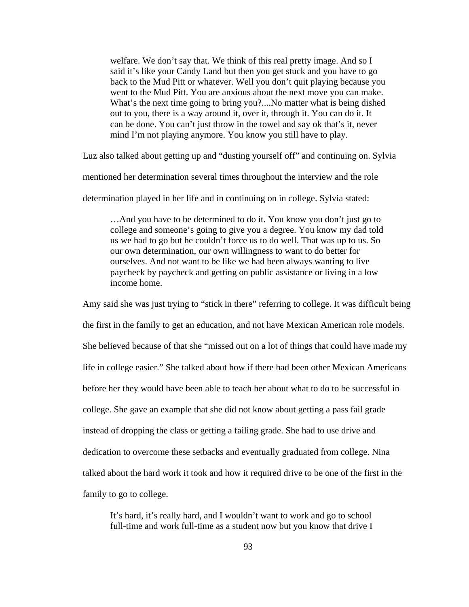welfare. We don't say that. We think of this real pretty image. And so I said it's like your Candy Land but then you get stuck and you have to go back to the Mud Pitt or whatever. Well you don't quit playing because you went to the Mud Pitt. You are anxious about the next move you can make. What's the next time going to bring you?....No matter what is being dished out to you, there is a way around it, over it, through it. You can do it. It can be done. You can't just throw in the towel and say ok that's it, never mind I'm not playing anymore. You know you still have to play.

Luz also talked about getting up and "dusting yourself off" and continuing on. Sylvia

mentioned her determination several times throughout the interview and the role

determination played in her life and in continuing on in college. Sylvia stated:

…And you have to be determined to do it. You know you don't just go to college and someone's going to give you a degree. You know my dad told us we had to go but he couldn't force us to do well. That was up to us. So our own determination, our own willingness to want to do better for ourselves. And not want to be like we had been always wanting to live paycheck by paycheck and getting on public assistance or living in a low income home.

Amy said she was just trying to "stick in there" referring to college. It was difficult being the first in the family to get an education, and not have Mexican American role models. She believed because of that she "missed out on a lot of things that could have made my life in college easier." She talked about how if there had been other Mexican Americans before her they would have been able to teach her about what to do to be successful in college. She gave an example that she did not know about getting a pass fail grade instead of dropping the class or getting a failing grade. She had to use drive and dedication to overcome these setbacks and eventually graduated from college. Nina talked about the hard work it took and how it required drive to be one of the first in the family to go to college.

 It's hard, it's really hard, and I wouldn't want to work and go to school full-time and work full-time as a student now but you know that drive I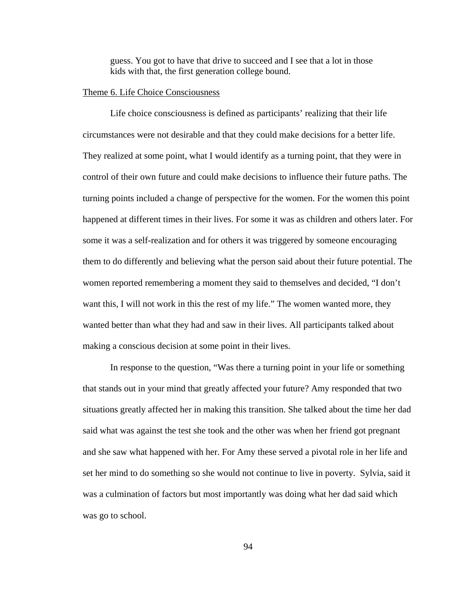guess. You got to have that drive to succeed and I see that a lot in those kids with that, the first generation college bound.

### Theme 6. Life Choice Consciousness

 Life choice consciousness is defined as participants' realizing that their life circumstances were not desirable and that they could make decisions for a better life. They realized at some point, what I would identify as a turning point, that they were in control of their own future and could make decisions to influence their future paths. The turning points included a change of perspective for the women. For the women this point happened at different times in their lives. For some it was as children and others later. For some it was a self-realization and for others it was triggered by someone encouraging them to do differently and believing what the person said about their future potential. The women reported remembering a moment they said to themselves and decided, "I don't want this, I will not work in this the rest of my life." The women wanted more, they wanted better than what they had and saw in their lives. All participants talked about making a conscious decision at some point in their lives.

In response to the question, "Was there a turning point in your life or something that stands out in your mind that greatly affected your future? Amy responded that two situations greatly affected her in making this transition. She talked about the time her dad said what was against the test she took and the other was when her friend got pregnant and she saw what happened with her. For Amy these served a pivotal role in her life and set her mind to do something so she would not continue to live in poverty. Sylvia, said it was a culmination of factors but most importantly was doing what her dad said which was go to school.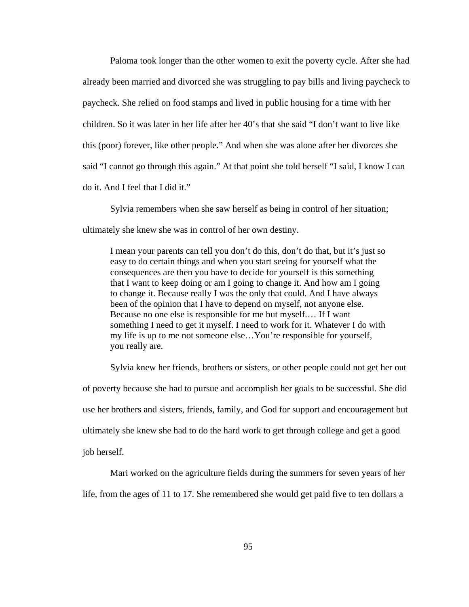Paloma took longer than the other women to exit the poverty cycle. After she had already been married and divorced she was struggling to pay bills and living paycheck to paycheck. She relied on food stamps and lived in public housing for a time with her children. So it was later in her life after her 40's that she said "I don't want to live like this (poor) forever, like other people." And when she was alone after her divorces she said "I cannot go through this again." At that point she told herself "I said, I know I can do it. And I feel that I did it."

Sylvia remembers when she saw herself as being in control of her situation; ultimately she knew she was in control of her own destiny.

I mean your parents can tell you don't do this, don't do that, but it's just so easy to do certain things and when you start seeing for yourself what the consequences are then you have to decide for yourself is this something that I want to keep doing or am I going to change it. And how am I going to change it. Because really I was the only that could. And I have always been of the opinion that I have to depend on myself, not anyone else. Because no one else is responsible for me but myself.… If I want something I need to get it myself. I need to work for it. Whatever I do with my life is up to me not someone else…You're responsible for yourself, you really are.

Sylvia knew her friends, brothers or sisters, or other people could not get her out of poverty because she had to pursue and accomplish her goals to be successful. She did use her brothers and sisters, friends, family, and God for support and encouragement but ultimately she knew she had to do the hard work to get through college and get a good job herself.

Mari worked on the agriculture fields during the summers for seven years of her

life, from the ages of 11 to 17. She remembered she would get paid five to ten dollars a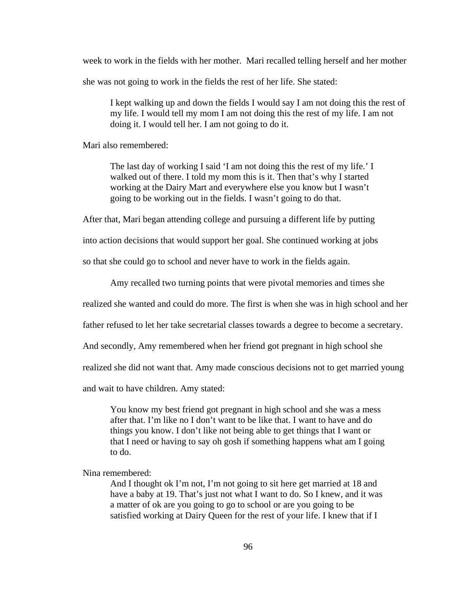week to work in the fields with her mother. Mari recalled telling herself and her mother

she was not going to work in the fields the rest of her life. She stated:

I kept walking up and down the fields I would say I am not doing this the rest of my life. I would tell my mom I am not doing this the rest of my life. I am not doing it. I would tell her. I am not going to do it.

Mari also remembered:

The last day of working I said 'I am not doing this the rest of my life.' I walked out of there. I told my mom this is it. Then that's why I started working at the Dairy Mart and everywhere else you know but I wasn't going to be working out in the fields. I wasn't going to do that.

After that, Mari began attending college and pursuing a different life by putting

into action decisions that would support her goal. She continued working at jobs

so that she could go to school and never have to work in the fields again.

Amy recalled two turning points that were pivotal memories and times she

realized she wanted and could do more. The first is when she was in high school and her

father refused to let her take secretarial classes towards a degree to become a secretary.

And secondly, Amy remembered when her friend got pregnant in high school she

realized she did not want that. Amy made conscious decisions not to get married young

and wait to have children. Amy stated:

You know my best friend got pregnant in high school and she was a mess after that. I'm like no I don't want to be like that. I want to have and do things you know. I don't like not being able to get things that I want or that I need or having to say oh gosh if something happens what am I going to do.

Nina remembered:

And I thought ok I'm not, I'm not going to sit here get married at 18 and have a baby at 19. That's just not what I want to do. So I knew, and it was a matter of ok are you going to go to school or are you going to be satisfied working at Dairy Queen for the rest of your life. I knew that if I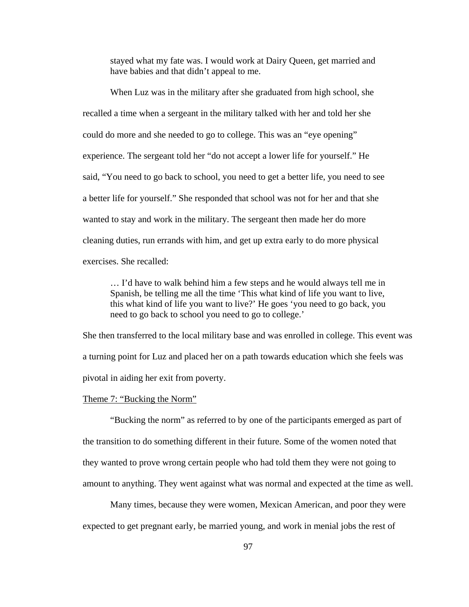stayed what my fate was. I would work at Dairy Queen, get married and have babies and that didn't appeal to me.

When Luz was in the military after she graduated from high school, she recalled a time when a sergeant in the military talked with her and told her she could do more and she needed to go to college. This was an "eye opening" experience. The sergeant told her "do not accept a lower life for yourself." He said, "You need to go back to school, you need to get a better life, you need to see a better life for yourself." She responded that school was not for her and that she wanted to stay and work in the military. The sergeant then made her do more cleaning duties, run errands with him, and get up extra early to do more physical exercises. She recalled:

… I'd have to walk behind him a few steps and he would always tell me in Spanish, be telling me all the time 'This what kind of life you want to live, this what kind of life you want to live?' He goes 'you need to go back, you need to go back to school you need to go to college.'

She then transferred to the local military base and was enrolled in college. This event was a turning point for Luz and placed her on a path towards education which she feels was pivotal in aiding her exit from poverty.

#### Theme 7: "Bucking the Norm"

"Bucking the norm" as referred to by one of the participants emerged as part of the transition to do something different in their future. Some of the women noted that they wanted to prove wrong certain people who had told them they were not going to amount to anything. They went against what was normal and expected at the time as well.

Many times, because they were women, Mexican American, and poor they were expected to get pregnant early, be married young, and work in menial jobs the rest of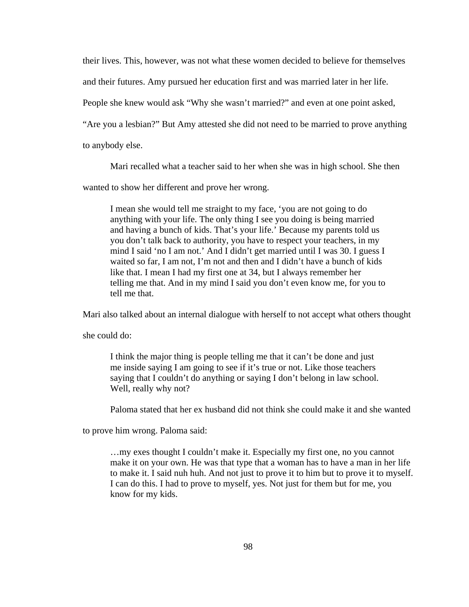their lives. This, however, was not what these women decided to believe for themselves

and their futures. Amy pursued her education first and was married later in her life.

People she knew would ask "Why she wasn't married?" and even at one point asked,

"Are you a lesbian?" But Amy attested she did not need to be married to prove anything

to anybody else.

Mari recalled what a teacher said to her when she was in high school. She then

wanted to show her different and prove her wrong.

I mean she would tell me straight to my face, 'you are not going to do anything with your life. The only thing I see you doing is being married and having a bunch of kids. That's your life.' Because my parents told us you don't talk back to authority, you have to respect your teachers, in my mind I said 'no I am not.' And I didn't get married until I was 30. I guess I waited so far, I am not, I'm not and then and I didn't have a bunch of kids like that. I mean I had my first one at 34, but I always remember her telling me that. And in my mind I said you don't even know me, for you to tell me that.

Mari also talked about an internal dialogue with herself to not accept what others thought

she could do:

I think the major thing is people telling me that it can't be done and just me inside saying I am going to see if it's true or not. Like those teachers saying that I couldn't do anything or saying I don't belong in law school. Well, really why not?

Paloma stated that her ex husband did not think she could make it and she wanted

to prove him wrong. Paloma said:

…my exes thought I couldn't make it. Especially my first one, no you cannot make it on your own. He was that type that a woman has to have a man in her life to make it. I said nuh huh. And not just to prove it to him but to prove it to myself. I can do this. I had to prove to myself, yes. Not just for them but for me, you know for my kids.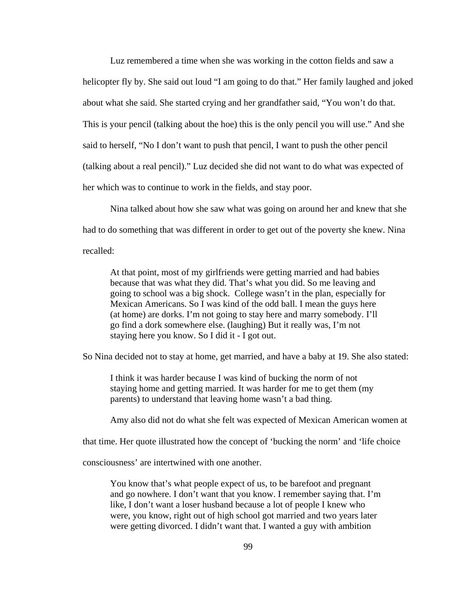Luz remembered a time when she was working in the cotton fields and saw a helicopter fly by. She said out loud "I am going to do that." Her family laughed and joked about what she said. She started crying and her grandfather said, "You won't do that. This is your pencil (talking about the hoe) this is the only pencil you will use." And she said to herself, "No I don't want to push that pencil, I want to push the other pencil (talking about a real pencil)." Luz decided she did not want to do what was expected of her which was to continue to work in the fields, and stay poor.

Nina talked about how she saw what was going on around her and knew that she had to do something that was different in order to get out of the poverty she knew. Nina recalled:

At that point, most of my girlfriends were getting married and had babies because that was what they did. That's what you did. So me leaving and going to school was a big shock. College wasn't in the plan, especially for Mexican Americans. So I was kind of the odd ball. I mean the guys here (at home) are dorks. I'm not going to stay here and marry somebody. I'll go find a dork somewhere else. (laughing) But it really was, I'm not staying here you know. So I did it - I got out.

So Nina decided not to stay at home, get married, and have a baby at 19. She also stated:

I think it was harder because I was kind of bucking the norm of not staying home and getting married. It was harder for me to get them (my parents) to understand that leaving home wasn't a bad thing.

Amy also did not do what she felt was expected of Mexican American women at

that time. Her quote illustrated how the concept of 'bucking the norm' and 'life choice

consciousness' are intertwined with one another.

You know that's what people expect of us, to be barefoot and pregnant and go nowhere. I don't want that you know. I remember saying that. I'm like, I don't want a loser husband because a lot of people I knew who were, you know, right out of high school got married and two years later were getting divorced. I didn't want that. I wanted a guy with ambition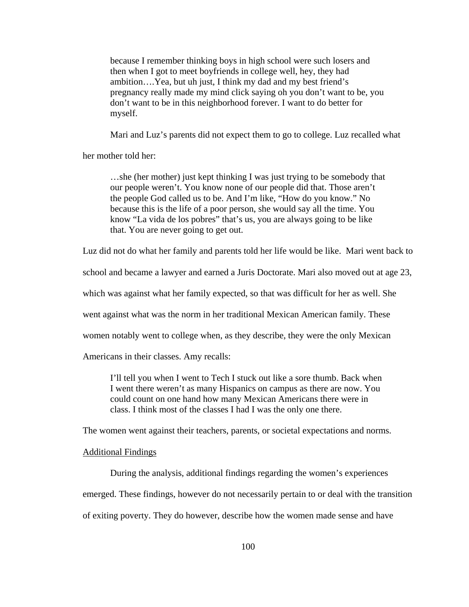because I remember thinking boys in high school were such losers and then when I got to meet boyfriends in college well, hey, they had ambition….Yea, but uh just, I think my dad and my best friend's pregnancy really made my mind click saying oh you don't want to be, you don't want to be in this neighborhood forever. I want to do better for myself.

Mari and Luz's parents did not expect them to go to college. Luz recalled what

her mother told her:

…she (her mother) just kept thinking I was just trying to be somebody that our people weren't. You know none of our people did that. Those aren't the people God called us to be. And I'm like, "How do you know." No because this is the life of a poor person, she would say all the time. You know "La vida de los pobres" that's us, you are always going to be like that. You are never going to get out.

Luz did not do what her family and parents told her life would be like. Mari went back to

school and became a lawyer and earned a Juris Doctorate. Mari also moved out at age 23,

which was against what her family expected, so that was difficult for her as well. She

went against what was the norm in her traditional Mexican American family. These

women notably went to college when, as they describe, they were the only Mexican

Americans in their classes. Amy recalls:

I'll tell you when I went to Tech I stuck out like a sore thumb. Back when I went there weren't as many Hispanics on campus as there are now. You could count on one hand how many Mexican Americans there were in class. I think most of the classes I had I was the only one there.

The women went against their teachers, parents, or societal expectations and norms.

### Additional Findings

 During the analysis, additional findings regarding the women's experiences emerged. These findings, however do not necessarily pertain to or deal with the transition of exiting poverty. They do however, describe how the women made sense and have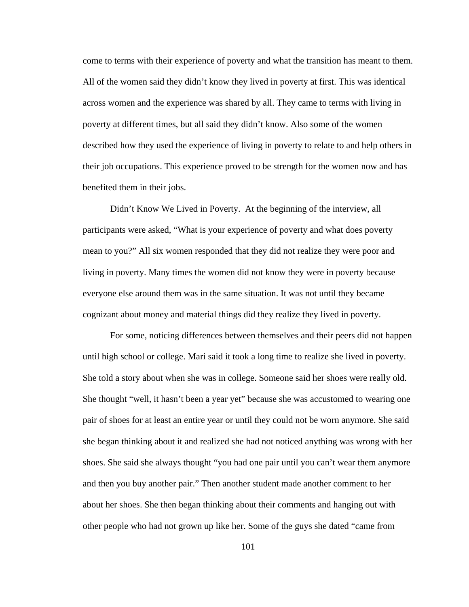come to terms with their experience of poverty and what the transition has meant to them. All of the women said they didn't know they lived in poverty at first. This was identical across women and the experience was shared by all. They came to terms with living in poverty at different times, but all said they didn't know. Also some of the women described how they used the experience of living in poverty to relate to and help others in their job occupations. This experience proved to be strength for the women now and has benefited them in their jobs.

Didn't Know We Lived in Poverty. At the beginning of the interview, all participants were asked, "What is your experience of poverty and what does poverty mean to you?" All six women responded that they did not realize they were poor and living in poverty. Many times the women did not know they were in poverty because everyone else around them was in the same situation. It was not until they became cognizant about money and material things did they realize they lived in poverty.

For some, noticing differences between themselves and their peers did not happen until high school or college. Mari said it took a long time to realize she lived in poverty. She told a story about when she was in college. Someone said her shoes were really old. She thought "well, it hasn't been a year yet" because she was accustomed to wearing one pair of shoes for at least an entire year or until they could not be worn anymore. She said she began thinking about it and realized she had not noticed anything was wrong with her shoes. She said she always thought "you had one pair until you can't wear them anymore and then you buy another pair." Then another student made another comment to her about her shoes. She then began thinking about their comments and hanging out with other people who had not grown up like her. Some of the guys she dated "came from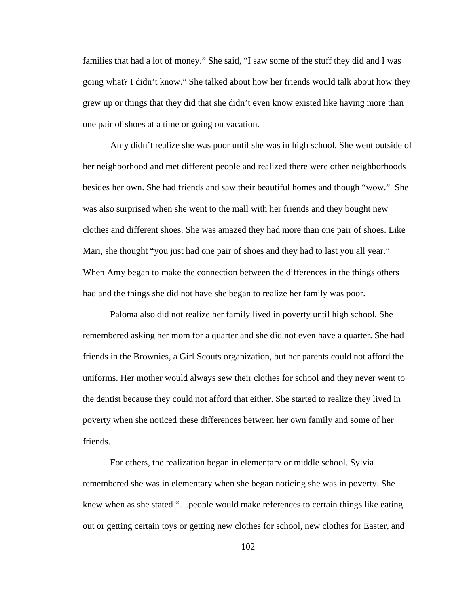families that had a lot of money." She said, "I saw some of the stuff they did and I was going what? I didn't know." She talked about how her friends would talk about how they grew up or things that they did that she didn't even know existed like having more than one pair of shoes at a time or going on vacation.

Amy didn't realize she was poor until she was in high school. She went outside of her neighborhood and met different people and realized there were other neighborhoods besides her own. She had friends and saw their beautiful homes and though "wow." She was also surprised when she went to the mall with her friends and they bought new clothes and different shoes. She was amazed they had more than one pair of shoes. Like Mari, she thought "you just had one pair of shoes and they had to last you all year." When Amy began to make the connection between the differences in the things others had and the things she did not have she began to realize her family was poor.

Paloma also did not realize her family lived in poverty until high school. She remembered asking her mom for a quarter and she did not even have a quarter. She had friends in the Brownies, a Girl Scouts organization, but her parents could not afford the uniforms. Her mother would always sew their clothes for school and they never went to the dentist because they could not afford that either. She started to realize they lived in poverty when she noticed these differences between her own family and some of her friends.

For others, the realization began in elementary or middle school. Sylvia remembered she was in elementary when she began noticing she was in poverty. She knew when as she stated "…people would make references to certain things like eating out or getting certain toys or getting new clothes for school, new clothes for Easter, and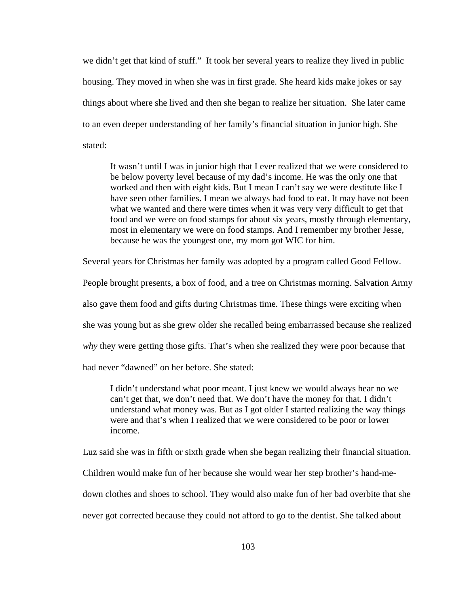we didn't get that kind of stuff." It took her several years to realize they lived in public housing. They moved in when she was in first grade. She heard kids make jokes or say things about where she lived and then she began to realize her situation. She later came to an even deeper understanding of her family's financial situation in junior high. She stated:

It wasn't until I was in junior high that I ever realized that we were considered to be below poverty level because of my dad's income. He was the only one that worked and then with eight kids. But I mean I can't say we were destitute like I have seen other families. I mean we always had food to eat. It may have not been what we wanted and there were times when it was very very difficult to get that food and we were on food stamps for about six years, mostly through elementary, most in elementary we were on food stamps. And I remember my brother Jesse, because he was the youngest one, my mom got WIC for him.

Several years for Christmas her family was adopted by a program called Good Fellow.

People brought presents, a box of food, and a tree on Christmas morning. Salvation Army

also gave them food and gifts during Christmas time. These things were exciting when

she was young but as she grew older she recalled being embarrassed because she realized

*why* they were getting those gifts. That's when she realized they were poor because that

had never "dawned" on her before. She stated:

I didn't understand what poor meant. I just knew we would always hear no we can't get that, we don't need that. We don't have the money for that. I didn't understand what money was. But as I got older I started realizing the way things were and that's when I realized that we were considered to be poor or lower income.

Luz said she was in fifth or sixth grade when she began realizing their financial situation.

Children would make fun of her because she would wear her step brother's hand-me-

down clothes and shoes to school. They would also make fun of her bad overbite that she

never got corrected because they could not afford to go to the dentist. She talked about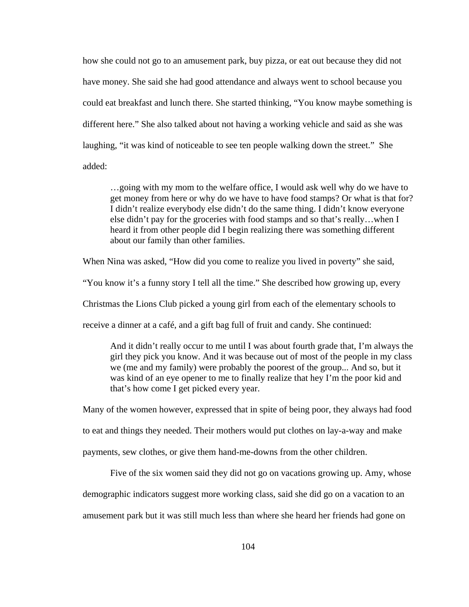how she could not go to an amusement park, buy pizza, or eat out because they did not have money. She said she had good attendance and always went to school because you could eat breakfast and lunch there. She started thinking, "You know maybe something is different here." She also talked about not having a working vehicle and said as she was laughing, "it was kind of noticeable to see ten people walking down the street." She added:

…going with my mom to the welfare office, I would ask well why do we have to get money from here or why do we have to have food stamps? Or what is that for? I didn't realize everybody else didn't do the same thing. I didn't know everyone else didn't pay for the groceries with food stamps and so that's really…when I heard it from other people did I begin realizing there was something different about our family than other families.

When Nina was asked, "How did you come to realize you lived in poverty" she said,

"You know it's a funny story I tell all the time." She described how growing up, every

Christmas the Lions Club picked a young girl from each of the elementary schools to

receive a dinner at a café, and a gift bag full of fruit and candy. She continued:

And it didn't really occur to me until I was about fourth grade that, I'm always the girl they pick you know. And it was because out of most of the people in my class we (me and my family) were probably the poorest of the group... And so, but it was kind of an eye opener to me to finally realize that hey I'm the poor kid and that's how come I get picked every year.

Many of the women however, expressed that in spite of being poor, they always had food

to eat and things they needed. Their mothers would put clothes on lay-a-way and make

payments, sew clothes, or give them hand-me-downs from the other children.

Five of the six women said they did not go on vacations growing up. Amy, whose

demographic indicators suggest more working class, said she did go on a vacation to an

amusement park but it was still much less than where she heard her friends had gone on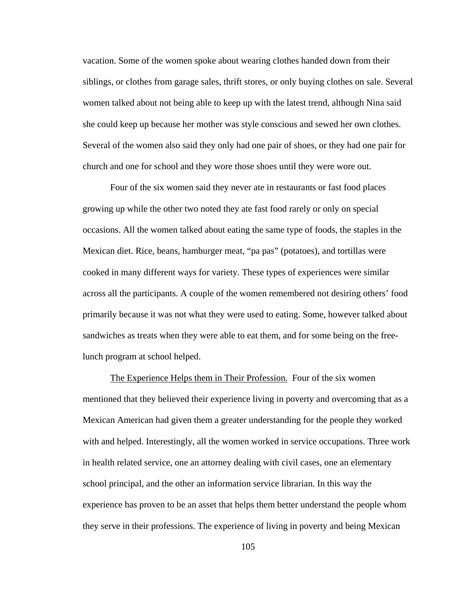vacation. Some of the women spoke about wearing clothes handed down from their siblings, or clothes from garage sales, thrift stores, or only buying clothes on sale. Several women talked about not being able to keep up with the latest trend, although Nina said she could keep up because her mother was style conscious and sewed her own clothes. Several of the women also said they only had one pair of shoes, or they had one pair for church and one for school and they wore those shoes until they were wore out.

Four of the six women said they never ate in restaurants or fast food places growing up while the other two noted they ate fast food rarely or only on special occasions. All the women talked about eating the same type of foods, the staples in the Mexican diet. Rice, beans, hamburger meat, "pa pas" (potatoes), and tortillas were cooked in many different ways for variety. These types of experiences were similar across all the participants. A couple of the women remembered not desiring others' food primarily because it was not what they were used to eating. Some, however talked about sandwiches as treats when they were able to eat them, and for some being on the freelunch program at school helped.

The Experience Helps them in Their Profession. Four of the six women mentioned that they believed their experience living in poverty and overcoming that as a Mexican American had given them a greater understanding for the people they worked with and helped. Interestingly, all the women worked in service occupations. Three work in health related service, one an attorney dealing with civil cases, one an elementary school principal, and the other an information service librarian. In this way the experience has proven to be an asset that helps them better understand the people whom they serve in their professions. The experience of living in poverty and being Mexican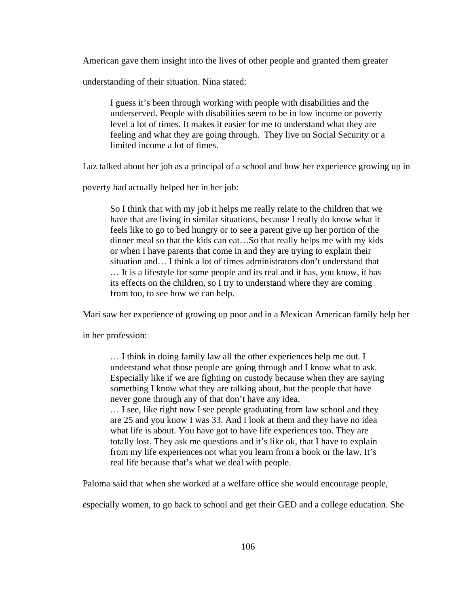American gave them insight into the lives of other people and granted them greater

understanding of their situation. Nina stated:

I guess it's been through working with people with disabilities and the underserved. People with disabilities seem to be in low income or poverty level a lot of times. It makes it easier for me to understand what they are feeling and what they are going through. They live on Social Security or a limited income a lot of times.

Luz talked about her job as a principal of a school and how her experience growing up in

poverty had actually helped her in her job:

So I think that with my job it helps me really relate to the children that we have that are living in similar situations, because I really do know what it feels like to go to bed hungry or to see a parent give up her portion of the dinner meal so that the kids can eat…So that really helps me with my kids or when I have parents that come in and they are trying to explain their situation and… I think a lot of times administrators don't understand that … It is a lifestyle for some people and its real and it has, you know, it has its effects on the children, so I try to understand where they are coming from too, to see how we can help.

Mari saw her experience of growing up poor and in a Mexican American family help her

in her profession:

… I think in doing family law all the other experiences help me out. I understand what those people are going through and I know what to ask. Especially like if we are fighting on custody because when they are saying something I know what they are talking about, but the people that have never gone through any of that don't have any idea. … I see, like right now I see people graduating from law school and they are 25 and you know I was 33. And I look at them and they have no idea what life is about. You have got to have life experiences too. They are totally lost. They ask me questions and it's like ok, that I have to explain from my life experiences not what you learn from a book or the law. It's real life because that's what we deal with people.

Paloma said that when she worked at a welfare office she would encourage people,

especially women, to go back to school and get their GED and a college education. She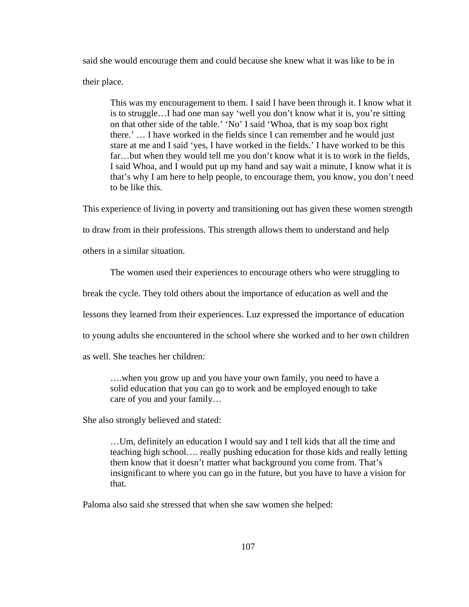said she would encourage them and could because she knew what it was like to be in

their place.

This was my encouragement to them. I said I have been through it. I know what it is to struggle…I had one man say 'well you don't know what it is, you're sitting on that other side of the table.' 'No' I said 'Whoa, that is my soap box right there.' … I have worked in the fields since I can remember and he would just stare at me and I said 'yes, I have worked in the fields.' I have worked to be this far…but when they would tell me you don't know what it is to work in the fields, I said Whoa, and I would put up my hand and say wait a minute, I know what it is that's why I am here to help people, to encourage them, you know, you don't need to be like this.

This experience of living in poverty and transitioning out has given these women strength

to draw from in their professions. This strength allows them to understand and help

others in a similar situation.

The women used their experiences to encourage others who were struggling to

break the cycle. They told others about the importance of education as well and the

lessons they learned from their experiences. Luz expressed the importance of education

to young adults she encountered in the school where she worked and to her own children

as well. She teaches her children:

….when you grow up and you have your own family, you need to have a solid education that you can go to work and be employed enough to take care of you and your family…

She also strongly believed and stated:

…Um, definitely an education I would say and I tell kids that all the time and teaching high school…. really pushing education for those kids and really letting them know that it doesn't matter what background you come from. That's insignificant to where you can go in the future, but you have to have a vision for that.

Paloma also said she stressed that when she saw women she helped: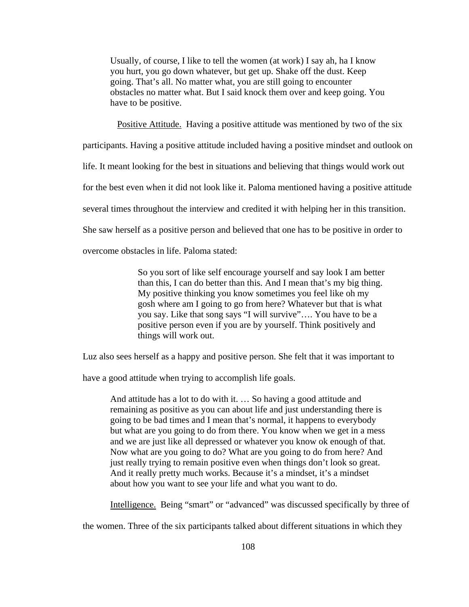Usually, of course, I like to tell the women (at work) I say ah, ha I know you hurt, you go down whatever, but get up. Shake off the dust. Keep going. That's all. No matter what, you are still going to encounter obstacles no matter what. But I said knock them over and keep going. You have to be positive.

Positive Attitude. Having a positive attitude was mentioned by two of the six

participants. Having a positive attitude included having a positive mindset and outlook on

life. It meant looking for the best in situations and believing that things would work out

for the best even when it did not look like it. Paloma mentioned having a positive attitude

several times throughout the interview and credited it with helping her in this transition.

She saw herself as a positive person and believed that one has to be positive in order to

overcome obstacles in life. Paloma stated:

So you sort of like self encourage yourself and say look I am better than this, I can do better than this. And I mean that's my big thing. My positive thinking you know sometimes you feel like oh my gosh where am I going to go from here? Whatever but that is what you say. Like that song says "I will survive"…. You have to be a positive person even if you are by yourself. Think positively and things will work out.

Luz also sees herself as a happy and positive person. She felt that it was important to

have a good attitude when trying to accomplish life goals.

And attitude has a lot to do with it. … So having a good attitude and remaining as positive as you can about life and just understanding there is going to be bad times and I mean that's normal, it happens to everybody but what are you going to do from there. You know when we get in a mess and we are just like all depressed or whatever you know ok enough of that. Now what are you going to do? What are you going to do from here? And just really trying to remain positive even when things don't look so great. And it really pretty much works. Because it's a mindset, it's a mindset about how you want to see your life and what you want to do.

Intelligence. Being "smart" or "advanced" was discussed specifically by three of

the women. Three of the six participants talked about different situations in which they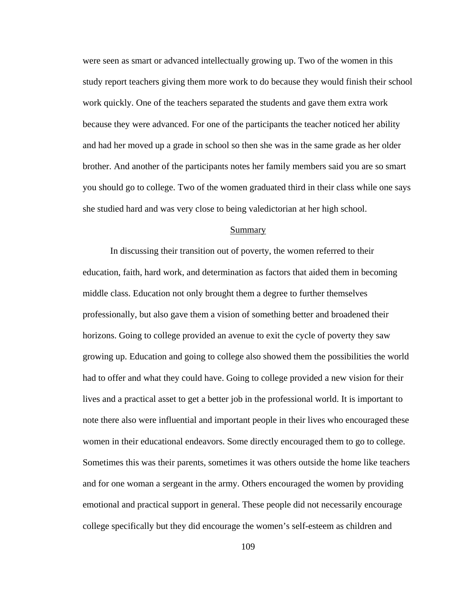were seen as smart or advanced intellectually growing up. Two of the women in this study report teachers giving them more work to do because they would finish their school work quickly. One of the teachers separated the students and gave them extra work because they were advanced. For one of the participants the teacher noticed her ability and had her moved up a grade in school so then she was in the same grade as her older brother. And another of the participants notes her family members said you are so smart you should go to college. Two of the women graduated third in their class while one says she studied hard and was very close to being valedictorian at her high school.

#### Summary

 In discussing their transition out of poverty, the women referred to their education, faith, hard work, and determination as factors that aided them in becoming middle class. Education not only brought them a degree to further themselves professionally, but also gave them a vision of something better and broadened their horizons. Going to college provided an avenue to exit the cycle of poverty they saw growing up. Education and going to college also showed them the possibilities the world had to offer and what they could have. Going to college provided a new vision for their lives and a practical asset to get a better job in the professional world. It is important to note there also were influential and important people in their lives who encouraged these women in their educational endeavors. Some directly encouraged them to go to college. Sometimes this was their parents, sometimes it was others outside the home like teachers and for one woman a sergeant in the army. Others encouraged the women by providing emotional and practical support in general. These people did not necessarily encourage college specifically but they did encourage the women's self-esteem as children and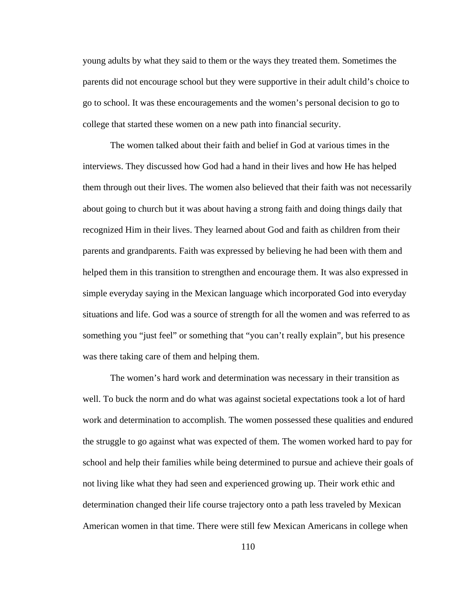young adults by what they said to them or the ways they treated them. Sometimes the parents did not encourage school but they were supportive in their adult child's choice to go to school. It was these encouragements and the women's personal decision to go to college that started these women on a new path into financial security.

 The women talked about their faith and belief in God at various times in the interviews. They discussed how God had a hand in their lives and how He has helped them through out their lives. The women also believed that their faith was not necessarily about going to church but it was about having a strong faith and doing things daily that recognized Him in their lives. They learned about God and faith as children from their parents and grandparents. Faith was expressed by believing he had been with them and helped them in this transition to strengthen and encourage them. It was also expressed in simple everyday saying in the Mexican language which incorporated God into everyday situations and life. God was a source of strength for all the women and was referred to as something you "just feel" or something that "you can't really explain", but his presence was there taking care of them and helping them.

 The women's hard work and determination was necessary in their transition as well. To buck the norm and do what was against societal expectations took a lot of hard work and determination to accomplish. The women possessed these qualities and endured the struggle to go against what was expected of them. The women worked hard to pay for school and help their families while being determined to pursue and achieve their goals of not living like what they had seen and experienced growing up. Their work ethic and determination changed their life course trajectory onto a path less traveled by Mexican American women in that time. There were still few Mexican Americans in college when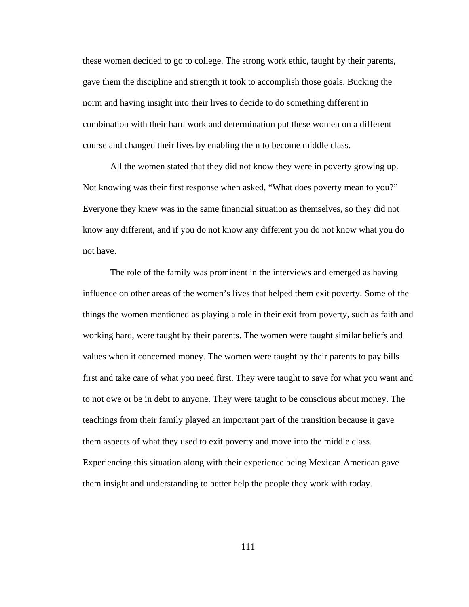these women decided to go to college. The strong work ethic, taught by their parents, gave them the discipline and strength it took to accomplish those goals. Bucking the norm and having insight into their lives to decide to do something different in combination with their hard work and determination put these women on a different course and changed their lives by enabling them to become middle class.

All the women stated that they did not know they were in poverty growing up. Not knowing was their first response when asked, "What does poverty mean to you?" Everyone they knew was in the same financial situation as themselves, so they did not know any different, and if you do not know any different you do not know what you do not have.

The role of the family was prominent in the interviews and emerged as having influence on other areas of the women's lives that helped them exit poverty. Some of the things the women mentioned as playing a role in their exit from poverty, such as faith and working hard, were taught by their parents. The women were taught similar beliefs and values when it concerned money. The women were taught by their parents to pay bills first and take care of what you need first. They were taught to save for what you want and to not owe or be in debt to anyone. They were taught to be conscious about money. The teachings from their family played an important part of the transition because it gave them aspects of what they used to exit poverty and move into the middle class. Experiencing this situation along with their experience being Mexican American gave them insight and understanding to better help the people they work with today.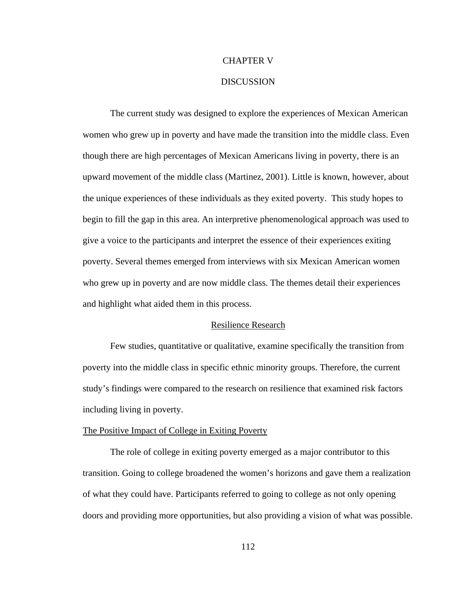## CHAPTER V

# **DISCUSSION**

The current study was designed to explore the experiences of Mexican American women who grew up in poverty and have made the transition into the middle class. Even though there are high percentages of Mexican Americans living in poverty, there is an upward movement of the middle class (Martinez, 2001). Little is known, however, about the unique experiences of these individuals as they exited poverty. This study hopes to begin to fill the gap in this area. An interpretive phenomenological approach was used to give a voice to the participants and interpret the essence of their experiences exiting poverty. Several themes emerged from interviews with six Mexican American women who grew up in poverty and are now middle class. The themes detail their experiences and highlight what aided them in this process.

## Resilience Research

Few studies, quantitative or qualitative, examine specifically the transition from poverty into the middle class in specific ethnic minority groups. Therefore, the current study's findings were compared to the research on resilience that examined risk factors including living in poverty.

## The Positive Impact of College in Exiting Poverty

The role of college in exiting poverty emerged as a major contributor to this transition. Going to college broadened the women's horizons and gave them a realization of what they could have. Participants referred to going to college as not only opening doors and providing more opportunities, but also providing a vision of what was possible.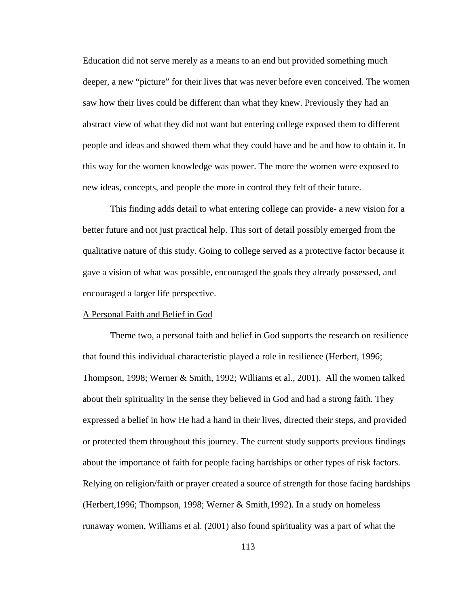Education did not serve merely as a means to an end but provided something much deeper, a new "picture" for their lives that was never before even conceived. The women saw how their lives could be different than what they knew. Previously they had an abstract view of what they did not want but entering college exposed them to different people and ideas and showed them what they could have and be and how to obtain it. In this way for the women knowledge was power. The more the women were exposed to new ideas, concepts, and people the more in control they felt of their future.

This finding adds detail to what entering college can provide- a new vision for a better future and not just practical help. This sort of detail possibly emerged from the qualitative nature of this study. Going to college served as a protective factor because it gave a vision of what was possible, encouraged the goals they already possessed, and encouraged a larger life perspective.

# A Personal Faith and Belief in God

Theme two, a personal faith and belief in God supports the research on resilience that found this individual characteristic played a role in resilience (Herbert, 1996; Thompson, 1998; Werner & Smith, 1992; Williams et al., 2001). All the women talked about their spirituality in the sense they believed in God and had a strong faith. They expressed a belief in how He had a hand in their lives, directed their steps, and provided or protected them throughout this journey. The current study supports previous findings about the importance of faith for people facing hardships or other types of risk factors. Relying on religion/faith or prayer created a source of strength for those facing hardships (Herbert,1996; Thompson, 1998; Werner & Smith,1992). In a study on homeless runaway women, Williams et al. (2001) also found spirituality was a part of what the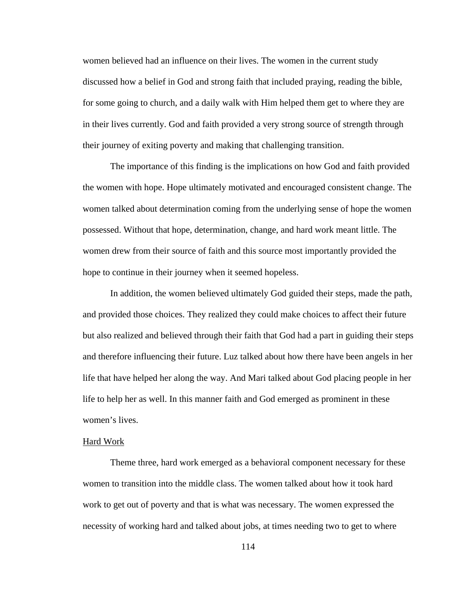women believed had an influence on their lives. The women in the current study discussed how a belief in God and strong faith that included praying, reading the bible, for some going to church, and a daily walk with Him helped them get to where they are in their lives currently. God and faith provided a very strong source of strength through their journey of exiting poverty and making that challenging transition.

The importance of this finding is the implications on how God and faith provided the women with hope. Hope ultimately motivated and encouraged consistent change. The women talked about determination coming from the underlying sense of hope the women possessed. Without that hope, determination, change, and hard work meant little. The women drew from their source of faith and this source most importantly provided the hope to continue in their journey when it seemed hopeless.

In addition, the women believed ultimately God guided their steps, made the path, and provided those choices. They realized they could make choices to affect their future but also realized and believed through their faith that God had a part in guiding their steps and therefore influencing their future. Luz talked about how there have been angels in her life that have helped her along the way. And Mari talked about God placing people in her life to help her as well. In this manner faith and God emerged as prominent in these women's lives.

#### Hard Work

 Theme three, hard work emerged as a behavioral component necessary for these women to transition into the middle class. The women talked about how it took hard work to get out of poverty and that is what was necessary. The women expressed the necessity of working hard and talked about jobs, at times needing two to get to where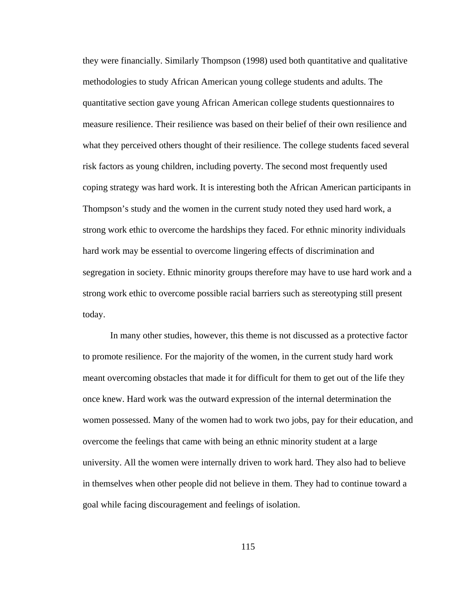they were financially. Similarly Thompson (1998) used both quantitative and qualitative methodologies to study African American young college students and adults. The quantitative section gave young African American college students questionnaires to measure resilience. Their resilience was based on their belief of their own resilience and what they perceived others thought of their resilience. The college students faced several risk factors as young children, including poverty. The second most frequently used coping strategy was hard work. It is interesting both the African American participants in Thompson's study and the women in the current study noted they used hard work, a strong work ethic to overcome the hardships they faced. For ethnic minority individuals hard work may be essential to overcome lingering effects of discrimination and segregation in society. Ethnic minority groups therefore may have to use hard work and a strong work ethic to overcome possible racial barriers such as stereotyping still present today.

In many other studies, however, this theme is not discussed as a protective factor to promote resilience. For the majority of the women, in the current study hard work meant overcoming obstacles that made it for difficult for them to get out of the life they once knew. Hard work was the outward expression of the internal determination the women possessed. Many of the women had to work two jobs, pay for their education, and overcome the feelings that came with being an ethnic minority student at a large university. All the women were internally driven to work hard. They also had to believe in themselves when other people did not believe in them. They had to continue toward a goal while facing discouragement and feelings of isolation.

115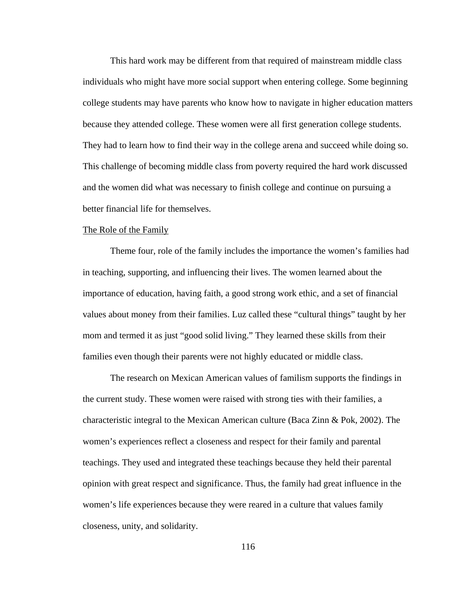This hard work may be different from that required of mainstream middle class individuals who might have more social support when entering college. Some beginning college students may have parents who know how to navigate in higher education matters because they attended college. These women were all first generation college students. They had to learn how to find their way in the college arena and succeed while doing so. This challenge of becoming middle class from poverty required the hard work discussed and the women did what was necessary to finish college and continue on pursuing a better financial life for themselves.

## The Role of the Family

Theme four, role of the family includes the importance the women's families had in teaching, supporting, and influencing their lives. The women learned about the importance of education, having faith, a good strong work ethic, and a set of financial values about money from their families. Luz called these "cultural things" taught by her mom and termed it as just "good solid living." They learned these skills from their families even though their parents were not highly educated or middle class.

The research on Mexican American values of familism supports the findings in the current study. These women were raised with strong ties with their families, a characteristic integral to the Mexican American culture (Baca Zinn & Pok, 2002). The women's experiences reflect a closeness and respect for their family and parental teachings. They used and integrated these teachings because they held their parental opinion with great respect and significance. Thus, the family had great influence in the women's life experiences because they were reared in a culture that values family closeness, unity, and solidarity.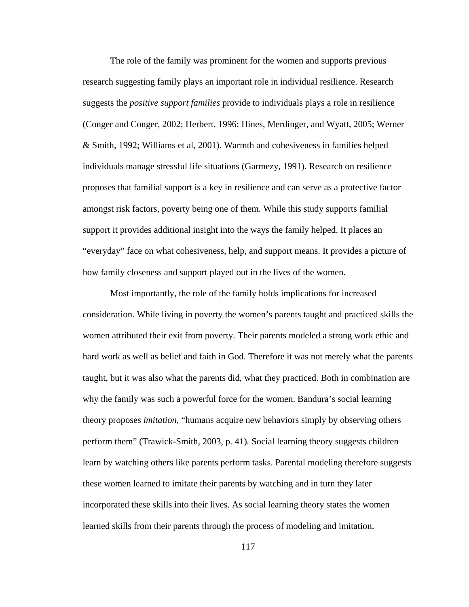The role of the family was prominent for the women and supports previous research suggesting family plays an important role in individual resilience. Research suggests the *positive support families* provide to individuals plays a role in resilience (Conger and Conger, 2002; Herbert, 1996; Hines, Merdinger, and Wyatt, 2005; Werner & Smith, 1992; Williams et al, 2001). Warmth and cohesiveness in families helped individuals manage stressful life situations (Garmezy, 1991). Research on resilience proposes that familial support is a key in resilience and can serve as a protective factor amongst risk factors, poverty being one of them. While this study supports familial support it provides additional insight into the ways the family helped. It places an "everyday" face on what cohesiveness, help, and support means. It provides a picture of how family closeness and support played out in the lives of the women.

Most importantly, the role of the family holds implications for increased consideration. While living in poverty the women's parents taught and practiced skills the women attributed their exit from poverty. Their parents modeled a strong work ethic and hard work as well as belief and faith in God. Therefore it was not merely what the parents taught, but it was also what the parents did, what they practiced. Both in combination are why the family was such a powerful force for the women. Bandura's social learning theory proposes *imitation,* "humans acquire new behaviors simply by observing others perform them" (Trawick-Smith, 2003, p. 41)*.* Social learning theory suggests children learn by watching others like parents perform tasks. Parental modeling therefore suggests these women learned to imitate their parents by watching and in turn they later incorporated these skills into their lives. As social learning theory states the women learned skills from their parents through the process of modeling and imitation.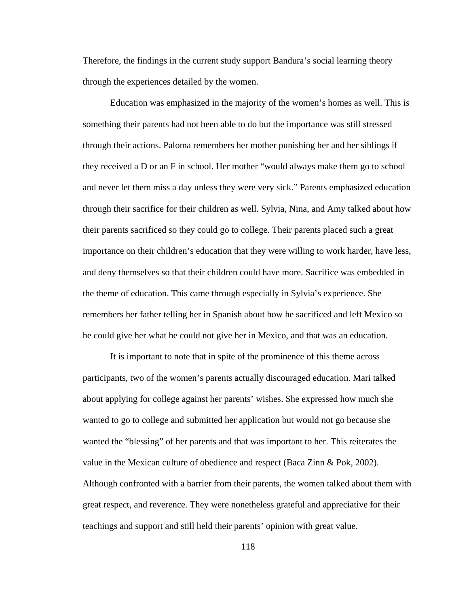Therefore, the findings in the current study support Bandura's social learning theory through the experiences detailed by the women.

Education was emphasized in the majority of the women's homes as well. This is something their parents had not been able to do but the importance was still stressed through their actions. Paloma remembers her mother punishing her and her siblings if they received a D or an F in school. Her mother "would always make them go to school and never let them miss a day unless they were very sick." Parents emphasized education through their sacrifice for their children as well. Sylvia, Nina, and Amy talked about how their parents sacrificed so they could go to college. Their parents placed such a great importance on their children's education that they were willing to work harder, have less, and deny themselves so that their children could have more. Sacrifice was embedded in the theme of education. This came through especially in Sylvia's experience. She remembers her father telling her in Spanish about how he sacrificed and left Mexico so he could give her what he could not give her in Mexico, and that was an education.

It is important to note that in spite of the prominence of this theme across participants, two of the women's parents actually discouraged education. Mari talked about applying for college against her parents' wishes. She expressed how much she wanted to go to college and submitted her application but would not go because she wanted the "blessing" of her parents and that was important to her. This reiterates the value in the Mexican culture of obedience and respect (Baca Zinn & Pok, 2002). Although confronted with a barrier from their parents, the women talked about them with great respect, and reverence. They were nonetheless grateful and appreciative for their teachings and support and still held their parents' opinion with great value.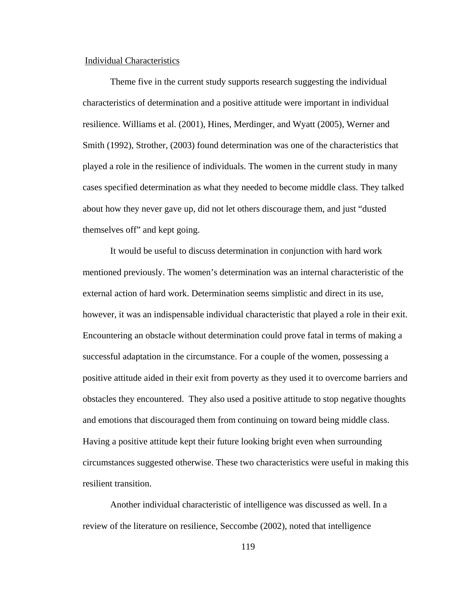### Individual Characteristics

Theme five in the current study supports research suggesting the individual characteristics of determination and a positive attitude were important in individual resilience. Williams et al. (2001), Hines, Merdinger, and Wyatt (2005), Werner and Smith (1992), Strother, (2003) found determination was one of the characteristics that played a role in the resilience of individuals. The women in the current study in many cases specified determination as what they needed to become middle class. They talked about how they never gave up, did not let others discourage them, and just "dusted themselves off" and kept going.

It would be useful to discuss determination in conjunction with hard work mentioned previously. The women's determination was an internal characteristic of the external action of hard work. Determination seems simplistic and direct in its use, however, it was an indispensable individual characteristic that played a role in their exit. Encountering an obstacle without determination could prove fatal in terms of making a successful adaptation in the circumstance. For a couple of the women, possessing a positive attitude aided in their exit from poverty as they used it to overcome barriers and obstacles they encountered. They also used a positive attitude to stop negative thoughts and emotions that discouraged them from continuing on toward being middle class. Having a positive attitude kept their future looking bright even when surrounding circumstances suggested otherwise. These two characteristics were useful in making this resilient transition.

Another individual characteristic of intelligence was discussed as well. In a review of the literature on resilience, Seccombe (2002), noted that intelligence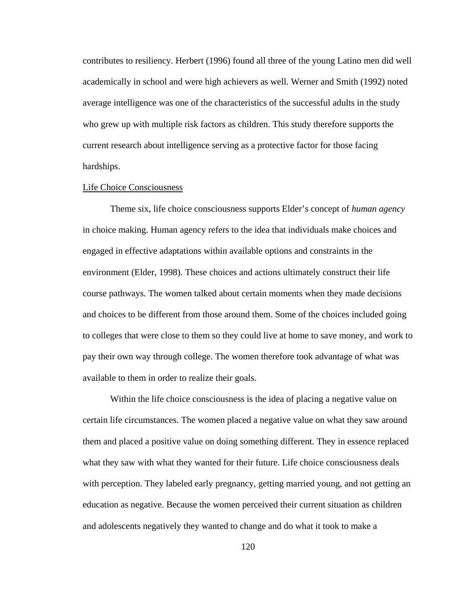contributes to resiliency. Herbert (1996) found all three of the young Latino men did well academically in school and were high achievers as well. Werner and Smith (1992) noted average intelligence was one of the characteristics of the successful adults in the study who grew up with multiple risk factors as children. This study therefore supports the current research about intelligence serving as a protective factor for those facing hardships.

### Life Choice Consciousness

Theme six, life choice consciousness supports Elder's concept of *human agency* in choice making. Human agency refers to the idea that individuals make choices and engaged in effective adaptations within available options and constraints in the environment (Elder, 1998). These choices and actions ultimately construct their life course pathways. The women talked about certain moments when they made decisions and choices to be different from those around them. Some of the choices included going to colleges that were close to them so they could live at home to save money, and work to pay their own way through college. The women therefore took advantage of what was available to them in order to realize their goals.

 Within the life choice consciousness is the idea of placing a negative value on certain life circumstances. The women placed a negative value on what they saw around them and placed a positive value on doing something different. They in essence replaced what they saw with what they wanted for their future. Life choice consciousness deals with perception. They labeled early pregnancy, getting married young, and not getting an education as negative. Because the women perceived their current situation as children and adolescents negatively they wanted to change and do what it took to make a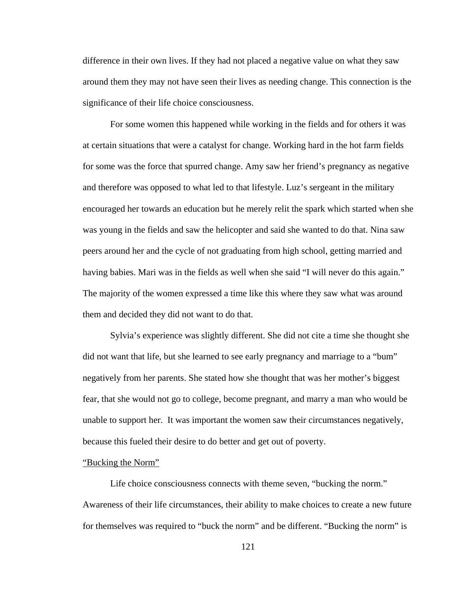difference in their own lives. If they had not placed a negative value on what they saw around them they may not have seen their lives as needing change. This connection is the significance of their life choice consciousness.

For some women this happened while working in the fields and for others it was at certain situations that were a catalyst for change. Working hard in the hot farm fields for some was the force that spurred change. Amy saw her friend's pregnancy as negative and therefore was opposed to what led to that lifestyle. Luz's sergeant in the military encouraged her towards an education but he merely relit the spark which started when she was young in the fields and saw the helicopter and said she wanted to do that. Nina saw peers around her and the cycle of not graduating from high school, getting married and having babies. Mari was in the fields as well when she said "I will never do this again." The majority of the women expressed a time like this where they saw what was around them and decided they did not want to do that.

Sylvia's experience was slightly different. She did not cite a time she thought she did not want that life, but she learned to see early pregnancy and marriage to a "bum" negatively from her parents. She stated how she thought that was her mother's biggest fear, that she would not go to college, become pregnant, and marry a man who would be unable to support her. It was important the women saw their circumstances negatively, because this fueled their desire to do better and get out of poverty.

# "Bucking the Norm"

Life choice consciousness connects with theme seven, "bucking the norm." Awareness of their life circumstances, their ability to make choices to create a new future for themselves was required to "buck the norm" and be different. "Bucking the norm" is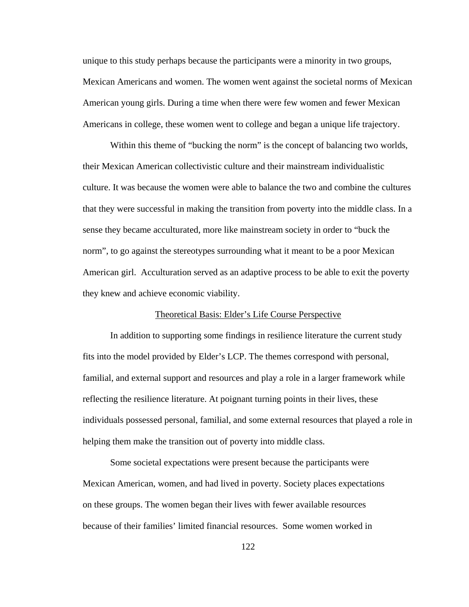unique to this study perhaps because the participants were a minority in two groups, Mexican Americans and women. The women went against the societal norms of Mexican American young girls. During a time when there were few women and fewer Mexican Americans in college, these women went to college and began a unique life trajectory.

Within this theme of "bucking the norm" is the concept of balancing two worlds, their Mexican American collectivistic culture and their mainstream individualistic culture. It was because the women were able to balance the two and combine the cultures that they were successful in making the transition from poverty into the middle class. In a sense they became acculturated, more like mainstream society in order to "buck the norm", to go against the stereotypes surrounding what it meant to be a poor Mexican American girl. Acculturation served as an adaptive process to be able to exit the poverty they knew and achieve economic viability.

# Theoretical Basis: Elder's Life Course Perspective

In addition to supporting some findings in resilience literature the current study fits into the model provided by Elder's LCP. The themes correspond with personal, familial, and external support and resources and play a role in a larger framework while reflecting the resilience literature. At poignant turning points in their lives, these individuals possessed personal, familial, and some external resources that played a role in helping them make the transition out of poverty into middle class.

Some societal expectations were present because the participants were Mexican American, women, and had lived in poverty. Society places expectations on these groups. The women began their lives with fewer available resources because of their families' limited financial resources. Some women worked in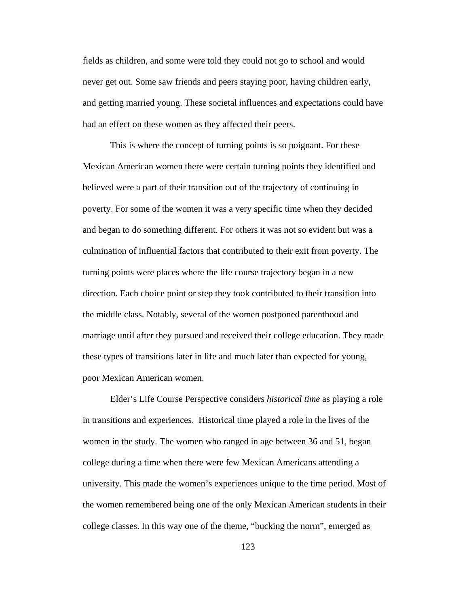fields as children, and some were told they could not go to school and would never get out. Some saw friends and peers staying poor, having children early, and getting married young. These societal influences and expectations could have had an effect on these women as they affected their peers.

This is where the concept of turning points is so poignant. For these Mexican American women there were certain turning points they identified and believed were a part of their transition out of the trajectory of continuing in poverty. For some of the women it was a very specific time when they decided and began to do something different. For others it was not so evident but was a culmination of influential factors that contributed to their exit from poverty. The turning points were places where the life course trajectory began in a new direction. Each choice point or step they took contributed to their transition into the middle class. Notably, several of the women postponed parenthood and marriage until after they pursued and received their college education. They made these types of transitions later in life and much later than expected for young, poor Mexican American women.

 Elder's Life Course Perspective considers *historical time* as playing a role in transitions and experiences. Historical time played a role in the lives of the women in the study. The women who ranged in age between 36 and 51, began college during a time when there were few Mexican Americans attending a university. This made the women's experiences unique to the time period. Most of the women remembered being one of the only Mexican American students in their college classes. In this way one of the theme, "bucking the norm", emerged as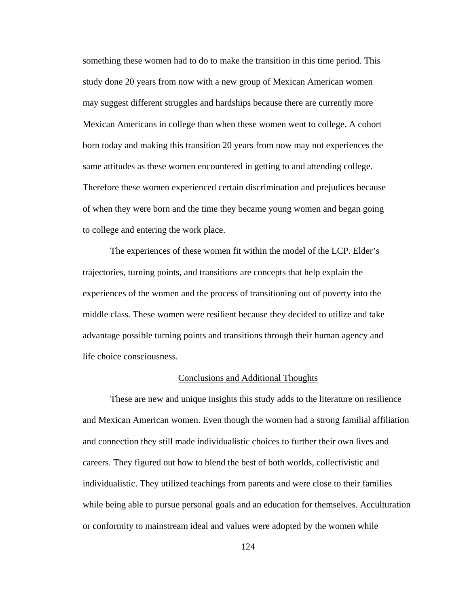something these women had to do to make the transition in this time period. This study done 20 years from now with a new group of Mexican American women may suggest different struggles and hardships because there are currently more Mexican Americans in college than when these women went to college. A cohort born today and making this transition 20 years from now may not experiences the same attitudes as these women encountered in getting to and attending college. Therefore these women experienced certain discrimination and prejudices because of when they were born and the time they became young women and began going to college and entering the work place.

The experiences of these women fit within the model of the LCP. Elder's trajectories, turning points, and transitions are concepts that help explain the experiences of the women and the process of transitioning out of poverty into the middle class. These women were resilient because they decided to utilize and take advantage possible turning points and transitions through their human agency and life choice consciousness.

### Conclusions and Additional Thoughts

These are new and unique insights this study adds to the literature on resilience and Mexican American women. Even though the women had a strong familial affiliation and connection they still made individualistic choices to further their own lives and careers. They figured out how to blend the best of both worlds, collectivistic and individualistic. They utilized teachings from parents and were close to their families while being able to pursue personal goals and an education for themselves. Acculturation or conformity to mainstream ideal and values were adopted by the women while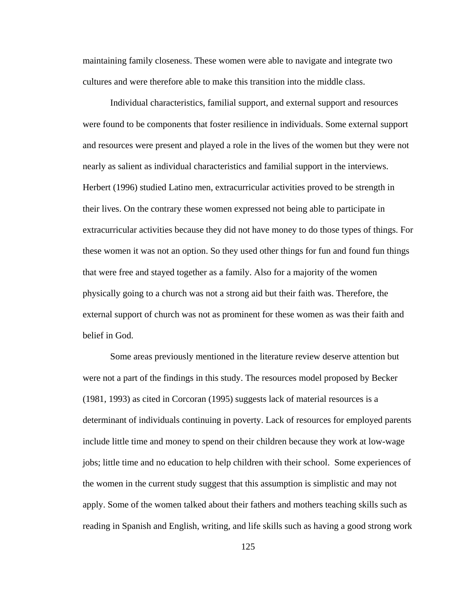maintaining family closeness. These women were able to navigate and integrate two cultures and were therefore able to make this transition into the middle class.

Individual characteristics, familial support, and external support and resources were found to be components that foster resilience in individuals. Some external support and resources were present and played a role in the lives of the women but they were not nearly as salient as individual characteristics and familial support in the interviews. Herbert (1996) studied Latino men, extracurricular activities proved to be strength in their lives. On the contrary these women expressed not being able to participate in extracurricular activities because they did not have money to do those types of things. For these women it was not an option. So they used other things for fun and found fun things that were free and stayed together as a family. Also for a majority of the women physically going to a church was not a strong aid but their faith was. Therefore, the external support of church was not as prominent for these women as was their faith and belief in God.

Some areas previously mentioned in the literature review deserve attention but were not a part of the findings in this study. The resources model proposed by Becker (1981, 1993) as cited in Corcoran (1995) suggests lack of material resources is a determinant of individuals continuing in poverty. Lack of resources for employed parents include little time and money to spend on their children because they work at low-wage jobs; little time and no education to help children with their school. Some experiences of the women in the current study suggest that this assumption is simplistic and may not apply. Some of the women talked about their fathers and mothers teaching skills such as reading in Spanish and English, writing, and life skills such as having a good strong work

125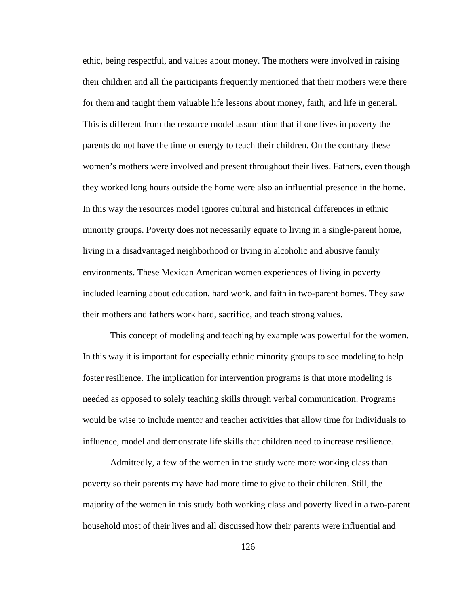ethic, being respectful, and values about money. The mothers were involved in raising their children and all the participants frequently mentioned that their mothers were there for them and taught them valuable life lessons about money, faith, and life in general. This is different from the resource model assumption that if one lives in poverty the parents do not have the time or energy to teach their children. On the contrary these women's mothers were involved and present throughout their lives. Fathers, even though they worked long hours outside the home were also an influential presence in the home. In this way the resources model ignores cultural and historical differences in ethnic minority groups. Poverty does not necessarily equate to living in a single-parent home, living in a disadvantaged neighborhood or living in alcoholic and abusive family environments. These Mexican American women experiences of living in poverty included learning about education, hard work, and faith in two-parent homes. They saw their mothers and fathers work hard, sacrifice, and teach strong values.

This concept of modeling and teaching by example was powerful for the women. In this way it is important for especially ethnic minority groups to see modeling to help foster resilience. The implication for intervention programs is that more modeling is needed as opposed to solely teaching skills through verbal communication. Programs would be wise to include mentor and teacher activities that allow time for individuals to influence, model and demonstrate life skills that children need to increase resilience.

Admittedly, a few of the women in the study were more working class than poverty so their parents my have had more time to give to their children. Still, the majority of the women in this study both working class and poverty lived in a two-parent household most of their lives and all discussed how their parents were influential and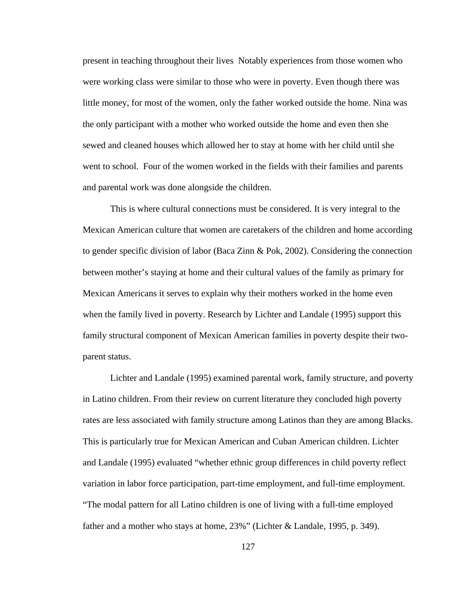present in teaching throughout their lives Notably experiences from those women who were working class were similar to those who were in poverty. Even though there was little money, for most of the women, only the father worked outside the home. Nina was the only participant with a mother who worked outside the home and even then she sewed and cleaned houses which allowed her to stay at home with her child until she went to school. Four of the women worked in the fields with their families and parents and parental work was done alongside the children.

This is where cultural connections must be considered. It is very integral to the Mexican American culture that women are caretakers of the children and home according to gender specific division of labor (Baca Zinn & Pok, 2002). Considering the connection between mother's staying at home and their cultural values of the family as primary for Mexican Americans it serves to explain why their mothers worked in the home even when the family lived in poverty. Research by Lichter and Landale (1995) support this family structural component of Mexican American families in poverty despite their twoparent status.

Lichter and Landale (1995) examined parental work, family structure, and poverty in Latino children. From their review on current literature they concluded high poverty rates are less associated with family structure among Latinos than they are among Blacks. This is particularly true for Mexican American and Cuban American children. Lichter and Landale (1995) evaluated "whether ethnic group differences in child poverty reflect variation in labor force participation, part-time employment, and full-time employment. "The modal pattern for all Latino children is one of living with a full-time employed father and a mother who stays at home, 23%" (Lichter & Landale, 1995, p. 349).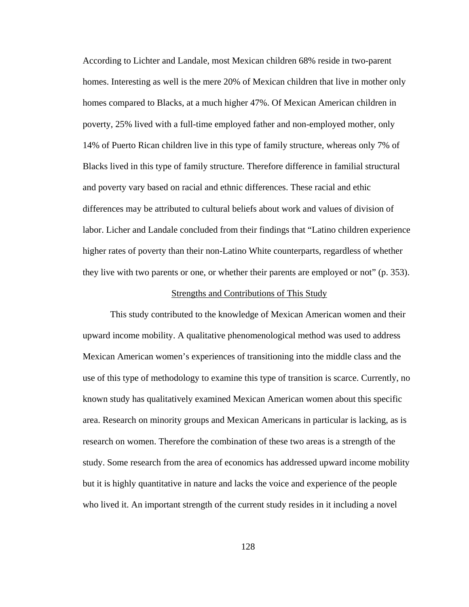According to Lichter and Landale, most Mexican children 68% reside in two-parent homes. Interesting as well is the mere 20% of Mexican children that live in mother only homes compared to Blacks, at a much higher 47%. Of Mexican American children in poverty, 25% lived with a full-time employed father and non-employed mother, only 14% of Puerto Rican children live in this type of family structure, whereas only 7% of Blacks lived in this type of family structure. Therefore difference in familial structural and poverty vary based on racial and ethnic differences. These racial and ethic differences may be attributed to cultural beliefs about work and values of division of labor. Licher and Landale concluded from their findings that "Latino children experience higher rates of poverty than their non-Latino White counterparts, regardless of whether they live with two parents or one, or whether their parents are employed or not" (p. 353).

#### Strengths and Contributions of This Study

 This study contributed to the knowledge of Mexican American women and their upward income mobility. A qualitative phenomenological method was used to address Mexican American women's experiences of transitioning into the middle class and the use of this type of methodology to examine this type of transition is scarce. Currently, no known study has qualitatively examined Mexican American women about this specific area. Research on minority groups and Mexican Americans in particular is lacking, as is research on women. Therefore the combination of these two areas is a strength of the study. Some research from the area of economics has addressed upward income mobility but it is highly quantitative in nature and lacks the voice and experience of the people who lived it. An important strength of the current study resides in it including a novel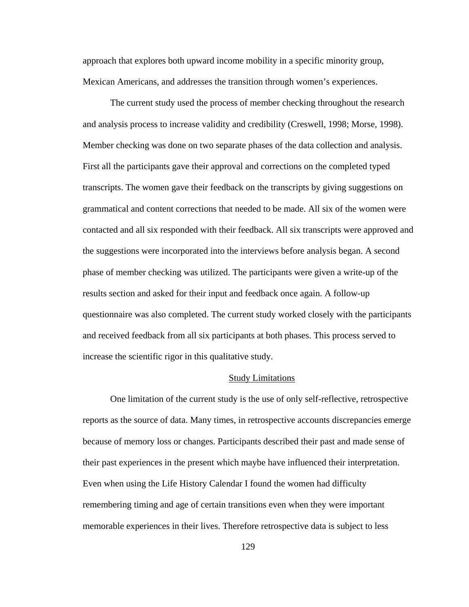approach that explores both upward income mobility in a specific minority group, Mexican Americans, and addresses the transition through women's experiences.

 The current study used the process of member checking throughout the research and analysis process to increase validity and credibility (Creswell, 1998; Morse, 1998). Member checking was done on two separate phases of the data collection and analysis. First all the participants gave their approval and corrections on the completed typed transcripts. The women gave their feedback on the transcripts by giving suggestions on grammatical and content corrections that needed to be made. All six of the women were contacted and all six responded with their feedback. All six transcripts were approved and the suggestions were incorporated into the interviews before analysis began. A second phase of member checking was utilized. The participants were given a write-up of the results section and asked for their input and feedback once again. A follow-up questionnaire was also completed. The current study worked closely with the participants and received feedback from all six participants at both phases. This process served to increase the scientific rigor in this qualitative study.

### Study Limitations

One limitation of the current study is the use of only self-reflective, retrospective reports as the source of data. Many times, in retrospective accounts discrepancies emerge because of memory loss or changes. Participants described their past and made sense of their past experiences in the present which maybe have influenced their interpretation. Even when using the Life History Calendar I found the women had difficulty remembering timing and age of certain transitions even when they were important memorable experiences in their lives. Therefore retrospective data is subject to less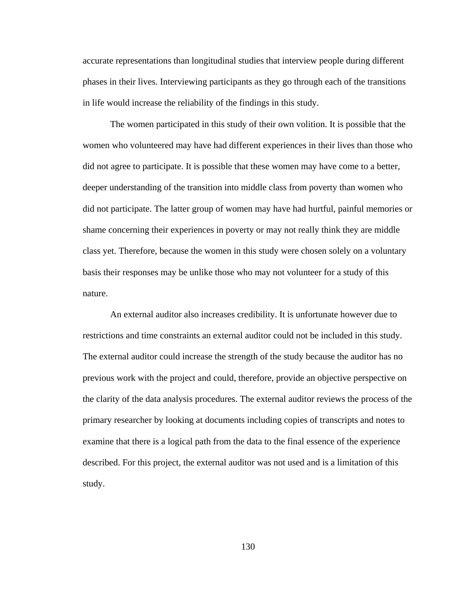accurate representations than longitudinal studies that interview people during different phases in their lives. Interviewing participants as they go through each of the transitions in life would increase the reliability of the findings in this study.

The women participated in this study of their own volition. It is possible that the women who volunteered may have had different experiences in their lives than those who did not agree to participate. It is possible that these women may have come to a better, deeper understanding of the transition into middle class from poverty than women who did not participate. The latter group of women may have had hurtful, painful memories or shame concerning their experiences in poverty or may not really think they are middle class yet. Therefore, because the women in this study were chosen solely on a voluntary basis their responses may be unlike those who may not volunteer for a study of this nature.

An external auditor also increases credibility. It is unfortunate however due to restrictions and time constraints an external auditor could not be included in this study. The external auditor could increase the strength of the study because the auditor has no previous work with the project and could, therefore, provide an objective perspective on the clarity of the data analysis procedures. The external auditor reviews the process of the primary researcher by looking at documents including copies of transcripts and notes to examine that there is a logical path from the data to the final essence of the experience described. For this project, the external auditor was not used and is a limitation of this study.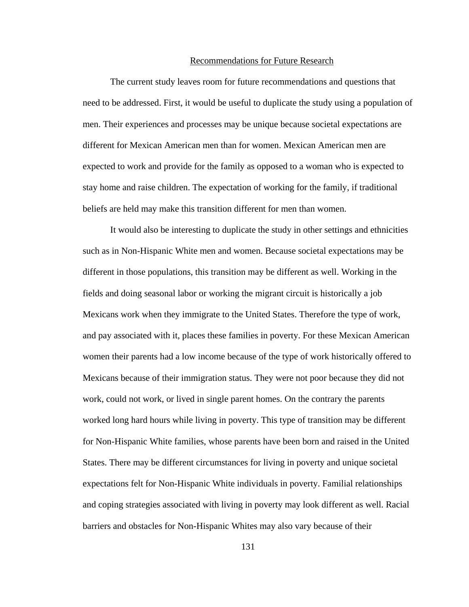#### Recommendations for Future Research

The current study leaves room for future recommendations and questions that need to be addressed. First, it would be useful to duplicate the study using a population of men. Their experiences and processes may be unique because societal expectations are different for Mexican American men than for women. Mexican American men are expected to work and provide for the family as opposed to a woman who is expected to stay home and raise children. The expectation of working for the family, if traditional beliefs are held may make this transition different for men than women.

It would also be interesting to duplicate the study in other settings and ethnicities such as in Non-Hispanic White men and women. Because societal expectations may be different in those populations, this transition may be different as well. Working in the fields and doing seasonal labor or working the migrant circuit is historically a job Mexicans work when they immigrate to the United States. Therefore the type of work, and pay associated with it, places these families in poverty. For these Mexican American women their parents had a low income because of the type of work historically offered to Mexicans because of their immigration status. They were not poor because they did not work, could not work, or lived in single parent homes. On the contrary the parents worked long hard hours while living in poverty. This type of transition may be different for Non-Hispanic White families, whose parents have been born and raised in the United States. There may be different circumstances for living in poverty and unique societal expectations felt for Non-Hispanic White individuals in poverty. Familial relationships and coping strategies associated with living in poverty may look different as well. Racial barriers and obstacles for Non-Hispanic Whites may also vary because of their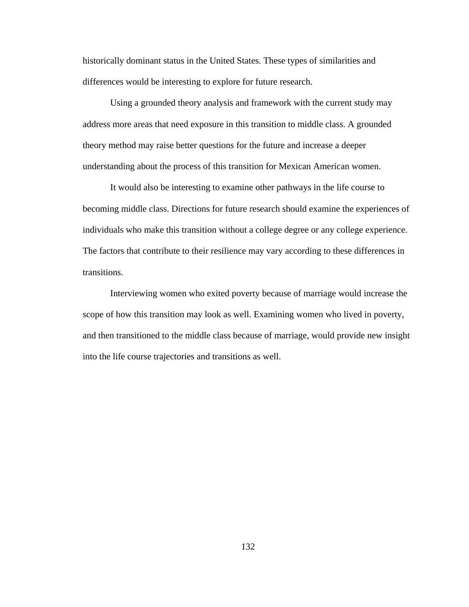historically dominant status in the United States. These types of similarities and differences would be interesting to explore for future research.

Using a grounded theory analysis and framework with the current study may address more areas that need exposure in this transition to middle class. A grounded theory method may raise better questions for the future and increase a deeper understanding about the process of this transition for Mexican American women.

It would also be interesting to examine other pathways in the life course to becoming middle class. Directions for future research should examine the experiences of individuals who make this transition without a college degree or any college experience. The factors that contribute to their resilience may vary according to these differences in transitions.

Interviewing women who exited poverty because of marriage would increase the scope of how this transition may look as well. Examining women who lived in poverty, and then transitioned to the middle class because of marriage, would provide new insight into the life course trajectories and transitions as well.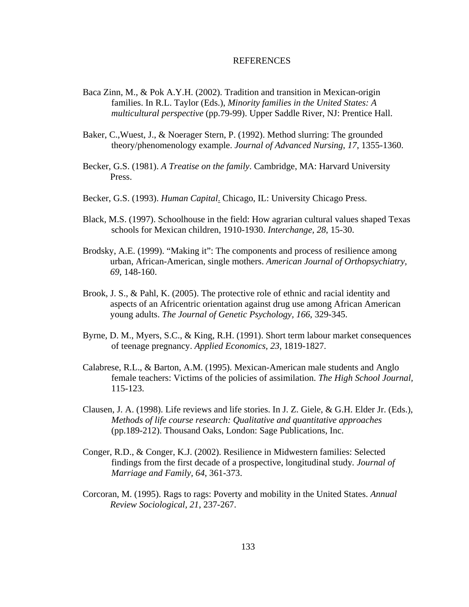## REFERENCES

- Baca Zinn, M., & Pok A.Y.H. (2002). Tradition and transition in Mexican-origin families. In R.L. Taylor (Eds.), *Minority families in the United States: A multicultural perspective* (pp.79-99). Upper Saddle River, NJ: Prentice Hall.
- Baker, C.,Wuest, J., & Noerager Stern, P. (1992). Method slurring: The grounded theory/phenomenology example. *Journal of Advanced Nursing*, *17*, 1355-1360.
- Becker, G.S. (1981). *A Treatise on the family*. Cambridge, MA: Harvard University Press.
- Becker, G.S. (1993). *Human Capital*. Chicago, IL: University Chicago Press.
- Black, M.S. (1997). Schoolhouse in the field: How agrarian cultural values shaped Texas schools for Mexican children, 1910-1930. *Interchange, 28*, 15-30.
- Brodsky, A.E. (1999). "Making it": The components and process of resilience among urban, African-American, single mothers. *American Journal of Orthopsychiatry, 69*, 148-160.
- Brook, J. S., & Pahl, K. (2005). The protective role of ethnic and racial identity and aspects of an Africentric orientation against drug use among African American young adults. *The Journal of Genetic Psychology, 166*, 329-345.
- Byrne, D. M., Myers, S.C., & King, R.H. (1991). Short term labour market consequences of teenage pregnancy. *Applied Economics, 23*, 1819-1827.
- Calabrese, R.L., & Barton, A.M. (1995). Mexican-American male students and Anglo female teachers: Victims of the policies of assimilation. *The High School Journal,*  115-123.
- Clausen, J. A. (1998). Life reviews and life stories. In J. Z. Giele, & G.H. Elder Jr. (Eds.), *Methods of life course research: Qualitative and quantitative approaches* (pp.189-212). Thousand Oaks, London: Sage Publications, Inc.
- Conger, R.D., & Conger, K.J. (2002). Resilience in Midwestern families: Selected findings from the first decade of a prospective, longitudinal study*. Journal of Marriage and Family, 64*, 361-373.
- Corcoran, M. (1995). Rags to rags: Poverty and mobility in the United States. *Annual Review Sociological, 21*, 237-267.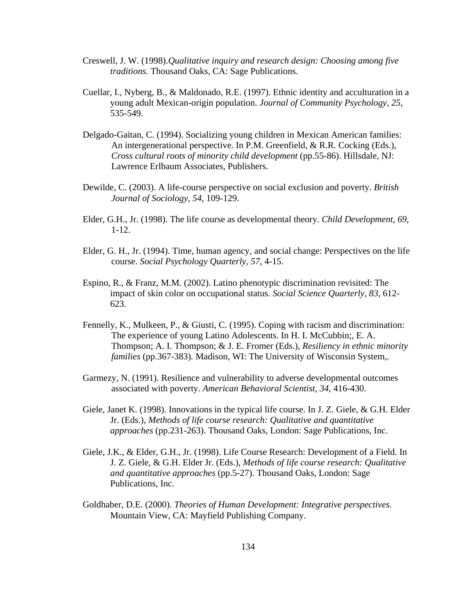- Creswell, J. W. (1998).*Qualitative inquiry and research design: Choosing among five traditions.* Thousand Oaks, CA: Sage Publications.
- Cuellar, I., Nyberg, B., & Maldonado, R.E. (1997). Ethnic identity and acculturation in a young adult Mexican-origin population. *Journal of Community Psychology, 25*, 535-549.
- Delgado-Gaitan, C. (1994). Socializing young children in Mexican American families: An intergenerational perspective. In P.M. Greenfield, & R.R. Cocking (Eds.), *Cross cultural roots of minority child development* (pp.55-86). Hillsdale, NJ: Lawrence Erlbaum Associates, Publishers.
- Dewilde, C. (2003). A life-course perspective on social exclusion and poverty. *British Journal of Sociology, 54*, 109-129.
- Elder, G.H., Jr. (1998). The life course as developmental theory. *Child Development, 69*, 1-12.
- Elder, G. H., Jr. (1994). Time, human agency, and social change: Perspectives on the life course. *Social Psychology Quarterly, 57*, 4-15.
- Espino, R., & Franz, M.M. (2002). Latino phenotypic discrimination revisited: The impact of skin color on occupational status. *Social Science Quarterly, 83*, 612- 623.
- Fennelly, K., Mulkeen, P., & Giusti, C. (1995). Coping with racism and discrimination: The experience of young Latino Adolescents. In H. I. McCubbin;, E. A. Thompson; A. I. Thompson; & J. E. Fromer (Eds.), *Resiliency in ethnic minority families* (pp.367-383)*.* Madison, WI: The University of Wisconsin System,.
- Garmezy, N. (1991). Resilience and vulnerability to adverse developmental outcomes associated with poverty. *American Behavioral Scientist, 34*, 416-430.
- Giele, Janet K. (1998). Innovations in the typical life course. In J. Z. Giele, & G.H. Elder Jr. (Eds.), *Methods of life course research: Qualitative and quantitative approaches* (pp.231-263). Thousand Oaks, London: Sage Publications, Inc.
- Giele, J.K., & Elder, G.H., Jr. (1998). Life Course Research: Development of a Field. In J. Z. Giele, & G.H. Elder Jr. (Eds.), *Methods of life course research: Qualitative and quantitative approaches* (pp.5-27). Thousand Oaks, London: Sage Publications, Inc.
- Goldhaber, D.E. (2000). *Theories of Human Development: Integrative perspectives.* Mountain View, CA: Mayfield Publishing Company.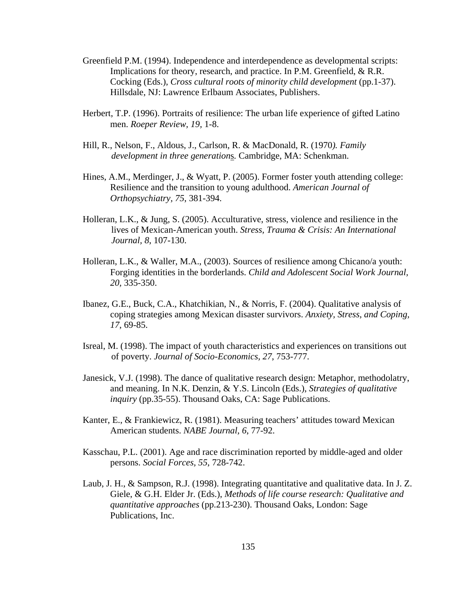- Greenfield P.M. (1994). Independence and interdependence as developmental scripts: Implications for theory, research, and practice. In P.M. Greenfield, & R.R. Cocking (Eds.), *Cross cultural roots of minority child development* (pp.1-37). Hillsdale, NJ: Lawrence Erlbaum Associates, Publishers.
- Herbert, T.P. (1996). Portraits of resilience: The urban life experience of gifted Latino men. *Roeper Review, 19,* 1-8.
- Hill, R., Nelson, F., Aldous, J., Carlson, R. & MacDonald, R. (1970*). Family development in three generation*s*.* Cambridge, MA: Schenkman.
- Hines, A.M., Merdinger, J., & Wyatt, P. (2005). Former foster youth attending college: Resilience and the transition to young adulthood. *American Journal of Orthopsychiatry, 75*, 381-394.
- Holleran, L.K., & Jung, S. (2005). Acculturative, stress, violence and resilience in the lives of Mexican-American youth. *Stress, Trauma & Crisis: An International Journal, 8*, 107-130.
- Holleran, L.K., & Waller, M.A., (2003). Sources of resilience among Chicano/a youth: Forging identities in the borderlands. *Child and Adolescent Social Work Journal, 20,* 335-350.
- Ibanez, G.E., Buck, C.A., Khatchikian, N., & Norris, F. (2004). Qualitative analysis of coping strategies among Mexican disaster survivors. *Anxiety, Stress, and Coping, 17*, 69-85.
- Isreal, M. (1998). The impact of youth characteristics and experiences on transitions out of poverty. *Journal of Socio-Economics, 27*, 753-777.
- Janesick, V.J. (1998). The dance of qualitative research design: Metaphor, methodolatry, and meaning. In N.K. Denzin, & Y.S. Lincoln (Eds.), *Strategies of qualitative inquiry* (pp.35-55). Thousand Oaks, CA: Sage Publications.
- Kanter, E., & Frankiewicz, R. (1981). Measuring teachers' attitudes toward Mexican American students. *NABE Journal, 6*, 77-92.
- Kasschau, P.L. (2001). Age and race discrimination reported by middle-aged and older persons. *Social Forces, 55*, 728-742.
- Laub, J. H., & Sampson, R.J. (1998). Integrating quantitative and qualitative data. In J. Z. Giele, & G.H. Elder Jr. (Eds.), *Methods of life course research: Qualitative and quantitative approaches* (pp.213-230). Thousand Oaks, London: Sage Publications, Inc.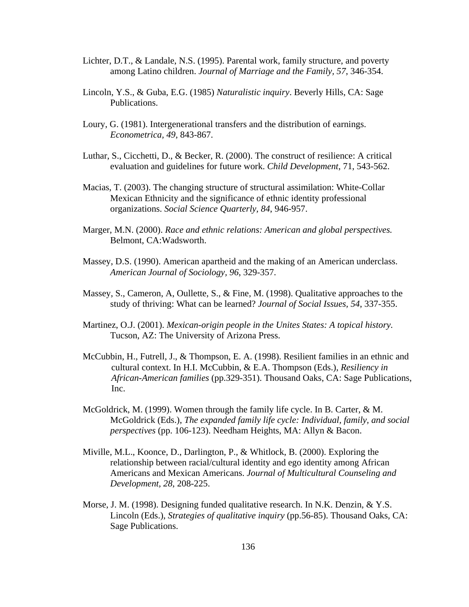- Lichter, D.T., & Landale, N.S. (1995). Parental work, family structure, and poverty among Latino children. *Journal of Marriage and the Family, 57*, 346-354.
- Lincoln, Y.S., & Guba, E.G. (1985) *Naturalistic inquiry*. Beverly Hills, CA: Sage Publications.
- Loury, G. (1981). Intergenerational transfers and the distribution of earnings. *Econometrica, 49*, 843-867.
- Luthar, S., Cicchetti, D., & Becker, R. (2000). The construct of resilience: A critical evaluation and guidelines for future work. *Child Development*, 71, 543-562.
- Macias, T. (2003). The changing structure of structural assimilation: White-Collar Mexican Ethnicity and the significance of ethnic identity professional organizations. *Social Science Quarterly, 84*, 946-957.
- Marger, M.N. (2000). *Race and ethnic relations: American and global perspectives.*  Belmont, CA:Wadsworth.
- Massey, D.S. (1990). American apartheid and the making of an American underclass. *American Journal of Sociology, 96*, 329-357.
- Massey, S., Cameron, A, Oullette, S., & Fine, M. (1998). Qualitative approaches to the study of thriving: What can be learned? *Journal of Social Issues, 54*, 337-355.
- Martinez, O.J. (2001). *Mexican-origin people in the Unites States: A topical history.* Tucson, AZ: The University of Arizona Press.
- McCubbin, H., Futrell, J., & Thompson, E. A. (1998). Resilient families in an ethnic and cultural context. In H.I. McCubbin, & E.A. Thompson (Eds.), *Resiliency in African-American families* (pp.329-351). Thousand Oaks, CA: Sage Publications, Inc.
- McGoldrick, M. (1999). Women through the family life cycle. In B. Carter, & M. McGoldrick (Eds.), *The expanded family life cycle: Individual, family, and social perspectives* (pp. 106-123). Needham Heights, MA: Allyn & Bacon.
- Miville, M.L., Koonce, D., Darlington, P., & Whitlock, B. (2000). Exploring the relationship between racial/cultural identity and ego identity among African Americans and Mexican Americans. *Journal of Multicultural Counseling and Development, 28*, 208-225.
- Morse, J. M. (1998). Designing funded qualitative research. In N.K. Denzin, & Y.S. Lincoln (Eds.), *Strategies of qualitative inquiry* (pp.56-85). Thousand Oaks, CA: Sage Publications.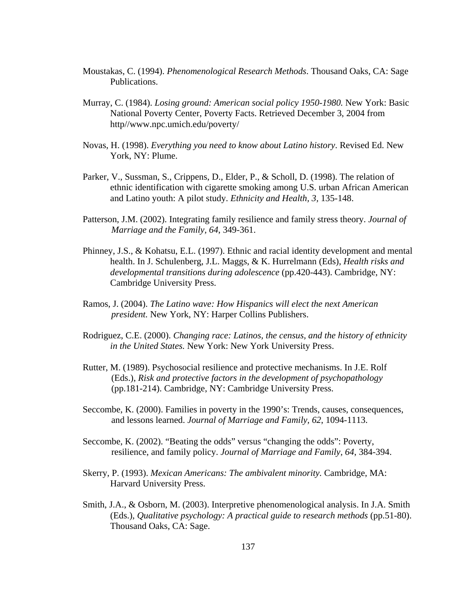- Moustakas, C. (1994). *Phenomenological Research Methods*. Thousand Oaks, CA: Sage Publications.
- Murray, C. (1984). *Losing ground: American social policy 1950-1980.* New York: Basic National Poverty Center, Poverty Facts. Retrieved December 3, 2004 from http//www.npc.umich.edu/poverty/
- Novas, H. (1998). *Everything you need to know about Latino history*. Revised Ed. New York, NY: Plume.
- Parker, V., Sussman, S., Crippens, D., Elder, P., & Scholl, D. (1998). The relation of ethnic identification with cigarette smoking among U.S. urban African American and Latino youth: A pilot study. *Ethnicity and Health, 3,* 135-148.
- Patterson, J.M. (2002). Integrating family resilience and family stress theory. *Journal of Marriage and the Family, 64*, 349-361.
- Phinney, J.S., & Kohatsu, E.L. (1997). Ethnic and racial identity development and mental health. In J. Schulenberg, J.L. Maggs, & K. Hurrelmann (Eds), *Health risks and developmental transitions during adolescence* (pp.420-443). Cambridge, NY: Cambridge University Press.
- Ramos, J. (2004). *The Latino wave: How Hispanics will elect the next American president.* New York, NY: Harper Collins Publishers.
- Rodriguez, C.E. (2000). *Changing race: Latinos, the census, and the history of ethnicity in the United States.* New York: New York University Press.
- Rutter, M. (1989). Psychosocial resilience and protective mechanisms. In J.E. Rolf (Eds.), *Risk and protective factors in the development of psychopathology* (pp.181-214). Cambridge, NY: Cambridge University Press.
- Seccombe, K. (2000). Families in poverty in the 1990's: Trends, causes, consequences, and lessons learned. *Journal of Marriage and Family, 62*, 1094-1113.
- Seccombe, K. (2002). "Beating the odds" versus "changing the odds": Poverty, resilience, and family policy. *Journal of Marriage and Family, 64*, 384-394.
- Skerry, P. (1993). *Mexican Americans: The ambivalent minority.* Cambridge, MA: Harvard University Press.
- Smith, J.A., & Osborn, M. (2003). Interpretive phenomenological analysis. In J.A. Smith (Eds.), *Qualitative psychology: A practical guide to research methods* (pp.51-80). Thousand Oaks, CA: Sage.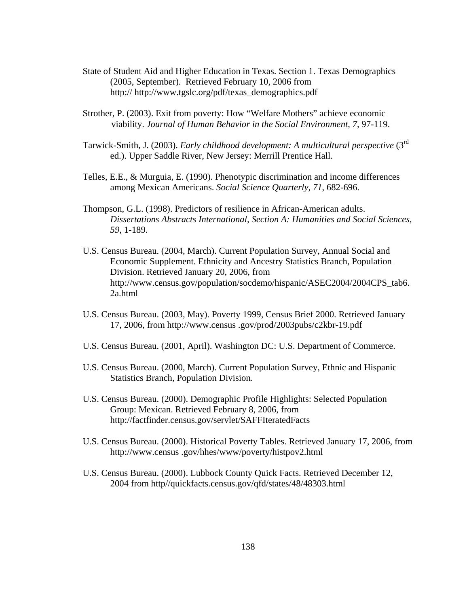- State of Student Aid and Higher Education in Texas. Section 1. Texas Demographics (2005, September). Retrieved February 10, 2006 from http:// http://www.tgslc.org/pdf/texas\_demographics.pdf
- Strother, P. (2003). Exit from poverty: How "Welfare Mothers" achieve economic viability. *Journal of Human Behavior in the Social Environment, 7,* 97-119.
- Tarwick-Smith, J. (2003). *Early childhood development: A multicultural perspective* (3rd ed.). Upper Saddle River, New Jersey: Merrill Prentice Hall.
- Telles, E.E., & Murguia, E. (1990). Phenotypic discrimination and income differences among Mexican Americans. *Social Science Quarterly, 71*, 682-696.
- Thompson, G.L. (1998). Predictors of resilience in African-American adults. *Dissertations Abstracts International, Section A: Humanities and Social Sciences, 59,* 1-189.
- U.S. Census Bureau. (2004, March). Current Population Survey, Annual Social and Economic Supplement. Ethnicity and Ancestry Statistics Branch, Population Division. Retrieved January 20, 2006, from http://www.census.gov/population/socdemo/hispanic/ASEC2004/2004CPS\_tab6. 2a.html
- U.S. Census Bureau. (2003, May). Poverty 1999, Census Brief 2000. Retrieved January 17, 2006, from http://www.census .gov/prod/2003pubs/c2kbr-19.pdf
- U.S. Census Bureau. (2001, April). Washington DC: U.S. Department of Commerce.
- U.S. Census Bureau. (2000, March). Current Population Survey, Ethnic and Hispanic Statistics Branch, Population Division.
- U.S. Census Bureau. (2000). Demographic Profile Highlights: Selected Population Group: Mexican. Retrieved February 8, 2006, from http://factfinder.census.gov/servlet/SAFFIteratedFacts
- U.S. Census Bureau. (2000). Historical Poverty Tables. Retrieved January 17, 2006, from http://www.census .gov/hhes/www/poverty/histpov2.html
- U.S. Census Bureau. (2000). Lubbock County Quick Facts. Retrieved December 12, 2004 from http//quickfacts.census.gov/qfd/states/48/48303.html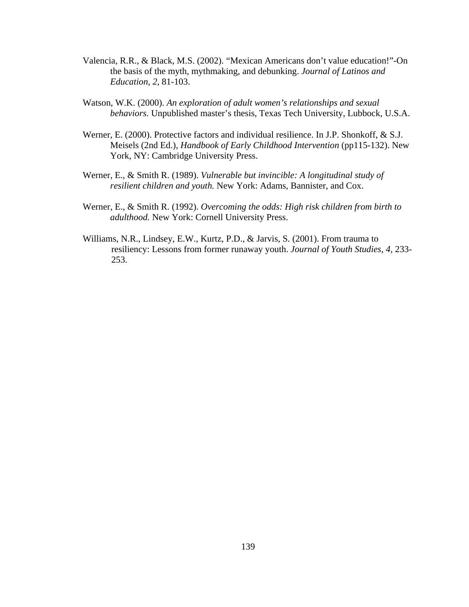- Valencia, R.R., & Black, M.S. (2002). "Mexican Americans don't value education!"-On the basis of the myth, mythmaking, and debunking. *Journal of Latinos and Education, 2*, 81-103.
- Watson, W.K. (2000). *An exploration of adult women's relationships and sexual behaviors.* Unpublished master's thesis, Texas Tech University, Lubbock, U.S.A.
- Werner, E. (2000). Protective factors and individual resilience. In J.P. Shonkoff, & S.J. Meisels (2nd Ed.), *Handbook of Early Childhood Intervention* (pp115-132). New York, NY: Cambridge University Press.
- Werner, E., & Smith R. (1989). *Vulnerable but invincible: A longitudinal study of resilient children and youth.* New York: Adams, Bannister, and Cox.
- Werner, E., & Smith R. (1992). *Overcoming the odds: High risk children from birth to adulthood.* New York: Cornell University Press.
- Williams, N.R., Lindsey, E.W., Kurtz, P.D., & Jarvis, S. (2001). From trauma to resiliency: Lessons from former runaway youth. *Journal of Youth Studies, 4*, 233- 253.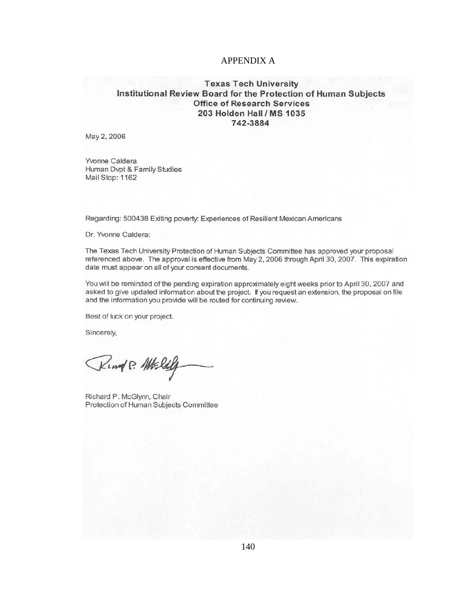#### APPENDIX A

### **Texas Tech University** Institutional Review Board for the Protection of Human Subjects **Office of Research Services** 203 Holden Hall / MS 1035 742-3884

May 2, 2006

Yvonne Caldera Human Dvpt & Family Studies Mail Stop: 1162

Regarding: 500438 Exiting poverty: Experiences of Resilient Mexican Americans

Dr. Yvonne Caldera:

The Texas Tech University Protection of Human Subjects Committee has approved your proposal referenced above. The approval is effective from May 2, 2006 through April 30, 2007. This expiration date must appear on all of your consent documents.

You will be reminded of the pending expiration approximately eight weeks prior to April 30, 2007 and asked to give updated information about the project. If you request an extension, the proposal on file and the information you provide will be routed for continuing review.

Best of luck on your project.

Sincerely,

Ring P. Mcliff

Richard P. McGlynn, Chair Protection of Human Subjects Committee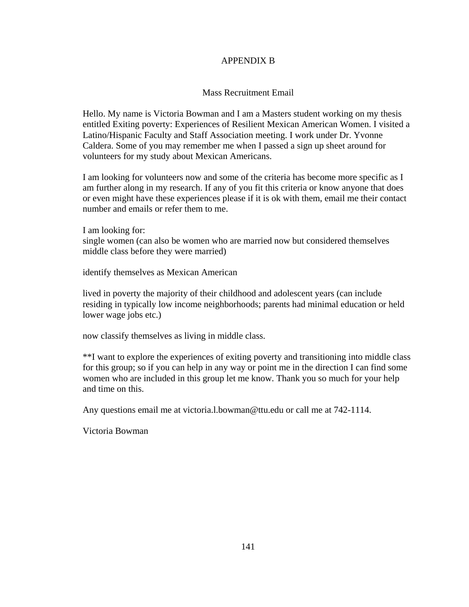### APPENDIX B

# Mass Recruitment Email

Hello. My name is Victoria Bowman and I am a Masters student working on my thesis entitled Exiting poverty: Experiences of Resilient Mexican American Women. I visited a Latino/Hispanic Faculty and Staff Association meeting. I work under Dr. Yvonne Caldera. Some of you may remember me when I passed a sign up sheet around for volunteers for my study about Mexican Americans.

I am looking for volunteers now and some of the criteria has become more specific as I am further along in my research. If any of you fit this criteria or know anyone that does or even might have these experiences please if it is ok with them, email me their contact number and emails or refer them to me.

I am looking for: single women (can also be women who are married now but considered themselves middle class before they were married)

identify themselves as Mexican American

lived in poverty the majority of their childhood and adolescent years (can include residing in typically low income neighborhoods; parents had minimal education or held lower wage jobs etc.)

now classify themselves as living in middle class.

\*\*I want to explore the experiences of exiting poverty and transitioning into middle class for this group; so if you can help in any way or point me in the direction I can find some women who are included in this group let me know. Thank you so much for your help and time on this.

Any questions email me at victoria.l.bowman@ttu.edu or call me at 742-1114.

Victoria Bowman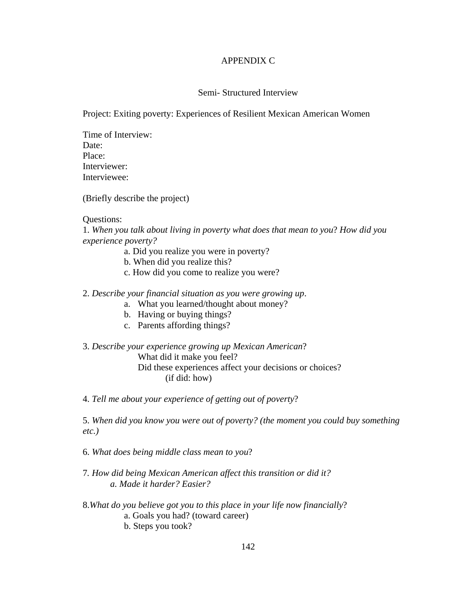### APPENDIX C

## Semi- Structured Interview

Project: Exiting poverty: Experiences of Resilient Mexican American Women

Time of Interview: Date: Place: Interviewer: Interviewee:

(Briefly describe the project)

### Questions:

1. *When you talk about living in poverty what does that mean to you*? *How did you experience poverty?* 

- a. Did you realize you were in poverty?
- b. When did you realize this?
- c. How did you come to realize you were?

### 2. *Describe your financial situation as you were growing up*.

- a. What you learned/thought about money?
- b. Having or buying things?
- c. Parents affording things?

### 3. *Describe your experience growing up Mexican American*?

What did it make you feel? Did these experiences affect your decisions or choices? (if did: how)

4. *Tell me about your experience of getting out of poverty*?

5. *When did you know you were out of poverty? (the moment you could buy something etc.)* 

6. *What does being middle class mean to you*?

### 7*. How did being Mexican American affect this transition or did it? a. Made it harder? Easier?*

8.*What do you believe got you to this place in your life now financially*? a. Goals you had? (toward career) b. Steps you took?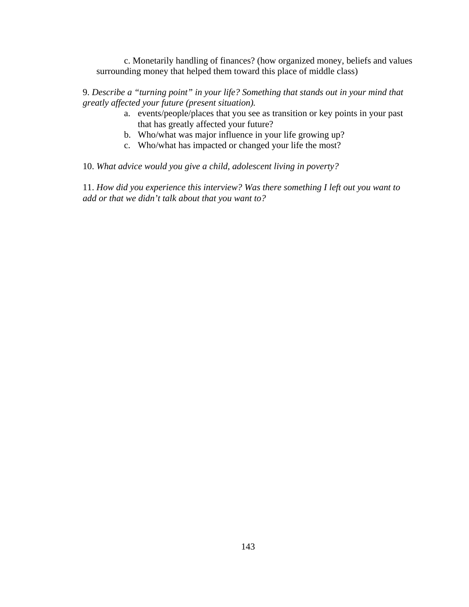c. Monetarily handling of finances? (how organized money, beliefs and values surrounding money that helped them toward this place of middle class)

9. *Describe a "turning point" in your life? Something that stands out in your mind that greatly affected your future (present situation).*

- a. events/people/places that you see as transition or key points in your past that has greatly affected your future?
- b. Who/what was major influence in your life growing up?
- c. Who/what has impacted or changed your life the most?

10. *What advice would you give a child, adolescent living in poverty?*

11. *How did you experience this interview? Was there something I left out you want to add or that we didn't talk about that you want to?*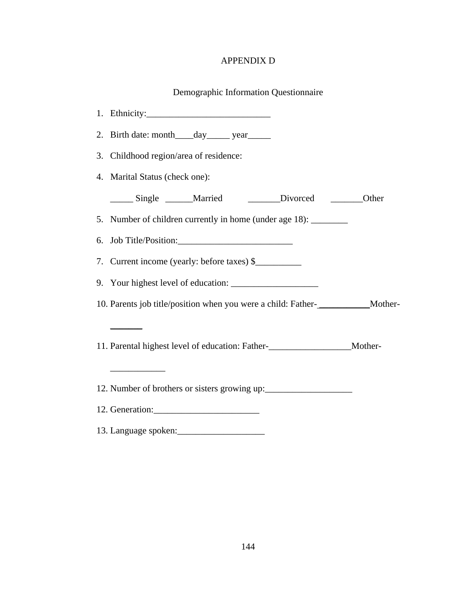# APPENDIX D

# Demographic Information Questionnaire

| Childhood region/area of residence:<br>3.                                         |  |
|-----------------------------------------------------------------------------------|--|
| 4. Marital Status (check one):                                                    |  |
| _______ Single ________ Married ___________ Divorced _________ Other              |  |
| Number of children currently in home (under age 18): _________<br>5.              |  |
| Job Title/Position:<br>6.                                                         |  |
| Current income (yearly: before taxes) \$<br>7.                                    |  |
|                                                                                   |  |
| 10. Parents job title/position when you were a child: Father- ____________Mother- |  |
|                                                                                   |  |
| 11. Parental highest level of education: Father-<br>Mother-                       |  |
|                                                                                   |  |
| 12. Number of brothers or sisters growing up:                                     |  |
|                                                                                   |  |
|                                                                                   |  |

13. Language spoken:\_\_\_\_\_\_\_\_\_\_\_\_\_\_\_\_\_\_\_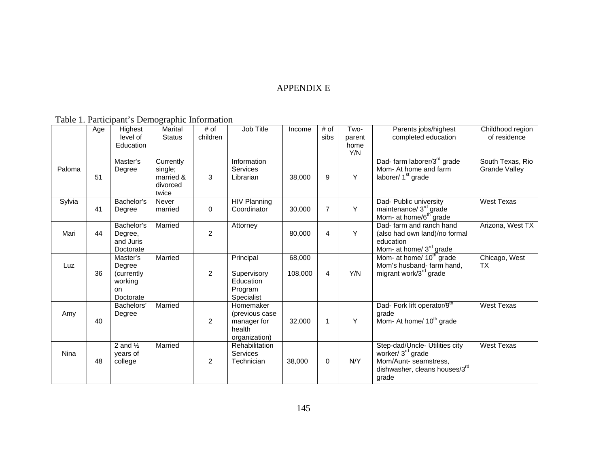#### APPENDIX E

Table 1. Participant's Demographic Information

|        | Age | Highest<br>level of<br>Education                                | Marital<br><b>Status</b>                               | # of<br>children | Job Title                                                              | Income            | # of<br>sibs   | Two-<br>parent<br>home<br>Y/N | Parents jobs/highest<br>completed education                                                                                        | Childhood region<br>of residence  |
|--------|-----|-----------------------------------------------------------------|--------------------------------------------------------|------------------|------------------------------------------------------------------------|-------------------|----------------|-------------------------------|------------------------------------------------------------------------------------------------------------------------------------|-----------------------------------|
| Paloma | 51  | Master's<br>Degree                                              | Currently<br>single;<br>married &<br>divorced<br>twice | 3                | Information<br><b>Services</b><br>Librarian                            | 38,000            | 9              | Y                             | Dad- farm laborer/3 <sup>rd</sup> grade<br>Mom- At home and farm<br>laborer/ 1 <sup>st</sup> grade                                 | South Texas, Rio<br>Grande Valley |
| Sylvia | 41  | Bachelor's<br>Degree                                            | Never<br>married                                       | $\mathbf 0$      | <b>HIV Planning</b><br>Coordinator                                     | 30,000            | $\overline{7}$ | Y                             | Dad- Public university<br>maintenance/ 3 <sup>rd</sup> grade<br>Mom- at home/6 <sup>th</sup> grade                                 | <b>West Texas</b>                 |
| Mari   | 44  | Bachelor's<br>Degree,<br>and Juris<br>Doctorate                 | Married                                                | $\overline{c}$   | Attorney                                                               | 80,000            | $\overline{4}$ | Y                             | Dad- farm and ranch hand<br>(also had own land)/no formal<br>education<br>Mom- at home/ 3 <sup>rd</sup> grade                      | Arizona, West TX                  |
| Luz    | 36  | Master's<br>Degree<br>(currently)<br>working<br>on<br>Doctorate | Married                                                | $\overline{c}$   | Principal<br>Supervisory<br>Education<br>Program<br>Specialist         | 68,000<br>108,000 | 4              | Y/N                           | Mom- at home/ 10 <sup>th</sup> grade<br>Mom's husband- farm hand,<br>migrant work/3 <sup>rd</sup> grade                            | Chicago, West<br><b>TX</b>        |
| Amy    | 40  | Bachelors'<br>Degree                                            | Married                                                | 2                | Homemaker<br>(previous case)<br>manager for<br>health<br>organization) | 32,000            | $\mathbf{1}$   | Y                             | Dad-Fork lift operator/9th<br>grade<br>Mom- At home/ 10 <sup>th</sup> grade                                                        | <b>West Texas</b>                 |
| Nina   | 48  | 2 and $\frac{1}{2}$<br>years of<br>college                      | Married                                                | 2                | Rehabilitation<br><b>Services</b><br>Technician                        | 38,000            | 0              | N/Y                           | Step-dad/Uncle- Utilities city<br>worker/ 3 <sup>rd</sup> grade<br>Mom/Aunt- seamstress,<br>dishwasher, cleans houses/3rd<br>grade | West Texas                        |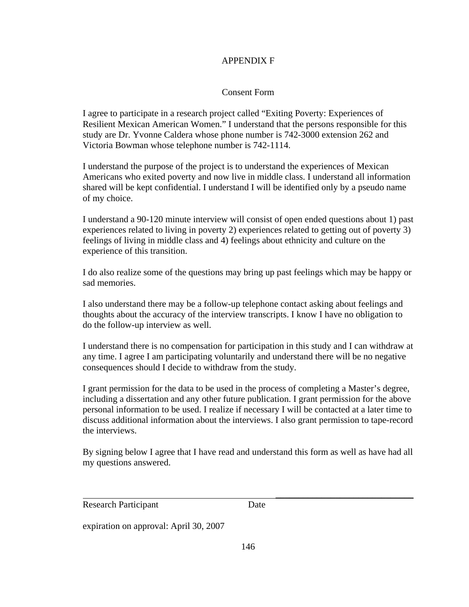### APPENDIX F

### Consent Form

I agree to participate in a research project called "Exiting Poverty: Experiences of Resilient Mexican American Women." I understand that the persons responsible for this study are Dr. Yvonne Caldera whose phone number is 742-3000 extension 262 and Victoria Bowman whose telephone number is 742-1114.

I understand the purpose of the project is to understand the experiences of Mexican Americans who exited poverty and now live in middle class. I understand all information shared will be kept confidential. I understand I will be identified only by a pseudo name of my choice.

I understand a 90-120 minute interview will consist of open ended questions about 1) past experiences related to living in poverty 2) experiences related to getting out of poverty 3) feelings of living in middle class and 4) feelings about ethnicity and culture on the experience of this transition.

I do also realize some of the questions may bring up past feelings which may be happy or sad memories.

I also understand there may be a follow-up telephone contact asking about feelings and thoughts about the accuracy of the interview transcripts. I know I have no obligation to do the follow-up interview as well.

I understand there is no compensation for participation in this study and I can withdraw at any time. I agree I am participating voluntarily and understand there will be no negative consequences should I decide to withdraw from the study.

I grant permission for the data to be used in the process of completing a Master's degree, including a dissertation and any other future publication. I grant permission for the above personal information to be used. I realize if necessary I will be contacted at a later time to discuss additional information about the interviews. I also grant permission to tape-record the interviews.

By signing below I agree that I have read and understand this form as well as have had all my questions answered.

 $\overline{\phantom{a}}$  , and the contract of the contract of the contract of the contract of the contract of the contract of the contract of the contract of the contract of the contract of the contract of the contract of the contrac

Research Participant Date

expiration on approval: April 30, 2007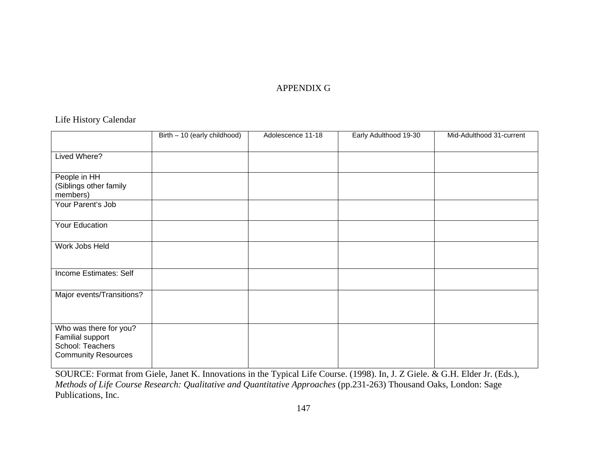# APPENDIX G

## Life History Calendar

|                                                                                              | Birth - 10 (early childhood) | Adolescence 11-18 | Early Adulthood 19-30 | Mid-Adulthood 31-current |
|----------------------------------------------------------------------------------------------|------------------------------|-------------------|-----------------------|--------------------------|
|                                                                                              |                              |                   |                       |                          |
| Lived Where?                                                                                 |                              |                   |                       |                          |
| People in HH                                                                                 |                              |                   |                       |                          |
| (Siblings other family                                                                       |                              |                   |                       |                          |
| members)                                                                                     |                              |                   |                       |                          |
| Your Parent's Job                                                                            |                              |                   |                       |                          |
| Your Education                                                                               |                              |                   |                       |                          |
| Work Jobs Held                                                                               |                              |                   |                       |                          |
| Income Estimates: Self                                                                       |                              |                   |                       |                          |
| Major events/Transitions?                                                                    |                              |                   |                       |                          |
| Who was there for you?<br>Familial support<br>School: Teachers<br><b>Community Resources</b> |                              |                   |                       |                          |

SOURCE: Format from Giele, Janet K. Innovations in the Typical Life Course. (1998). In, J. Z Giele. & G.H. Elder Jr. (Eds.), *Methods of Life Course Research: Qualitative and Quantitative Approaches* (pp.231-263) Thousand Oaks, London: Sage Publications, Inc.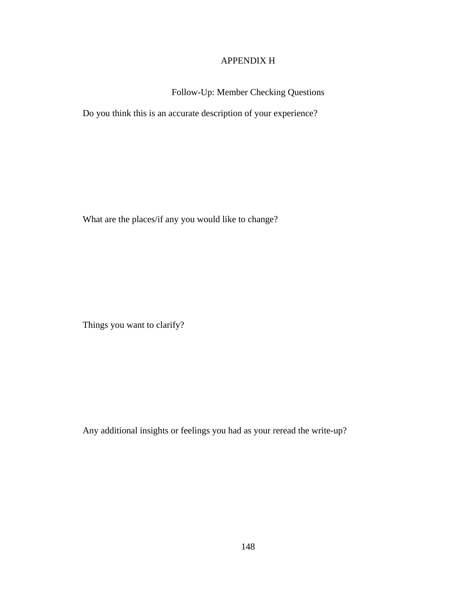# APPENDIX H

# Follow-Up: Member Checking Questions

Do you think this is an accurate description of your experience?

What are the places/if any you would like to change?

Things you want to clarify?

Any additional insights or feelings you had as your reread the write-up?